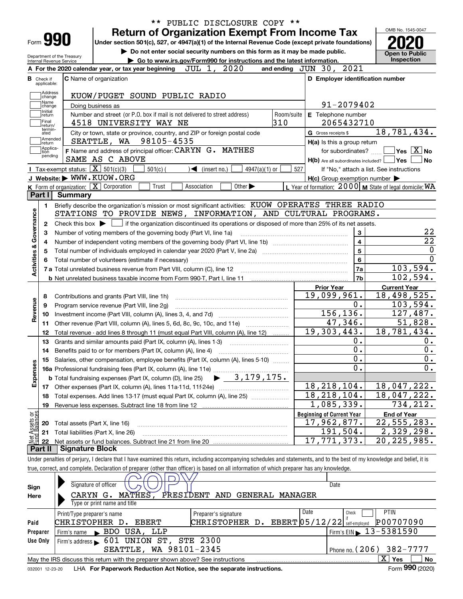|                                 |                                                                                                                                             |                      |                 |                                                                                                    |             |                         |                             |               | PUBLIC DISCLOSURE COPY ** |                                  |                                                     | OMB No. 1545-0047                                                                                                                                                          |
|---------------------------------|---------------------------------------------------------------------------------------------------------------------------------------------|----------------------|-----------------|----------------------------------------------------------------------------------------------------|-------------|-------------------------|-----------------------------|---------------|---------------------------|----------------------------------|-----------------------------------------------------|----------------------------------------------------------------------------------------------------------------------------------------------------------------------------|
| Form 990                        |                                                                                                                                             |                      |                 | <b>Return of Organization Exempt From Income Tax</b>                                               |             |                         |                             |               |                           |                                  |                                                     |                                                                                                                                                                            |
|                                 |                                                                                                                                             |                      |                 | Under section 501(c), 527, or 4947(a)(1) of the Internal Revenue Code (except private foundations) |             |                         |                             |               |                           |                                  |                                                     |                                                                                                                                                                            |
| Department of the Treasury      |                                                                                                                                             |                      |                 | Do not enter social security numbers on this form as it may be made public.                        |             |                         |                             |               |                           |                                  |                                                     | <b>Open to Public</b><br>Inspection                                                                                                                                        |
| Internal Revenue Service        | A For the 2020 calendar year, or tax year beginning                                                                                         |                      |                 | Go to www.irs.gov/Form990 for instructions and the latest information.                             |             |                         | JUL 1, 2020                 |               | and ending JUN 30, 2021   |                                  |                                                     |                                                                                                                                                                            |
| <b>B</b> Check if               | <b>C</b> Name of organization                                                                                                               |                      |                 |                                                                                                    |             |                         |                             |               |                           |                                  |                                                     | D Employer identification number                                                                                                                                           |
| applicable:                     |                                                                                                                                             |                      |                 |                                                                                                    |             |                         |                             |               |                           |                                  |                                                     |                                                                                                                                                                            |
| Address<br>change               |                                                                                                                                             |                      |                 | KUOW/PUGET SOUND PUBLIC RADIO                                                                      |             |                         |                             |               |                           |                                  |                                                     |                                                                                                                                                                            |
| Name<br>change                  |                                                                                                                                             | Doing business as    |                 |                                                                                                    |             |                         |                             |               |                           |                                  | 91-2079402                                          |                                                                                                                                                                            |
| Initial<br>return               |                                                                                                                                             |                      |                 | Number and street (or P.O. box if mail is not delivered to street address)                         |             |                         |                             |               | Room/suite                | E Telephone number               |                                                     |                                                                                                                                                                            |
| Final<br>return/                |                                                                                                                                             |                      |                 | 4518 UNIVERSITY WAY NE                                                                             |             |                         |                             |               | 310                       |                                  | 2065432710                                          |                                                                                                                                                                            |
| termin-<br>ated                 |                                                                                                                                             |                      |                 | City or town, state or province, country, and ZIP or foreign postal code                           |             |                         |                             |               |                           | G Gross receipts \$              |                                                     | 18,781,434.                                                                                                                                                                |
| Amended<br>return               |                                                                                                                                             |                      |                 | SEATTLE, WA 98105-4535                                                                             |             |                         |                             |               |                           |                                  | H(a) Is this a group return                         |                                                                                                                                                                            |
| Applica-<br>Ition               |                                                                                                                                             |                      |                 | F Name and address of principal officer: CARYN G. MATHES                                           |             |                         |                             |               |                           |                                  | for subordinates?                                   | $\sqrt{}$ Yes $\sqrt{}$ $\overline{\rm X}$ $\sqrt{}$ No                                                                                                                    |
| pending                         |                                                                                                                                             |                      | SAME AS C ABOVE |                                                                                                    |             |                         |                             |               |                           |                                  |                                                     | $H(b)$ Are all subordinates included? $\Box$ Yes<br><b>No</b>                                                                                                              |
|                                 | <b>Tax-exempt status:</b> $\boxed{\mathbf{X}}$ 501(c)(3)                                                                                    |                      |                 | $501(c)$ (                                                                                         |             | $\sqrt{ }$ (insert no.) |                             | 4947(a)(1) or | 527                       |                                  |                                                     | If "No," attach a list. See instructions                                                                                                                                   |
|                                 | J Website: WWW.KUOW.ORG                                                                                                                     |                      |                 |                                                                                                    |             |                         |                             |               |                           |                                  | $H(c)$ Group exemption number $\blacktriangleright$ |                                                                                                                                                                            |
|                                 | K Form of organization: X Corporation                                                                                                       |                      |                 | Trust                                                                                              | Association |                         | Other $\blacktriangleright$ |               |                           |                                  |                                                     | L Year of formation: $2000 \mid M$ State of legal domicile: $WA$                                                                                                           |
| Part I                          | <b>Summary</b>                                                                                                                              |                      |                 |                                                                                                    |             |                         |                             |               |                           |                                  |                                                     |                                                                                                                                                                            |
| 1.                              | Briefly describe the organization's mission or most significant activities: KUOW OPERATES THREE RADIO                                       |                      |                 |                                                                                                    |             |                         |                             |               |                           |                                  |                                                     |                                                                                                                                                                            |
| Governance                      | STATIONS TO PROVIDE NEWS, INFORMATION, AND CULTURAL PROGRAMS.                                                                               |                      |                 |                                                                                                    |             |                         |                             |               |                           |                                  |                                                     |                                                                                                                                                                            |
| 2                               | Check this box $\blacktriangleright$ $\Box$ if the organization discontinued its operations or disposed of more than 25% of its net assets. |                      |                 |                                                                                                    |             |                         |                             |               |                           |                                  |                                                     |                                                                                                                                                                            |
| з                               | Number of voting members of the governing body (Part VI, line 1a)                                                                           |                      |                 |                                                                                                    |             |                         |                             |               |                           |                                  | 3                                                   | 22                                                                                                                                                                         |
| 4                               |                                                                                                                                             |                      |                 |                                                                                                    |             |                         |                             |               |                           |                                  | $\overline{\mathbf{4}}$                             | $\overline{22}$                                                                                                                                                            |
| 5                               |                                                                                                                                             |                      |                 |                                                                                                    |             |                         |                             |               |                           |                                  | 5                                                   |                                                                                                                                                                            |
| 6                               |                                                                                                                                             |                      |                 |                                                                                                    |             |                         |                             |               |                           |                                  | 6                                                   |                                                                                                                                                                            |
| <b>Activities &amp;</b>         |                                                                                                                                             |                      |                 |                                                                                                    |             |                         |                             |               |                           |                                  | 7a                                                  | 103,594.                                                                                                                                                                   |
|                                 |                                                                                                                                             |                      |                 |                                                                                                    |             |                         |                             |               |                           |                                  | 7b                                                  | 102,594.                                                                                                                                                                   |
|                                 |                                                                                                                                             |                      |                 |                                                                                                    |             |                         |                             |               |                           | <b>Prior Year</b>                |                                                     | <b>Current Year</b>                                                                                                                                                        |
| 8                               | Contributions and grants (Part VIII, line 1h)                                                                                               |                      |                 |                                                                                                    |             |                         |                             |               |                           | 19,099,961.                      |                                                     | $\overline{18,498,525}$ .                                                                                                                                                  |
| evenue<br>9                     | Program service revenue (Part VIII, line 2g)                                                                                                |                      |                 |                                                                                                    |             |                         |                             |               |                           |                                  | 0.                                                  | 103,594.                                                                                                                                                                   |
| 10<br>œ                         |                                                                                                                                             |                      |                 |                                                                                                    |             |                         |                             |               |                           | 156, 136.                        |                                                     | 127,487.                                                                                                                                                                   |
| 11                              | Other revenue (Part VIII, column (A), lines 5, 6d, 8c, 9c, 10c, and 11e)                                                                    |                      |                 |                                                                                                    |             |                         |                             |               |                           | 47,346.                          |                                                     | 51,828.                                                                                                                                                                    |
| 12                              | Total revenue - add lines 8 through 11 (must equal Part VIII, column (A), line 12)                                                          |                      |                 |                                                                                                    |             |                         |                             |               |                           | 19,303,443.                      |                                                     | 18, 781, 434.                                                                                                                                                              |
| 13                              | Grants and similar amounts paid (Part IX, column (A), lines 1-3)                                                                            |                      |                 |                                                                                                    |             |                         |                             |               |                           |                                  | 0.                                                  | 0.                                                                                                                                                                         |
| 14                              | Benefits paid to or for members (Part IX, column (A), line 4)                                                                               |                      |                 |                                                                                                    |             |                         |                             |               |                           |                                  | 0.                                                  | $0$ .                                                                                                                                                                      |
|                                 | 15 Salaries, other compensation, employee benefits (Part IX, column (A), lines 5-10)                                                        |                      |                 |                                                                                                    |             |                         |                             |               |                           |                                  | $\overline{\mathbf{0}}$ .                           | 0.                                                                                                                                                                         |
|                                 |                                                                                                                                             |                      |                 |                                                                                                    |             |                         |                             |               |                           |                                  | 0.                                                  | $\overline{0}$ .                                                                                                                                                           |
| Expenses                        |                                                                                                                                             |                      |                 |                                                                                                    |             |                         |                             |               |                           |                                  |                                                     |                                                                                                                                                                            |
| 17                              |                                                                                                                                             |                      |                 |                                                                                                    |             |                         |                             |               |                           | 18, 218, 104.                    |                                                     | 18,047,222.                                                                                                                                                                |
| 18                              | Total expenses. Add lines 13-17 (must equal Part IX, column (A), line 25)                                                                   |                      |                 |                                                                                                    |             |                         |                             |               |                           | 18, 218, 104.                    |                                                     | 18,047,222.                                                                                                                                                                |
| 19                              |                                                                                                                                             |                      |                 |                                                                                                    |             |                         |                             |               |                           | 1,085,339.                       |                                                     | 734,212.                                                                                                                                                                   |
|                                 |                                                                                                                                             |                      |                 |                                                                                                    |             |                         |                             |               |                           | <b>Beginning of Current Year</b> |                                                     | <b>End of Year</b>                                                                                                                                                         |
| t Assets or<br>d.Balances<br>20 | Total assets (Part X, line 16)                                                                                                              |                      |                 |                                                                                                    |             |                         |                             |               |                           | 17,962,877.                      |                                                     | 22, 555, 283.                                                                                                                                                              |
| 21                              | Total liabilities (Part X, line 26)                                                                                                         |                      |                 |                                                                                                    |             |                         |                             |               |                           | 191,504.                         |                                                     | 2,329,298.                                                                                                                                                                 |
| 22                              |                                                                                                                                             |                      |                 |                                                                                                    |             |                         |                             |               |                           | 17,771,373.                      |                                                     | $\overline{20}$ , 225, 985.                                                                                                                                                |
| Part II                         | <b>Signature Block</b>                                                                                                                      |                      |                 |                                                                                                    |             |                         |                             |               |                           |                                  |                                                     |                                                                                                                                                                            |
|                                 |                                                                                                                                             |                      |                 |                                                                                                    |             |                         |                             |               |                           |                                  |                                                     | Under penalties of perjury, I declare that I have examined this return, including accompanying schedules and statements, and to the best of my knowledge and belief, it is |
|                                 | true, correct, and complete. Declaration of preparer (other than officer) is based on all information of which preparer has any knowledge.  |                      |                 |                                                                                                    |             |                         |                             |               |                           |                                  |                                                     |                                                                                                                                                                            |
|                                 |                                                                                                                                             |                      |                 |                                                                                                    |             |                         |                             |               |                           |                                  |                                                     |                                                                                                                                                                            |
| Sign                            |                                                                                                                                             | Signature of officer |                 |                                                                                                    |             |                         |                             |               |                           | Date                             |                                                     |                                                                                                                                                                            |

| Here     |                                                                                 | CARYN G. MATHES, PRESIDENT AND GENERAL MANAGER |                                              |  |  |  |  |  |  |
|----------|---------------------------------------------------------------------------------|------------------------------------------------|----------------------------------------------|--|--|--|--|--|--|
|          | Type or print name and title                                                    |                                                |                                              |  |  |  |  |  |  |
|          | Print/Type preparer's name                                                      | Date<br>Preparer's signature                   | PTIN<br>Check                                |  |  |  |  |  |  |
| Paid     | CHRISTOPHER D.<br>EBERT                                                         | CHRISTOPHER D. EBERT $05/12/22$ self-employed  | P00707090                                    |  |  |  |  |  |  |
| Preparer | $1$ Firm's EIN $\triangleright$ 13-5381590<br>Firm's name BDO USA, LLP          |                                                |                                              |  |  |  |  |  |  |
| Use Only | $\lvert$ Firm's address 601 UNION ST, STE 2300                                  |                                                |                                              |  |  |  |  |  |  |
|          | SEATTLE, WA 98101-2345<br>Phone no. $(206)$ 382-7777                            |                                                |                                              |  |  |  |  |  |  |
|          | May the IRS discuss this return with the preparer shown above? See instructions |                                                | x.<br>No<br>Yes                              |  |  |  |  |  |  |
|          |                                                                                 |                                                | $000 \times 200$<br>$\overline{\phantom{0}}$ |  |  |  |  |  |  |

032001 12-23-20 LHA **For Paperwork Reduction Act Notice, see the separate instructions.** Form 990 (2020)

**990**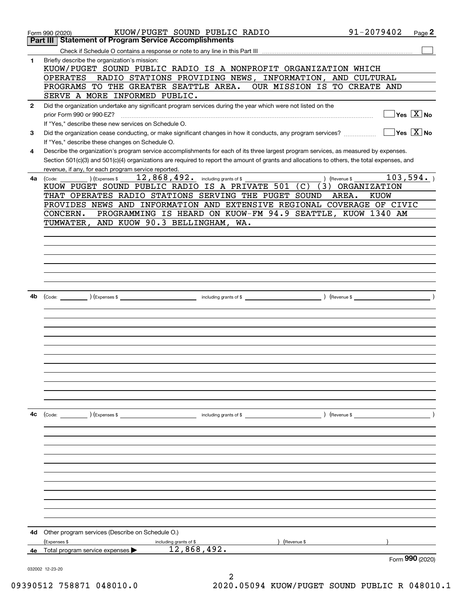|              | KUOW/PUGET SOUND PUBLIC RADIO<br>Form 990 (2020)<br><b>Statement of Program Service Accomplishments</b><br>Part III                          | 91-2079402               | Page 2 |
|--------------|----------------------------------------------------------------------------------------------------------------------------------------------|--------------------------|--------|
|              |                                                                                                                                              |                          |        |
| 1            | Briefly describe the organization's mission:                                                                                                 |                          |        |
|              | KUOW/PUGET SOUND PUBLIC RADIO IS A NONPROFIT ORGANIZATION WHICH                                                                              |                          |        |
|              | RADIO STATIONS PROVIDING NEWS, INFORMATION, AND CULTURAL<br><b>OPERATES</b>                                                                  |                          |        |
|              | PROGRAMS TO THE GREATER SEATTLE AREA. OUR MISSION IS TO CREATE AND                                                                           |                          |        |
|              | SERVE A MORE INFORMED PUBLIC.                                                                                                                |                          |        |
| $\mathbf{2}$ | Did the organization undertake any significant program services during the year which were not listed on the                                 |                          |        |
|              | prior Form 990 or 990-EZ?                                                                                                                    | $Yes \ \boxed{X}$ No     |        |
|              | If "Yes," describe these new services on Schedule O.                                                                                         |                          |        |
| 3            | Did the organization cease conducting, or make significant changes in how it conducts, any program services?                                 | $Yes \ \boxed{X}$ No     |        |
|              | If "Yes," describe these changes on Schedule O.                                                                                              |                          |        |
| 4            | Describe the organization's program service accomplishments for each of its three largest program services, as measured by expenses.         |                          |        |
|              | Section 501(c)(3) and 501(c)(4) organizations are required to report the amount of grants and allocations to others, the total expenses, and |                          |        |
|              | revenue, if any, for each program service reported.<br>$12,868,492.$ including grants of \$<br>(Expenses \$                                  | 103,594.                 |        |
| 4a           | $\int$ (Revenue \$ $\Box$<br>(Code:<br>KUOW PUGET SOUND PUBLIC RADIO IS A PRIVATE 501                                                        | (C) (3) ORGANIZATION     |        |
|              | THAT OPERATES RADIO STATIONS SERVING THE PUGET SOUND                                                                                         | AREA.<br><b>KUOW</b>     |        |
|              | PROVIDES NEWS AND INFORMATION AND EXTENSIVE REGIONAL COVERAGE OF CIVIC                                                                       |                          |        |
|              | PROGRAMMING IS HEARD ON KUOW-FM 94.9 SEATTLE, KUOW 1340 AM<br>CONCERN.                                                                       |                          |        |
|              | AND KUOW 90.3 BELLINGHAM, WA.<br>TUMWATER,                                                                                                   |                          |        |
|              |                                                                                                                                              |                          |        |
|              |                                                                                                                                              |                          |        |
|              |                                                                                                                                              |                          |        |
|              |                                                                                                                                              |                          |        |
|              |                                                                                                                                              |                          |        |
|              |                                                                                                                                              |                          |        |
|              |                                                                                                                                              |                          |        |
| 4b           | $\left(\text{Code:}\right)$ $\left(\text{Expenses $}\right)$                                                                                 | $\overline{\phantom{a}}$ |        |
|              |                                                                                                                                              |                          |        |
|              |                                                                                                                                              |                          |        |
|              |                                                                                                                                              |                          |        |
|              |                                                                                                                                              |                          |        |
|              |                                                                                                                                              |                          |        |
|              |                                                                                                                                              |                          |        |
|              |                                                                                                                                              |                          |        |
|              |                                                                                                                                              |                          |        |
|              |                                                                                                                                              |                          |        |
|              |                                                                                                                                              |                          |        |
|              |                                                                                                                                              |                          |        |
| 4c           | $\left(\text{Code:}\right)$ $\left(\text{Expenses $}\right)$<br>including grants of \$                                                       | ) (Revenue \$            |        |
|              |                                                                                                                                              |                          |        |
|              |                                                                                                                                              |                          |        |
|              |                                                                                                                                              |                          |        |
|              |                                                                                                                                              |                          |        |
|              |                                                                                                                                              |                          |        |
|              |                                                                                                                                              |                          |        |
|              |                                                                                                                                              |                          |        |
|              |                                                                                                                                              |                          |        |
|              |                                                                                                                                              |                          |        |
|              |                                                                                                                                              |                          |        |
|              |                                                                                                                                              |                          |        |
| 4d           | Other program services (Describe on Schedule O.)                                                                                             |                          |        |
|              | (Expenses \$<br>(Revenue \$<br>including grants of \$                                                                                        |                          |        |
| 4е           | 12,868,492.<br>Total program service expenses                                                                                                |                          |        |
|              |                                                                                                                                              | Form 990 (2020)          |        |
|              | 032002 12-23-20                                                                                                                              |                          |        |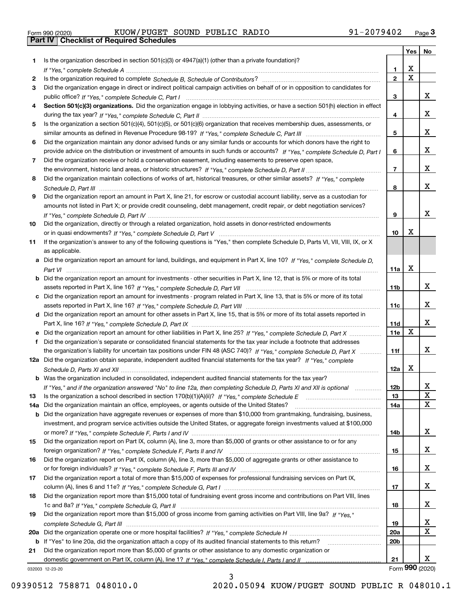|  | Form 990 (2020) |
|--|-----------------|

Form 990 (2020) KUOW/PUGET SOUND PUBLIC RADIO 91-2079402 <sub>Page</sub> 3<br>**Part IV | Checklist of Required Schedules** 

|     |                                                                                                                                       |                         | <b>Yes</b>            | No                      |
|-----|---------------------------------------------------------------------------------------------------------------------------------------|-------------------------|-----------------------|-------------------------|
| 1   | Is the organization described in section $501(c)(3)$ or $4947(a)(1)$ (other than a private foundation)?                               |                         |                       |                         |
|     |                                                                                                                                       | 1.                      | х                     |                         |
| 2   |                                                                                                                                       | $\overline{\mathbf{2}}$ | $\overline{\text{x}}$ |                         |
| 3   | Did the organization engage in direct or indirect political campaign activities on behalf of or in opposition to candidates for       |                         |                       |                         |
|     |                                                                                                                                       | 3                       |                       | X.                      |
| 4   | Section 501(c)(3) organizations. Did the organization engage in lobbying activities, or have a section 501(h) election in effect      |                         |                       |                         |
|     |                                                                                                                                       | 4                       |                       | X.                      |
| 5   | Is the organization a section 501(c)(4), 501(c)(5), or 501(c)(6) organization that receives membership dues, assessments, or          |                         |                       |                         |
|     |                                                                                                                                       | 5                       |                       | x                       |
| 6   | Did the organization maintain any donor advised funds or any similar funds or accounts for which donors have the right to             |                         |                       | x                       |
| 7   | provide advice on the distribution or investment of amounts in such funds or accounts? If "Yes," complete Schedule D, Part I          | 6                       |                       |                         |
|     | Did the organization receive or hold a conservation easement, including easements to preserve open space,                             | $\overline{7}$          |                       | X.                      |
| 8   | Did the organization maintain collections of works of art, historical treasures, or other similar assets? If "Yes," complete          |                         |                       |                         |
|     |                                                                                                                                       | 8                       |                       | x                       |
| 9   | Did the organization report an amount in Part X, line 21, for escrow or custodial account liability, serve as a custodian for         |                         |                       |                         |
|     | amounts not listed in Part X; or provide credit counseling, debt management, credit repair, or debt negotiation services?             |                         |                       |                         |
|     |                                                                                                                                       | 9                       |                       | x                       |
| 10  | Did the organization, directly or through a related organization, hold assets in donor-restricted endowments                          |                         |                       |                         |
|     |                                                                                                                                       | 10                      | X                     |                         |
| 11  | If the organization's answer to any of the following questions is "Yes," then complete Schedule D, Parts VI, VII, VIII, IX, or X      |                         |                       |                         |
|     | as applicable.                                                                                                                        |                         |                       |                         |
|     | a Did the organization report an amount for land, buildings, and equipment in Part X, line 10? If "Yes," complete Schedule D,         |                         |                       |                         |
|     |                                                                                                                                       | 11a                     | X                     |                         |
|     | <b>b</b> Did the organization report an amount for investments - other securities in Part X, line 12, that is 5% or more of its total |                         |                       |                         |
|     |                                                                                                                                       | 11b                     |                       | x                       |
|     | c Did the organization report an amount for investments - program related in Part X, line 13, that is 5% or more of its total         |                         |                       |                         |
|     |                                                                                                                                       | 11c                     |                       | x                       |
|     | d Did the organization report an amount for other assets in Part X, line 15, that is 5% or more of its total assets reported in       |                         |                       | x                       |
|     | e Did the organization report an amount for other liabilities in Part X, line 25? If "Yes," complete Schedule D, Part X               | 11d<br>11e              | X                     |                         |
| f   | Did the organization's separate or consolidated financial statements for the tax year include a footnote that addresses               |                         |                       |                         |
|     | the organization's liability for uncertain tax positions under FIN 48 (ASC 740)? If "Yes," complete Schedule D, Part X                | 11f                     |                       | X                       |
|     | 12a Did the organization obtain separate, independent audited financial statements for the tax year? If "Yes," complete               |                         |                       |                         |
|     |                                                                                                                                       | 12a                     | Х                     |                         |
|     | <b>b</b> Was the organization included in consolidated, independent audited financial statements for the tax year?                    |                         |                       |                         |
|     | If "Yes," and if the organization answered "No" to line 12a, then completing Schedule D, Parts XI and XII is optional                 | 12b                     |                       | X,                      |
| 13  |                                                                                                                                       | 13                      |                       | X                       |
| 14a | Did the organization maintain an office, employees, or agents outside of the United States?                                           | <b>14a</b>              |                       | $\overline{\mathbf{x}}$ |
|     | b Did the organization have aggregate revenues or expenses of more than \$10,000 from grantmaking, fundraising, business,             |                         |                       |                         |
|     | investment, and program service activities outside the United States, or aggregate foreign investments valued at \$100,000            |                         |                       |                         |
|     |                                                                                                                                       | 14b                     |                       | x                       |
| 15  | Did the organization report on Part IX, column (A), line 3, more than \$5,000 of grants or other assistance to or for any             |                         |                       |                         |
|     |                                                                                                                                       | 15                      |                       | x                       |
| 16  | Did the organization report on Part IX, column (A), line 3, more than \$5,000 of aggregate grants or other assistance to              |                         |                       | X                       |
|     |                                                                                                                                       | 16                      |                       |                         |
| 17  | Did the organization report a total of more than \$15,000 of expenses for professional fundraising services on Part IX,               | 17                      |                       | X                       |
| 18  | Did the organization report more than \$15,000 total of fundraising event gross income and contributions on Part VIII, lines          |                         |                       |                         |
|     |                                                                                                                                       | 18                      |                       | X                       |
| 19  | Did the organization report more than \$15,000 of gross income from gaming activities on Part VIII, line 9a? If "Yes."                |                         |                       |                         |
|     |                                                                                                                                       | 19                      |                       | X                       |
| 20a |                                                                                                                                       | 20a                     |                       | $\mathbf x$             |
|     | b If "Yes" to line 20a, did the organization attach a copy of its audited financial statements to this return?                        | 20 <sub>b</sub>         |                       |                         |
| 21  | Did the organization report more than \$5,000 of grants or other assistance to any domestic organization or                           |                         |                       |                         |
|     |                                                                                                                                       | 21                      |                       | x                       |
|     | 032003 12-23-20                                                                                                                       |                         | Form 990 (2020)       |                         |

032003 12-23-20

3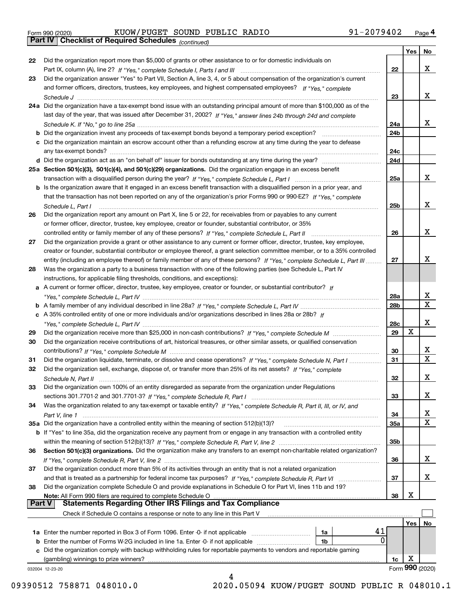|  | Form 990 (2020) |
|--|-----------------|
|  |                 |

Form 990 (2020) KUOW/PUGET SOUND PUBLIC RADIO 91-2079402 <sub>Page</sub> 4<br>**Part IV | Checklist of Required Schedules** <sub>(continued)</sub>

*(continued)*

|               |                                                                                                                              |                 | Yes        | No              |
|---------------|------------------------------------------------------------------------------------------------------------------------------|-----------------|------------|-----------------|
| 22            | Did the organization report more than \$5,000 of grants or other assistance to or for domestic individuals on                |                 |            |                 |
|               |                                                                                                                              | 22              |            | x               |
| 23            | Did the organization answer "Yes" to Part VII, Section A, line 3, 4, or 5 about compensation of the organization's current   |                 |            |                 |
|               | and former officers, directors, trustees, key employees, and highest compensated employees? If "Yes," complete               |                 |            |                 |
|               |                                                                                                                              | 23              |            | x               |
|               | 24a Did the organization have a tax-exempt bond issue with an outstanding principal amount of more than \$100,000 as of the  |                 |            |                 |
|               | last day of the year, that was issued after December 31, 2002? If "Yes," answer lines 24b through 24d and complete           |                 |            |                 |
|               |                                                                                                                              | 24a             |            | x               |
|               |                                                                                                                              |                 |            |                 |
|               | b Did the organization invest any proceeds of tax-exempt bonds beyond a temporary period exception?                          | 24b             |            |                 |
|               | c Did the organization maintain an escrow account other than a refunding escrow at any time during the year to defease       |                 |            |                 |
|               | any tax-exempt bonds?                                                                                                        | 24c             |            |                 |
|               | d Did the organization act as an "on behalf of" issuer for bonds outstanding at any time during the year?                    | 24d             |            |                 |
|               | 25a Section 501(c)(3), 501(c)(4), and 501(c)(29) organizations. Did the organization engage in an excess benefit             |                 |            |                 |
|               |                                                                                                                              | 25a             |            | x               |
|               | b Is the organization aware that it engaged in an excess benefit transaction with a disqualified person in a prior year, and |                 |            |                 |
|               | that the transaction has not been reported on any of the organization's prior Forms 990 or 990-EZ? If "Yes," complete        |                 |            |                 |
|               | Schedule L, Part I                                                                                                           | 25b             |            | x               |
| 26            | Did the organization report any amount on Part X, line 5 or 22, for receivables from or payables to any current              |                 |            |                 |
|               | or former officer, director, trustee, key employee, creator or founder, substantial contributor, or 35%                      |                 |            |                 |
|               |                                                                                                                              | 26              |            | x               |
| 27            | Did the organization provide a grant or other assistance to any current or former officer, director, trustee, key employee,  |                 |            |                 |
|               |                                                                                                                              |                 |            |                 |
|               | creator or founder, substantial contributor or employee thereof, a grant selection committee member, or to a 35% controlled  |                 |            | х               |
|               | entity (including an employee thereof) or family member of any of these persons? If "Yes," complete Schedule L, Part III     | 27              |            |                 |
| 28            | Was the organization a party to a business transaction with one of the following parties (see Schedule L, Part IV            |                 |            |                 |
|               | instructions, for applicable filing thresholds, conditions, and exceptions):                                                 |                 |            |                 |
|               | a A current or former officer, director, trustee, key employee, creator or founder, or substantial contributor? If           |                 |            |                 |
|               |                                                                                                                              | 28a             |            | x               |
|               |                                                                                                                              | 28 <sub>b</sub> |            | $\mathbf{X}$    |
|               | c A 35% controlled entity of one or more individuals and/or organizations described in lines 28a or 28b? If                  |                 |            |                 |
|               |                                                                                                                              | 28c             |            | х               |
| 29            |                                                                                                                              | 29              | х          |                 |
| 30            | Did the organization receive contributions of art, historical treasures, or other similar assets, or qualified conservation  |                 |            |                 |
|               |                                                                                                                              | 30              |            | x               |
| 31            | Did the organization liquidate, terminate, or dissolve and cease operations? If "Yes," complete Schedule N, Part I           | 31              |            | $\mathbf x$     |
| 32            | Did the organization sell, exchange, dispose of, or transfer more than 25% of its net assets? If "Yes," complete             |                 |            |                 |
|               |                                                                                                                              | 32              |            | х               |
|               | Schedule N, Part II                                                                                                          |                 |            |                 |
| 33            | Did the organization own 100% of an entity disregarded as separate from the organization under Regulations                   |                 |            |                 |
|               |                                                                                                                              | 33              |            | х               |
| 34            | Was the organization related to any tax-exempt or taxable entity? If "Yes," complete Schedule R, Part II, III, or IV, and    |                 |            |                 |
|               |                                                                                                                              | 34              |            | X               |
|               | 35a Did the organization have a controlled entity within the meaning of section 512(b)(13)?                                  | 35a             |            | X               |
|               | b If "Yes" to line 35a, did the organization receive any payment from or engage in any transaction with a controlled entity  |                 |            |                 |
|               |                                                                                                                              | 35b             |            |                 |
| 36            | Section 501(c)(3) organizations. Did the organization make any transfers to an exempt non-charitable related organization?   |                 |            |                 |
|               |                                                                                                                              | 36              |            | x               |
| 37            | Did the organization conduct more than 5% of its activities through an entity that is not a related organization             |                 |            |                 |
|               | and that is treated as a partnership for federal income tax purposes? If "Yes," complete Schedule R, Part VI                 | 37              |            | x               |
| 38            | Did the organization complete Schedule O and provide explanations in Schedule O for Part VI, lines 11b and 19?               |                 |            |                 |
|               | Note: All Form 990 filers are required to complete Schedule O                                                                | 38              | X          |                 |
| <b>Part V</b> | <b>Statements Regarding Other IRS Filings and Tax Compliance</b>                                                             |                 |            |                 |
|               | Check if Schedule O contains a response or note to any line in this Part V                                                   |                 |            |                 |
|               |                                                                                                                              |                 |            |                 |
|               |                                                                                                                              |                 | <b>Yes</b> | No              |
|               | 41<br><b>1a</b> Enter the number reported in Box 3 of Form 1096. Enter -0- if not applicable <i>manumumumum</i><br>1a        |                 |            |                 |
|               | 0<br><b>b</b> Enter the number of Forms W-2G included in line 1a. Enter -0- if not applicable <i>manumumumum</i><br>1b       |                 |            |                 |
|               | c Did the organization comply with backup withholding rules for reportable payments to vendors and reportable gaming         |                 |            |                 |
|               | (gambling) winnings to prize winners?                                                                                        | 1c              | х          |                 |
|               | 032004 12-23-20                                                                                                              |                 |            | Form 990 (2020) |
|               |                                                                                                                              |                 |            |                 |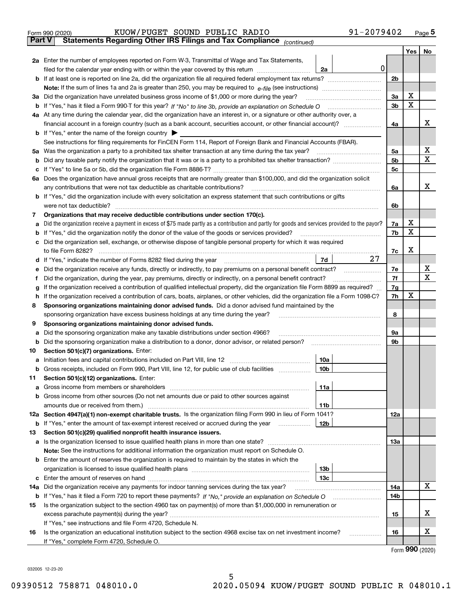|               | 91-2079402<br>KUOW/PUGET SOUND PUBLIC RADIO<br>Form 990 (2020)                                                                                                             |     |     | $_{\text{Page}}$ 5 |  |  |  |
|---------------|----------------------------------------------------------------------------------------------------------------------------------------------------------------------------|-----|-----|--------------------|--|--|--|
| <b>Part V</b> | Statements Regarding Other IRS Filings and Tax Compliance (continued)                                                                                                      |     |     |                    |  |  |  |
|               |                                                                                                                                                                            |     | Yes | No                 |  |  |  |
|               | 2a Enter the number of employees reported on Form W-3, Transmittal of Wage and Tax Statements,                                                                             |     |     |                    |  |  |  |
|               | $\mathbf 0$<br>filed for the calendar year ending with or within the year covered by this return<br>2a                                                                     |     |     |                    |  |  |  |
|               |                                                                                                                                                                            | 2b  |     |                    |  |  |  |
|               |                                                                                                                                                                            |     |     |                    |  |  |  |
|               | 3a Did the organization have unrelated business gross income of \$1,000 or more during the year?                                                                           | 3a  | х   |                    |  |  |  |
|               |                                                                                                                                                                            | 3b  | X   |                    |  |  |  |
|               | 4a At any time during the calendar year, did the organization have an interest in, or a signature or other authority over, a                                               |     |     |                    |  |  |  |
|               |                                                                                                                                                                            | 4a  |     | x                  |  |  |  |
|               | <b>b</b> If "Yes," enter the name of the foreign country $\blacktriangleright$                                                                                             |     |     |                    |  |  |  |
|               | See instructions for filing requirements for FinCEN Form 114, Report of Foreign Bank and Financial Accounts (FBAR).                                                        |     |     |                    |  |  |  |
|               |                                                                                                                                                                            | 5a  |     | х                  |  |  |  |
| b             |                                                                                                                                                                            | 5b  |     | X                  |  |  |  |
| c             |                                                                                                                                                                            | 5c  |     |                    |  |  |  |
|               | 6a Does the organization have annual gross receipts that are normally greater than \$100,000, and did the organization solicit                                             |     |     |                    |  |  |  |
|               |                                                                                                                                                                            | 6a  |     | х                  |  |  |  |
|               | <b>b</b> If "Yes," did the organization include with every solicitation an express statement that such contributions or gifts                                              |     |     |                    |  |  |  |
|               | were not tax deductible?                                                                                                                                                   | 6b  |     |                    |  |  |  |
| 7             | Organizations that may receive deductible contributions under section 170(c).                                                                                              |     |     |                    |  |  |  |
| а             | Did the organization receive a payment in excess of \$75 made partly as a contribution and partly for goods and services provided to the payor?                            | 7a  | х   |                    |  |  |  |
| b             | If "Yes," did the organization notify the donor of the value of the goods or services provided?                                                                            | 7b  | х   |                    |  |  |  |
|               | c Did the organization sell, exchange, or otherwise dispose of tangible personal property for which it was required                                                        |     |     |                    |  |  |  |
|               |                                                                                                                                                                            | 7c  | х   |                    |  |  |  |
|               | 27<br>7d                                                                                                                                                                   |     |     |                    |  |  |  |
| е             | Did the organization receive any funds, directly or indirectly, to pay premiums on a personal benefit contract?                                                            | 7e  |     | х                  |  |  |  |
| f             | Did the organization, during the year, pay premiums, directly or indirectly, on a personal benefit contract?                                                               |     |     |                    |  |  |  |
| g             | If the organization received a contribution of qualified intellectual property, did the organization file Form 8899 as required?                                           |     |     |                    |  |  |  |
| h.            | If the organization received a contribution of cars, boats, airplanes, or other vehicles, did the organization file a Form 1098-C?                                         |     |     |                    |  |  |  |
| 8             | Sponsoring organizations maintaining donor advised funds. Did a donor advised fund maintained by the                                                                       |     |     |                    |  |  |  |
|               | sponsoring organization have excess business holdings at any time during the year?                                                                                         | 8   |     |                    |  |  |  |
| 9             | Sponsoring organizations maintaining donor advised funds.                                                                                                                  |     |     |                    |  |  |  |
| а             | Did the sponsoring organization make any taxable distributions under section 4966?                                                                                         | 9а  |     |                    |  |  |  |
| b             | Did the sponsoring organization make a distribution to a donor, donor advisor, or related person?                                                                          | 9b  |     |                    |  |  |  |
| 10            | Section 501(c)(7) organizations. Enter:                                                                                                                                    |     |     |                    |  |  |  |
|               | 10a<br>a Initiation fees and capital contributions included on Part VIII, line 12 [111] [11] [11] Initiation fees and capital contributions included on Part VIII, line 12 |     |     |                    |  |  |  |
|               | 10 <sub>b</sub>  <br>Gross receipts, included on Form 990, Part VIII, line 12, for public use of club facilities                                                           |     |     |                    |  |  |  |
| 11            | Section 501(c)(12) organizations. Enter:                                                                                                                                   |     |     |                    |  |  |  |
| a             | 11a                                                                                                                                                                        |     |     |                    |  |  |  |
|               | b Gross income from other sources (Do not net amounts due or paid to other sources against                                                                                 |     |     |                    |  |  |  |
|               | 11b                                                                                                                                                                        |     |     |                    |  |  |  |
|               | 12a Section 4947(a)(1) non-exempt charitable trusts. Is the organization filing Form 990 in lieu of Form 1041?                                                             | 12a |     |                    |  |  |  |
|               | 12b<br><b>b</b> If "Yes," enter the amount of tax-exempt interest received or accrued during the year <i>manument</i>                                                      |     |     |                    |  |  |  |
| 13            | Section 501(c)(29) qualified nonprofit health insurance issuers.                                                                                                           |     |     |                    |  |  |  |
|               | a Is the organization licensed to issue qualified health plans in more than one state?                                                                                     | 13a |     |                    |  |  |  |
|               | Note: See the instructions for additional information the organization must report on Schedule O.                                                                          |     |     |                    |  |  |  |
|               | <b>b</b> Enter the amount of reserves the organization is required to maintain by the states in which the                                                                  |     |     |                    |  |  |  |
|               | 13b                                                                                                                                                                        |     |     |                    |  |  |  |
|               | 13с                                                                                                                                                                        |     |     |                    |  |  |  |
| 14a           | Did the organization receive any payments for indoor tanning services during the tax year?                                                                                 | 14a |     | х                  |  |  |  |
|               | <b>b</b> If "Yes," has it filed a Form 720 to report these payments? If "No," provide an explanation on Schedule O                                                         | 14b |     |                    |  |  |  |
| 15            | Is the organization subject to the section 4960 tax on payment(s) of more than \$1,000,000 in remuneration or                                                              |     |     |                    |  |  |  |
|               |                                                                                                                                                                            | 15  |     | x                  |  |  |  |
|               | If "Yes," see instructions and file Form 4720, Schedule N.                                                                                                                 |     |     |                    |  |  |  |
| 16            | Is the organization an educational institution subject to the section 4968 excise tax on net investment income?                                                            | 16  |     | х                  |  |  |  |
|               | If "Yes," complete Form 4720, Schedule O.                                                                                                                                  |     |     |                    |  |  |  |
|               |                                                                                                                                                                            |     |     |                    |  |  |  |

Form (2020) **990**

032005 12-23-20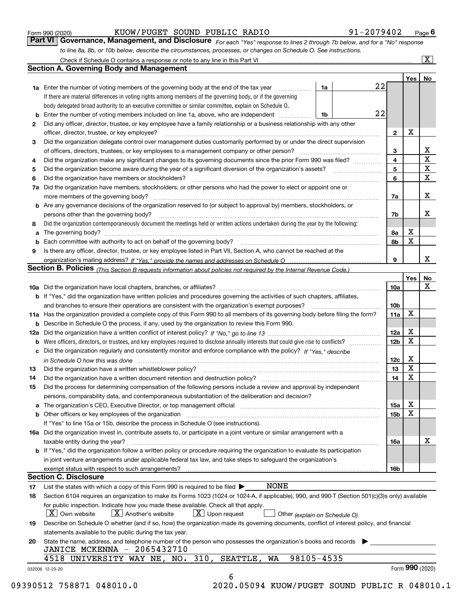|  | Form 990 (2020) |
|--|-----------------|
|  |                 |

*For each "Yes" response to lines 2 through 7b below, and for a "No" response to line 8a, 8b, or 10b below, describe the circumstances, processes, or changes on Schedule O. See instructions.* Form 990 (2020) **CONNTANGLEM SOUND PUBLIC RADIO 1-2079402** Page 6<br>**Part VI Governance, Management, and Disclosure** *For each "Yes" response to lines 2 through 7b below, and for a "No" response* 

|    |                                                                                                                                                                               |    |    |                 | Yes   No        |                         |
|----|-------------------------------------------------------------------------------------------------------------------------------------------------------------------------------|----|----|-----------------|-----------------|-------------------------|
|    | <b>1a</b> Enter the number of voting members of the governing body at the end of the tax year                                                                                 | 1a | 22 |                 |                 |                         |
|    | If there are material differences in voting rights among members of the governing body, or if the governing                                                                   |    |    |                 |                 |                         |
|    | body delegated broad authority to an executive committee or similar committee, explain on Schedule O.                                                                         |    |    |                 |                 |                         |
|    | <b>b</b> Enter the number of voting members included on line 1a, above, who are independent <i>manumum</i>                                                                    | 1b | 22 |                 |                 |                         |
| 2  | Did any officer, director, trustee, or key employee have a family relationship or a business relationship with any other                                                      |    |    |                 |                 |                         |
|    | officer, director, trustee, or key employee?                                                                                                                                  |    |    | $\mathbf{2}$    | X               |                         |
| 3  | Did the organization delegate control over management duties customarily performed by or under the direct supervision                                                         |    |    |                 |                 |                         |
|    |                                                                                                                                                                               |    |    | 3               |                 | X                       |
| 4  | Did the organization make any significant changes to its governing documents since the prior Form 990 was filed?                                                              |    |    | $\overline{4}$  |                 | $\overline{\mathbf{x}}$ |
| 5  |                                                                                                                                                                               |    |    | 5               |                 | X                       |
| 6  |                                                                                                                                                                               |    |    | 6               |                 | $\mathbf X$             |
| 7a | Did the organization have members, stockholders, or other persons who had the power to elect or appoint one or                                                                |    |    |                 |                 |                         |
|    |                                                                                                                                                                               |    |    | 7a              |                 | x                       |
|    | <b>b</b> Are any governance decisions of the organization reserved to (or subject to approval by) members, stockholders, or                                                   |    |    |                 |                 |                         |
|    | persons other than the governing body?                                                                                                                                        |    |    | 7b              |                 | х                       |
| 8  | Did the organization contemporaneously document the meetings held or written actions undertaken during the year by the following:                                             |    |    |                 |                 |                         |
| a  |                                                                                                                                                                               |    |    | 8a              | X               |                         |
|    |                                                                                                                                                                               |    |    | 8b              | X               |                         |
| 9  | Is there any officer, director, trustee, or key employee listed in Part VII, Section A, who cannot be reached at the                                                          |    |    |                 |                 |                         |
|    |                                                                                                                                                                               |    |    | 9               |                 | x                       |
|    | Section B. Policies (This Section B requests information about policies not required by the Internal Revenue Code.)                                                           |    |    |                 |                 |                         |
|    |                                                                                                                                                                               |    |    |                 | Yes             | No                      |
|    |                                                                                                                                                                               |    |    | 10a             |                 | X                       |
|    | <b>b</b> If "Yes," did the organization have written policies and procedures governing the activities of such chapters, affiliates,                                           |    |    |                 |                 |                         |
|    |                                                                                                                                                                               |    |    | 10 <sub>b</sub> |                 |                         |
|    | 11a Has the organization provided a complete copy of this Form 990 to all members of its governing body before filing the form?                                               |    |    | 11a             | X               |                         |
|    | <b>b</b> Describe in Schedule O the process, if any, used by the organization to review this Form 990.                                                                        |    |    |                 |                 |                         |
|    |                                                                                                                                                                               |    |    | 12a             | X               |                         |
| b  |                                                                                                                                                                               |    |    | 12 <sub>b</sub> | X               |                         |
|    | c Did the organization regularly and consistently monitor and enforce compliance with the policy? If "Yes." describe                                                          |    |    |                 |                 |                         |
|    |                                                                                                                                                                               |    |    | 12c             | X               |                         |
| 13 | in Schedule O how this was done manufactured and continuum control of the Schedule O how this was done manufactured and continuum control of the Schedule O how this was done |    |    | 13              | X               |                         |
| 14 | Did the organization have a written document retention and destruction policy? manufactured and the organization have a written document retention and destruction policy?    |    |    | 14              | X               |                         |
| 15 | Did the process for determining compensation of the following persons include a review and approval by independent                                                            |    |    |                 |                 |                         |
|    | persons, comparability data, and contemporaneous substantiation of the deliberation and decision?                                                                             |    |    |                 |                 |                         |
|    |                                                                                                                                                                               |    |    | 15a             | X               |                         |
|    |                                                                                                                                                                               |    |    |                 | X               |                         |
|    |                                                                                                                                                                               |    |    | 15 <sub>b</sub> |                 |                         |
|    | If "Yes" to line 15a or 15b, describe the process in Schedule O (see instructions).                                                                                           |    |    |                 |                 |                         |
|    | 16a Did the organization invest in, contribute assets to, or participate in a joint venture or similar arrangement with a                                                     |    |    |                 |                 | X                       |
|    | taxable entity during the year?                                                                                                                                               |    |    | 16a             |                 |                         |
|    | b If "Yes," did the organization follow a written policy or procedure requiring the organization to evaluate its participation                                                |    |    |                 |                 |                         |
|    | in joint venture arrangements under applicable federal tax law, and take steps to safequard the organization's                                                                |    |    |                 |                 |                         |
|    | exempt status with respect to such arrangements?                                                                                                                              |    |    | 16 <sub>b</sub> |                 |                         |
|    | <b>Section C. Disclosure</b>                                                                                                                                                  |    |    |                 |                 |                         |
| 17 | <b>NONE</b><br>List the states with which a copy of this Form 990 is required to be filed $\blacktriangleright$                                                               |    |    |                 |                 |                         |
| 18 | Section 6104 requires an organization to make its Forms 1023 (1024 or 1024-A, if applicable), 990, and 990-T (Section 501(c)(3)s only) available                              |    |    |                 |                 |                         |
|    | for public inspection. Indicate how you made these available. Check all that apply.                                                                                           |    |    |                 |                 |                         |
|    | $X$ Upon request<br>$ X $ Own website<br>$X$ Another's website<br>Other (explain on Schedule O)                                                                               |    |    |                 |                 |                         |
| 19 | Describe on Schedule O whether (and if so, how) the organization made its governing documents, conflict of interest policy, and financial                                     |    |    |                 |                 |                         |
|    | statements available to the public during the tax year.                                                                                                                       |    |    |                 |                 |                         |
| 20 | State the name, address, and telephone number of the person who possesses the organization's books and records                                                                |    |    |                 |                 |                         |
|    | JANICE MCKENNA - 2065432710                                                                                                                                                   |    |    |                 |                 |                         |
|    | 4518 UNIVERSITY WAY NE, NO. 310, SEATTLE,<br>98105-4535<br>WA                                                                                                                 |    |    |                 |                 |                         |
|    | 032006 12-23-20                                                                                                                                                               |    |    |                 | Form 990 (2020) |                         |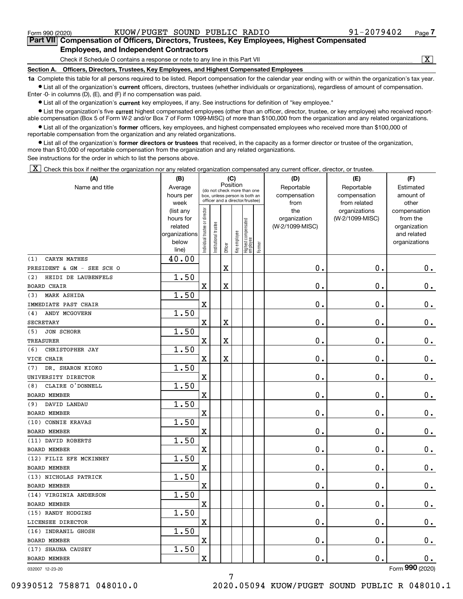| $\mu$ are viii compensation of childers, Directors, Trastees, Rey Linployees, Highest compensated<br><b>Employees, and Independent Contractors</b> |                             |  |  |  |  |  |  |  |  |
|----------------------------------------------------------------------------------------------------------------------------------------------------|-----------------------------|--|--|--|--|--|--|--|--|
| Check if Schedule O contains a response or note to any line in this Part VII                                                                       | $\overline{\textnormal{x}}$ |  |  |  |  |  |  |  |  |
| Section A. Officers, Directors, Trustees, Key Employees, and Highest Compensated Employees                                                         |                             |  |  |  |  |  |  |  |  |

Form 990 (2020) KUOW/PUGET SOUND PUBLIC RADIO 91-2079402 <sub>Page</sub>

**7Part VII Compensation of Officers, Directors, Trustees, Key Employees, Highest Compensated**

**1a**  Complete this table for all persons required to be listed. Report compensation for the calendar year ending with or within the organization's tax year. **•** List all of the organization's current officers, directors, trustees (whether individuals or organizations), regardless of amount of compensation.

Enter -0- in columns (D), (E), and (F) if no compensation was paid.

 $\bullet$  List all of the organization's  $\,$ current key employees, if any. See instructions for definition of "key employee."

**•** List the organization's five current highest compensated employees (other than an officer, director, trustee, or key employee) who received reportable compensation (Box 5 of Form W-2 and/or Box 7 of Form 1099-MISC) of more than \$100,000 from the organization and any related organizations.

**•** List all of the organization's former officers, key employees, and highest compensated employees who received more than \$100,000 of reportable compensation from the organization and any related organizations.

**former directors or trustees**  ¥ List all of the organization's that received, in the capacity as a former director or trustee of the organization, more than \$10,000 of reportable compensation from the organization and any related organizations.

See instructions for the order in which to list the persons above.

 $\boxed{\textbf{X}}$  Check this box if neither the organization nor any related organization compensated any current officer, director, or trustee.

| Position<br>Name and title<br>Average<br>Reportable<br>Reportable<br>Estimated<br>(do not check more than one<br>hours per<br>compensation<br>compensation<br>amount of<br>box, unless person is both an<br>officer and a director/trustee)<br>from<br>from related<br>other<br>week<br>ndividual trustee or director<br>the<br>organizations<br>(list any<br>compensation<br>hours for<br>organization<br>(W-2/1099-MISC)<br>from the<br>Highest compensated<br>employee<br>trustee<br>related<br>(W-2/1099-MISC)<br>organization<br>Key employee<br>organizations<br>and related<br>Institutional t<br>below<br>organizations<br>Former<br>Officer<br>line)<br>40.00<br>CARYN MATHES<br>(1)<br>$\mathbf X$<br>$\mathbf 0$ .<br>0.<br>0.<br>PRESIDENT & GM - SEE SCH O<br>1.50<br>HEIDI DE LAUBENFELS<br>(2)<br>$\mathbf 0$ .<br>$\mathbf 0$ .<br>X<br>X<br>$\mathbf 0$ .<br><b>BOARD CHAIR</b><br>1.50<br><b>MARK ASHIDA</b><br>(3)<br>$\mathbf 0$ .<br>$\mathbf 0$ .<br>$\mathbf 0$ .<br>X<br>IMMEDIATE PAST CHAIR<br>1.50<br>ANDY MCGOVERN<br>(4)<br>$\mathbf 0$ .<br>$\mathbf 0$ .<br>$\mathbf 0$ .<br>Χ<br>X<br><b>SECRETARY</b><br>1.50<br><b>JON SCHORR</b><br>(5)<br>0.<br>$\mathbf 0$ .<br>$0_{.}$<br>X<br>X<br><b>TREASURER</b><br>1.50<br>CHRISTOPHER JAY<br>(6)<br>$\mathbf x$<br>$\mathbf X$<br>$\mathbf 0$ .<br>0.<br>$\mathbf 0$ .<br>VICE CHAIR<br>1.50<br>DR. SHARON KIOKO<br>(7)<br>$\mathbf 0$ .<br>$\mathbf 0$ .<br>$\mathbf 0$ .<br>$\mathbf X$<br>UNIVERSITY DIRECTOR<br>1.50<br>CLAIRE O'DONNELL<br>(8)<br>$\mathbf X$<br>$\mathbf 0$ .<br>$\mathbf 0$ .<br>$\mathbf 0$ .<br><b>BOARD MEMBER</b><br>1.50<br>DAVID LANDAU<br>(9)<br>$\mathbf 0$ .<br>$\mathbf 0$ .<br>X<br>$\mathbf 0$ .<br><b>BOARD MEMBER</b><br>1.50<br>(10) CONNIE KRAVAS<br>$\mathbf X$<br>$\mathbf 0$ .<br>$\mathbf 0$ .<br>$\mathbf 0$ .<br>BOARD MEMBER<br>1.50<br>(11) DAVID ROBERTS<br>$\mathbf 0$ .<br>$\mathbf x$<br>$\mathbf 0$ .<br>$\mathbf 0$ .<br><b>BOARD MEMBER</b><br>1.50<br>(12) FILIZ EFE MCKINNEY<br>$\overline{\textbf{X}}$<br>$\mathbf 0$ .<br>$\mathbf 0$ .<br>$0$ .<br><b>BOARD MEMBER</b><br>1.50<br>(13) NICHOLAS PATRICK<br>$\mathbf X$<br>0.<br>$\mathbf 0$ .<br>Ο.<br><b>BOARD MEMBER</b><br>1.50<br>(14) VIRGINIA ANDERSON<br>$\mathbf X$<br>$\mathbf 0$ .<br>$\mathbf 0$ .<br>$0$ .<br>BOARD MEMBER<br>1.50<br>(15) RANDY HODGINS<br>$\mathbf X$<br>$\mathbf 0$ .<br>0.<br>0.<br>LICENSEE DIRECTOR<br>1.50<br>(16) INDRANIL GHOSH<br>$\rm X$<br>$\mathbf 0$ .<br>$\mathbf 0$ .<br>$0$ .<br><b>BOARD MEMBER</b><br>1.50<br>(17) SHAUNA CAUSEY<br>$\overline{\mathbf{X}}$<br>$\mathbf 0$ .<br>$\mathbf 0$ .<br>$0$ .<br><b>BOARD MEMBER</b> | (A) | (B) | (C) |  |  |  |  | (D) | (E) | (F) |
|---------------------------------------------------------------------------------------------------------------------------------------------------------------------------------------------------------------------------------------------------------------------------------------------------------------------------------------------------------------------------------------------------------------------------------------------------------------------------------------------------------------------------------------------------------------------------------------------------------------------------------------------------------------------------------------------------------------------------------------------------------------------------------------------------------------------------------------------------------------------------------------------------------------------------------------------------------------------------------------------------------------------------------------------------------------------------------------------------------------------------------------------------------------------------------------------------------------------------------------------------------------------------------------------------------------------------------------------------------------------------------------------------------------------------------------------------------------------------------------------------------------------------------------------------------------------------------------------------------------------------------------------------------------------------------------------------------------------------------------------------------------------------------------------------------------------------------------------------------------------------------------------------------------------------------------------------------------------------------------------------------------------------------------------------------------------------------------------------------------------------------------------------------------------------------------------------------------------------------------------------------------------------------------------------------------------------------------------------------------------------------------------------------------------------------------------------------------------------------------------------------------------------------------------------------------------------------------------------------------------------------------------------------------------|-----|-----|-----|--|--|--|--|-----|-----|-----|
|                                                                                                                                                                                                                                                                                                                                                                                                                                                                                                                                                                                                                                                                                                                                                                                                                                                                                                                                                                                                                                                                                                                                                                                                                                                                                                                                                                                                                                                                                                                                                                                                                                                                                                                                                                                                                                                                                                                                                                                                                                                                                                                                                                                                                                                                                                                                                                                                                                                                                                                                                                                                                                                                     |     |     |     |  |  |  |  |     |     |     |
|                                                                                                                                                                                                                                                                                                                                                                                                                                                                                                                                                                                                                                                                                                                                                                                                                                                                                                                                                                                                                                                                                                                                                                                                                                                                                                                                                                                                                                                                                                                                                                                                                                                                                                                                                                                                                                                                                                                                                                                                                                                                                                                                                                                                                                                                                                                                                                                                                                                                                                                                                                                                                                                                     |     |     |     |  |  |  |  |     |     |     |
|                                                                                                                                                                                                                                                                                                                                                                                                                                                                                                                                                                                                                                                                                                                                                                                                                                                                                                                                                                                                                                                                                                                                                                                                                                                                                                                                                                                                                                                                                                                                                                                                                                                                                                                                                                                                                                                                                                                                                                                                                                                                                                                                                                                                                                                                                                                                                                                                                                                                                                                                                                                                                                                                     |     |     |     |  |  |  |  |     |     |     |
|                                                                                                                                                                                                                                                                                                                                                                                                                                                                                                                                                                                                                                                                                                                                                                                                                                                                                                                                                                                                                                                                                                                                                                                                                                                                                                                                                                                                                                                                                                                                                                                                                                                                                                                                                                                                                                                                                                                                                                                                                                                                                                                                                                                                                                                                                                                                                                                                                                                                                                                                                                                                                                                                     |     |     |     |  |  |  |  |     |     |     |
|                                                                                                                                                                                                                                                                                                                                                                                                                                                                                                                                                                                                                                                                                                                                                                                                                                                                                                                                                                                                                                                                                                                                                                                                                                                                                                                                                                                                                                                                                                                                                                                                                                                                                                                                                                                                                                                                                                                                                                                                                                                                                                                                                                                                                                                                                                                                                                                                                                                                                                                                                                                                                                                                     |     |     |     |  |  |  |  |     |     |     |
|                                                                                                                                                                                                                                                                                                                                                                                                                                                                                                                                                                                                                                                                                                                                                                                                                                                                                                                                                                                                                                                                                                                                                                                                                                                                                                                                                                                                                                                                                                                                                                                                                                                                                                                                                                                                                                                                                                                                                                                                                                                                                                                                                                                                                                                                                                                                                                                                                                                                                                                                                                                                                                                                     |     |     |     |  |  |  |  |     |     |     |
|                                                                                                                                                                                                                                                                                                                                                                                                                                                                                                                                                                                                                                                                                                                                                                                                                                                                                                                                                                                                                                                                                                                                                                                                                                                                                                                                                                                                                                                                                                                                                                                                                                                                                                                                                                                                                                                                                                                                                                                                                                                                                                                                                                                                                                                                                                                                                                                                                                                                                                                                                                                                                                                                     |     |     |     |  |  |  |  |     |     |     |
|                                                                                                                                                                                                                                                                                                                                                                                                                                                                                                                                                                                                                                                                                                                                                                                                                                                                                                                                                                                                                                                                                                                                                                                                                                                                                                                                                                                                                                                                                                                                                                                                                                                                                                                                                                                                                                                                                                                                                                                                                                                                                                                                                                                                                                                                                                                                                                                                                                                                                                                                                                                                                                                                     |     |     |     |  |  |  |  |     |     |     |
|                                                                                                                                                                                                                                                                                                                                                                                                                                                                                                                                                                                                                                                                                                                                                                                                                                                                                                                                                                                                                                                                                                                                                                                                                                                                                                                                                                                                                                                                                                                                                                                                                                                                                                                                                                                                                                                                                                                                                                                                                                                                                                                                                                                                                                                                                                                                                                                                                                                                                                                                                                                                                                                                     |     |     |     |  |  |  |  |     |     |     |
|                                                                                                                                                                                                                                                                                                                                                                                                                                                                                                                                                                                                                                                                                                                                                                                                                                                                                                                                                                                                                                                                                                                                                                                                                                                                                                                                                                                                                                                                                                                                                                                                                                                                                                                                                                                                                                                                                                                                                                                                                                                                                                                                                                                                                                                                                                                                                                                                                                                                                                                                                                                                                                                                     |     |     |     |  |  |  |  |     |     |     |
|                                                                                                                                                                                                                                                                                                                                                                                                                                                                                                                                                                                                                                                                                                                                                                                                                                                                                                                                                                                                                                                                                                                                                                                                                                                                                                                                                                                                                                                                                                                                                                                                                                                                                                                                                                                                                                                                                                                                                                                                                                                                                                                                                                                                                                                                                                                                                                                                                                                                                                                                                                                                                                                                     |     |     |     |  |  |  |  |     |     |     |
|                                                                                                                                                                                                                                                                                                                                                                                                                                                                                                                                                                                                                                                                                                                                                                                                                                                                                                                                                                                                                                                                                                                                                                                                                                                                                                                                                                                                                                                                                                                                                                                                                                                                                                                                                                                                                                                                                                                                                                                                                                                                                                                                                                                                                                                                                                                                                                                                                                                                                                                                                                                                                                                                     |     |     |     |  |  |  |  |     |     |     |
|                                                                                                                                                                                                                                                                                                                                                                                                                                                                                                                                                                                                                                                                                                                                                                                                                                                                                                                                                                                                                                                                                                                                                                                                                                                                                                                                                                                                                                                                                                                                                                                                                                                                                                                                                                                                                                                                                                                                                                                                                                                                                                                                                                                                                                                                                                                                                                                                                                                                                                                                                                                                                                                                     |     |     |     |  |  |  |  |     |     |     |
|                                                                                                                                                                                                                                                                                                                                                                                                                                                                                                                                                                                                                                                                                                                                                                                                                                                                                                                                                                                                                                                                                                                                                                                                                                                                                                                                                                                                                                                                                                                                                                                                                                                                                                                                                                                                                                                                                                                                                                                                                                                                                                                                                                                                                                                                                                                                                                                                                                                                                                                                                                                                                                                                     |     |     |     |  |  |  |  |     |     |     |
|                                                                                                                                                                                                                                                                                                                                                                                                                                                                                                                                                                                                                                                                                                                                                                                                                                                                                                                                                                                                                                                                                                                                                                                                                                                                                                                                                                                                                                                                                                                                                                                                                                                                                                                                                                                                                                                                                                                                                                                                                                                                                                                                                                                                                                                                                                                                                                                                                                                                                                                                                                                                                                                                     |     |     |     |  |  |  |  |     |     |     |
|                                                                                                                                                                                                                                                                                                                                                                                                                                                                                                                                                                                                                                                                                                                                                                                                                                                                                                                                                                                                                                                                                                                                                                                                                                                                                                                                                                                                                                                                                                                                                                                                                                                                                                                                                                                                                                                                                                                                                                                                                                                                                                                                                                                                                                                                                                                                                                                                                                                                                                                                                                                                                                                                     |     |     |     |  |  |  |  |     |     |     |
|                                                                                                                                                                                                                                                                                                                                                                                                                                                                                                                                                                                                                                                                                                                                                                                                                                                                                                                                                                                                                                                                                                                                                                                                                                                                                                                                                                                                                                                                                                                                                                                                                                                                                                                                                                                                                                                                                                                                                                                                                                                                                                                                                                                                                                                                                                                                                                                                                                                                                                                                                                                                                                                                     |     |     |     |  |  |  |  |     |     |     |
|                                                                                                                                                                                                                                                                                                                                                                                                                                                                                                                                                                                                                                                                                                                                                                                                                                                                                                                                                                                                                                                                                                                                                                                                                                                                                                                                                                                                                                                                                                                                                                                                                                                                                                                                                                                                                                                                                                                                                                                                                                                                                                                                                                                                                                                                                                                                                                                                                                                                                                                                                                                                                                                                     |     |     |     |  |  |  |  |     |     |     |
|                                                                                                                                                                                                                                                                                                                                                                                                                                                                                                                                                                                                                                                                                                                                                                                                                                                                                                                                                                                                                                                                                                                                                                                                                                                                                                                                                                                                                                                                                                                                                                                                                                                                                                                                                                                                                                                                                                                                                                                                                                                                                                                                                                                                                                                                                                                                                                                                                                                                                                                                                                                                                                                                     |     |     |     |  |  |  |  |     |     |     |
|                                                                                                                                                                                                                                                                                                                                                                                                                                                                                                                                                                                                                                                                                                                                                                                                                                                                                                                                                                                                                                                                                                                                                                                                                                                                                                                                                                                                                                                                                                                                                                                                                                                                                                                                                                                                                                                                                                                                                                                                                                                                                                                                                                                                                                                                                                                                                                                                                                                                                                                                                                                                                                                                     |     |     |     |  |  |  |  |     |     |     |
|                                                                                                                                                                                                                                                                                                                                                                                                                                                                                                                                                                                                                                                                                                                                                                                                                                                                                                                                                                                                                                                                                                                                                                                                                                                                                                                                                                                                                                                                                                                                                                                                                                                                                                                                                                                                                                                                                                                                                                                                                                                                                                                                                                                                                                                                                                                                                                                                                                                                                                                                                                                                                                                                     |     |     |     |  |  |  |  |     |     |     |
|                                                                                                                                                                                                                                                                                                                                                                                                                                                                                                                                                                                                                                                                                                                                                                                                                                                                                                                                                                                                                                                                                                                                                                                                                                                                                                                                                                                                                                                                                                                                                                                                                                                                                                                                                                                                                                                                                                                                                                                                                                                                                                                                                                                                                                                                                                                                                                                                                                                                                                                                                                                                                                                                     |     |     |     |  |  |  |  |     |     |     |
|                                                                                                                                                                                                                                                                                                                                                                                                                                                                                                                                                                                                                                                                                                                                                                                                                                                                                                                                                                                                                                                                                                                                                                                                                                                                                                                                                                                                                                                                                                                                                                                                                                                                                                                                                                                                                                                                                                                                                                                                                                                                                                                                                                                                                                                                                                                                                                                                                                                                                                                                                                                                                                                                     |     |     |     |  |  |  |  |     |     |     |
|                                                                                                                                                                                                                                                                                                                                                                                                                                                                                                                                                                                                                                                                                                                                                                                                                                                                                                                                                                                                                                                                                                                                                                                                                                                                                                                                                                                                                                                                                                                                                                                                                                                                                                                                                                                                                                                                                                                                                                                                                                                                                                                                                                                                                                                                                                                                                                                                                                                                                                                                                                                                                                                                     |     |     |     |  |  |  |  |     |     |     |
|                                                                                                                                                                                                                                                                                                                                                                                                                                                                                                                                                                                                                                                                                                                                                                                                                                                                                                                                                                                                                                                                                                                                                                                                                                                                                                                                                                                                                                                                                                                                                                                                                                                                                                                                                                                                                                                                                                                                                                                                                                                                                                                                                                                                                                                                                                                                                                                                                                                                                                                                                                                                                                                                     |     |     |     |  |  |  |  |     |     |     |
|                                                                                                                                                                                                                                                                                                                                                                                                                                                                                                                                                                                                                                                                                                                                                                                                                                                                                                                                                                                                                                                                                                                                                                                                                                                                                                                                                                                                                                                                                                                                                                                                                                                                                                                                                                                                                                                                                                                                                                                                                                                                                                                                                                                                                                                                                                                                                                                                                                                                                                                                                                                                                                                                     |     |     |     |  |  |  |  |     |     |     |
|                                                                                                                                                                                                                                                                                                                                                                                                                                                                                                                                                                                                                                                                                                                                                                                                                                                                                                                                                                                                                                                                                                                                                                                                                                                                                                                                                                                                                                                                                                                                                                                                                                                                                                                                                                                                                                                                                                                                                                                                                                                                                                                                                                                                                                                                                                                                                                                                                                                                                                                                                                                                                                                                     |     |     |     |  |  |  |  |     |     |     |
|                                                                                                                                                                                                                                                                                                                                                                                                                                                                                                                                                                                                                                                                                                                                                                                                                                                                                                                                                                                                                                                                                                                                                                                                                                                                                                                                                                                                                                                                                                                                                                                                                                                                                                                                                                                                                                                                                                                                                                                                                                                                                                                                                                                                                                                                                                                                                                                                                                                                                                                                                                                                                                                                     |     |     |     |  |  |  |  |     |     |     |
|                                                                                                                                                                                                                                                                                                                                                                                                                                                                                                                                                                                                                                                                                                                                                                                                                                                                                                                                                                                                                                                                                                                                                                                                                                                                                                                                                                                                                                                                                                                                                                                                                                                                                                                                                                                                                                                                                                                                                                                                                                                                                                                                                                                                                                                                                                                                                                                                                                                                                                                                                                                                                                                                     |     |     |     |  |  |  |  |     |     |     |
|                                                                                                                                                                                                                                                                                                                                                                                                                                                                                                                                                                                                                                                                                                                                                                                                                                                                                                                                                                                                                                                                                                                                                                                                                                                                                                                                                                                                                                                                                                                                                                                                                                                                                                                                                                                                                                                                                                                                                                                                                                                                                                                                                                                                                                                                                                                                                                                                                                                                                                                                                                                                                                                                     |     |     |     |  |  |  |  |     |     |     |
|                                                                                                                                                                                                                                                                                                                                                                                                                                                                                                                                                                                                                                                                                                                                                                                                                                                                                                                                                                                                                                                                                                                                                                                                                                                                                                                                                                                                                                                                                                                                                                                                                                                                                                                                                                                                                                                                                                                                                                                                                                                                                                                                                                                                                                                                                                                                                                                                                                                                                                                                                                                                                                                                     |     |     |     |  |  |  |  |     |     |     |
|                                                                                                                                                                                                                                                                                                                                                                                                                                                                                                                                                                                                                                                                                                                                                                                                                                                                                                                                                                                                                                                                                                                                                                                                                                                                                                                                                                                                                                                                                                                                                                                                                                                                                                                                                                                                                                                                                                                                                                                                                                                                                                                                                                                                                                                                                                                                                                                                                                                                                                                                                                                                                                                                     |     |     |     |  |  |  |  |     |     |     |
|                                                                                                                                                                                                                                                                                                                                                                                                                                                                                                                                                                                                                                                                                                                                                                                                                                                                                                                                                                                                                                                                                                                                                                                                                                                                                                                                                                                                                                                                                                                                                                                                                                                                                                                                                                                                                                                                                                                                                                                                                                                                                                                                                                                                                                                                                                                                                                                                                                                                                                                                                                                                                                                                     |     |     |     |  |  |  |  |     |     |     |
|                                                                                                                                                                                                                                                                                                                                                                                                                                                                                                                                                                                                                                                                                                                                                                                                                                                                                                                                                                                                                                                                                                                                                                                                                                                                                                                                                                                                                                                                                                                                                                                                                                                                                                                                                                                                                                                                                                                                                                                                                                                                                                                                                                                                                                                                                                                                                                                                                                                                                                                                                                                                                                                                     |     |     |     |  |  |  |  |     |     |     |
|                                                                                                                                                                                                                                                                                                                                                                                                                                                                                                                                                                                                                                                                                                                                                                                                                                                                                                                                                                                                                                                                                                                                                                                                                                                                                                                                                                                                                                                                                                                                                                                                                                                                                                                                                                                                                                                                                                                                                                                                                                                                                                                                                                                                                                                                                                                                                                                                                                                                                                                                                                                                                                                                     |     |     |     |  |  |  |  |     |     |     |
|                                                                                                                                                                                                                                                                                                                                                                                                                                                                                                                                                                                                                                                                                                                                                                                                                                                                                                                                                                                                                                                                                                                                                                                                                                                                                                                                                                                                                                                                                                                                                                                                                                                                                                                                                                                                                                                                                                                                                                                                                                                                                                                                                                                                                                                                                                                                                                                                                                                                                                                                                                                                                                                                     |     |     |     |  |  |  |  |     |     |     |
|                                                                                                                                                                                                                                                                                                                                                                                                                                                                                                                                                                                                                                                                                                                                                                                                                                                                                                                                                                                                                                                                                                                                                                                                                                                                                                                                                                                                                                                                                                                                                                                                                                                                                                                                                                                                                                                                                                                                                                                                                                                                                                                                                                                                                                                                                                                                                                                                                                                                                                                                                                                                                                                                     |     |     |     |  |  |  |  |     |     |     |
|                                                                                                                                                                                                                                                                                                                                                                                                                                                                                                                                                                                                                                                                                                                                                                                                                                                                                                                                                                                                                                                                                                                                                                                                                                                                                                                                                                                                                                                                                                                                                                                                                                                                                                                                                                                                                                                                                                                                                                                                                                                                                                                                                                                                                                                                                                                                                                                                                                                                                                                                                                                                                                                                     |     |     |     |  |  |  |  |     |     |     |
|                                                                                                                                                                                                                                                                                                                                                                                                                                                                                                                                                                                                                                                                                                                                                                                                                                                                                                                                                                                                                                                                                                                                                                                                                                                                                                                                                                                                                                                                                                                                                                                                                                                                                                                                                                                                                                                                                                                                                                                                                                                                                                                                                                                                                                                                                                                                                                                                                                                                                                                                                                                                                                                                     |     |     |     |  |  |  |  |     |     |     |
|                                                                                                                                                                                                                                                                                                                                                                                                                                                                                                                                                                                                                                                                                                                                                                                                                                                                                                                                                                                                                                                                                                                                                                                                                                                                                                                                                                                                                                                                                                                                                                                                                                                                                                                                                                                                                                                                                                                                                                                                                                                                                                                                                                                                                                                                                                                                                                                                                                                                                                                                                                                                                                                                     |     |     |     |  |  |  |  |     |     |     |
|                                                                                                                                                                                                                                                                                                                                                                                                                                                                                                                                                                                                                                                                                                                                                                                                                                                                                                                                                                                                                                                                                                                                                                                                                                                                                                                                                                                                                                                                                                                                                                                                                                                                                                                                                                                                                                                                                                                                                                                                                                                                                                                                                                                                                                                                                                                                                                                                                                                                                                                                                                                                                                                                     |     |     |     |  |  |  |  |     |     |     |
|                                                                                                                                                                                                                                                                                                                                                                                                                                                                                                                                                                                                                                                                                                                                                                                                                                                                                                                                                                                                                                                                                                                                                                                                                                                                                                                                                                                                                                                                                                                                                                                                                                                                                                                                                                                                                                                                                                                                                                                                                                                                                                                                                                                                                                                                                                                                                                                                                                                                                                                                                                                                                                                                     |     |     |     |  |  |  |  |     |     |     |

7

032007 12-23-20

Form (2020) **990**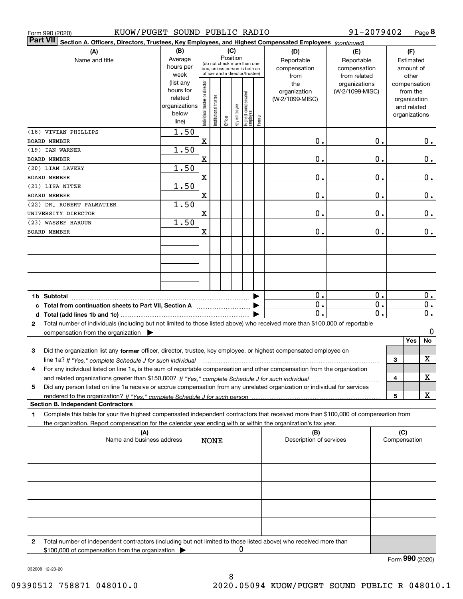| Form 990 (2020)                         | KUOW/PUGET SOUND PUBLIC RADIO                                                                                                           |                   |                                                                  |                       |         |              |                                 |              |                                | 91-2079402                    |                  |                     |                       | Page 8           |
|-----------------------------------------|-----------------------------------------------------------------------------------------------------------------------------------------|-------------------|------------------------------------------------------------------|-----------------------|---------|--------------|---------------------------------|--------------|--------------------------------|-------------------------------|------------------|---------------------|-----------------------|------------------|
| <b>Part VII</b>                         | Section A. Officers, Directors, Trustees, Key Employees, and Highest Compensated Employees (continued)                                  |                   |                                                                  |                       |         |              |                                 |              |                                |                               |                  |                     |                       |                  |
|                                         | (A)                                                                                                                                     | (B)               | (C)<br>Position                                                  |                       |         |              |                                 |              | (D)                            | (E)                           |                  |                     | (F)                   |                  |
|                                         | Name and title                                                                                                                          | Average           |                                                                  |                       |         |              | (do not check more than one     |              | Reportable                     | Reportable                    |                  |                     | Estimated             |                  |
|                                         |                                                                                                                                         | hours per<br>week | box, unless person is both an<br>officer and a director/trustee) |                       |         |              | compensation                    | compensation |                                |                               | amount of        |                     |                       |                  |
|                                         |                                                                                                                                         | (list any         |                                                                  |                       |         |              |                                 |              | from<br>the                    | from related<br>organizations |                  |                     | other<br>compensation |                  |
|                                         |                                                                                                                                         | hours for         |                                                                  |                       |         |              |                                 |              | organization                   | (W-2/1099-MISC)               |                  |                     | from the              |                  |
|                                         |                                                                                                                                         | related           |                                                                  |                       |         |              |                                 |              | (W-2/1099-MISC)                |                               |                  |                     | organization          |                  |
|                                         |                                                                                                                                         | organizations     |                                                                  |                       |         |              |                                 |              |                                |                               |                  |                     | and related           |                  |
|                                         |                                                                                                                                         | below             | Individual trustee or director                                   | Institutional trustee |         | key employee | Highest compensated<br>employee |              |                                |                               |                  |                     | organizations         |                  |
|                                         |                                                                                                                                         | line)             |                                                                  |                       | Officer |              |                                 | Former       |                                |                               |                  |                     |                       |                  |
|                                         | (18) VIVIAN PHILLIPS                                                                                                                    | 1.50              |                                                                  |                       |         |              |                                 |              |                                |                               |                  |                     |                       |                  |
| BOARD MEMBER                            |                                                                                                                                         |                   | X                                                                |                       |         |              |                                 |              | 0.                             |                               | 0.               |                     |                       | 0.               |
| (19) IAN WARNER                         |                                                                                                                                         | 1.50              |                                                                  |                       |         |              |                                 |              |                                |                               |                  |                     |                       |                  |
| BOARD MEMBER                            |                                                                                                                                         |                   | X                                                                |                       |         |              |                                 |              | 0.                             |                               | Ο.               |                     |                       | $0_{.}$          |
| (20) LIAM LAVERY<br><b>BOARD MEMBER</b> |                                                                                                                                         | 1.50              | X                                                                |                       |         |              |                                 |              | 0.                             |                               | Ο.               |                     |                       |                  |
| (21) LISA NITZE                         |                                                                                                                                         | 1.50              |                                                                  |                       |         |              |                                 |              |                                |                               |                  |                     |                       | 0.               |
| BOARD MEMBER                            |                                                                                                                                         |                   | X                                                                |                       |         |              |                                 |              | 0.                             |                               | Ο.               |                     |                       | 0.               |
|                                         | (22) DR. ROBERT PALMATIER                                                                                                               | 1.50              |                                                                  |                       |         |              |                                 |              |                                |                               |                  |                     |                       |                  |
|                                         | UNIVERSITY DIRECTOR                                                                                                                     |                   | X                                                                |                       |         |              |                                 |              | 0.                             |                               | Ο.               |                     |                       | 0.               |
| (23) WASSEF HAROUN                      |                                                                                                                                         | 1.50              |                                                                  |                       |         |              |                                 |              |                                |                               |                  |                     |                       |                  |
| <b>BOARD MEMBER</b>                     |                                                                                                                                         |                   | X                                                                |                       |         |              |                                 |              | 0.                             |                               | 0.               |                     |                       | 0.               |
|                                         |                                                                                                                                         |                   |                                                                  |                       |         |              |                                 |              |                                |                               |                  |                     |                       |                  |
|                                         |                                                                                                                                         |                   |                                                                  |                       |         |              |                                 |              |                                |                               |                  |                     |                       |                  |
|                                         |                                                                                                                                         |                   |                                                                  |                       |         |              |                                 |              |                                |                               |                  |                     |                       |                  |
|                                         |                                                                                                                                         |                   |                                                                  |                       |         |              |                                 |              |                                |                               |                  |                     |                       |                  |
|                                         |                                                                                                                                         |                   |                                                                  |                       |         |              |                                 |              |                                |                               |                  |                     |                       |                  |
|                                         |                                                                                                                                         |                   |                                                                  |                       |         |              |                                 |              | 0.                             |                               | 0.               |                     |                       | 0.               |
|                                         | c Total from continuation sheets to Part VII, Section A                                                                                 |                   |                                                                  |                       |         |              |                                 |              | $\overline{0}$ .               |                               | 0.               |                     |                       | 0.               |
|                                         |                                                                                                                                         |                   |                                                                  |                       |         |              |                                 |              | $\mathbf 0$ .                  |                               | $\overline{0}$ . |                     |                       | $\overline{0}$ . |
| 2                                       | Total number of individuals (including but not limited to those listed above) who received more than \$100,000 of reportable            |                   |                                                                  |                       |         |              |                                 |              |                                |                               |                  |                     |                       |                  |
|                                         | compensation from the organization $\blacktriangleright$                                                                                |                   |                                                                  |                       |         |              |                                 |              |                                |                               |                  |                     |                       | 0                |
|                                         |                                                                                                                                         |                   |                                                                  |                       |         |              |                                 |              |                                |                               |                  |                     | Yes                   | No               |
| 3                                       | Did the organization list any former officer, director, trustee, key employee, or highest compensated employee on                       |                   |                                                                  |                       |         |              |                                 |              |                                |                               |                  |                     |                       |                  |
|                                         | line 1a? If "Yes," complete Schedule J for such individual manufactured contained and the Ves," complete Schedule J for such individual |                   |                                                                  |                       |         |              |                                 |              |                                |                               |                  | 3                   |                       | х                |
| 4                                       | For any individual listed on line 1a, is the sum of reportable compensation and other compensation from the organization                |                   |                                                                  |                       |         |              |                                 |              |                                |                               |                  |                     |                       |                  |
|                                         |                                                                                                                                         |                   |                                                                  |                       |         |              |                                 |              |                                |                               |                  | 4                   |                       | х                |
| 5                                       | Did any person listed on line 1a receive or accrue compensation from any unrelated organization or individual for services              |                   |                                                                  |                       |         |              |                                 |              |                                |                               |                  |                     |                       |                  |
|                                         |                                                                                                                                         |                   |                                                                  |                       |         |              |                                 |              |                                |                               |                  | 5                   |                       | х                |
|                                         | <b>Section B. Independent Contractors</b>                                                                                               |                   |                                                                  |                       |         |              |                                 |              |                                |                               |                  |                     |                       |                  |
| 1                                       | Complete this table for your five highest compensated independent contractors that received more than \$100,000 of compensation from    |                   |                                                                  |                       |         |              |                                 |              |                                |                               |                  |                     |                       |                  |
|                                         | the organization. Report compensation for the calendar year ending with or within the organization's tax year.                          |                   |                                                                  |                       |         |              |                                 |              |                                |                               |                  |                     |                       |                  |
|                                         | (A)<br>Name and business address                                                                                                        |                   |                                                                  |                       |         |              |                                 |              | (B)<br>Description of services |                               |                  | (C)<br>Compensation |                       |                  |
|                                         |                                                                                                                                         |                   |                                                                  | <b>NONE</b>           |         |              |                                 |              |                                |                               |                  |                     |                       |                  |
|                                         |                                                                                                                                         |                   |                                                                  |                       |         |              |                                 |              |                                |                               |                  |                     |                       |                  |
|                                         |                                                                                                                                         |                   |                                                                  |                       |         |              |                                 |              |                                |                               |                  |                     |                       |                  |
|                                         |                                                                                                                                         |                   |                                                                  |                       |         |              |                                 |              |                                |                               |                  |                     |                       |                  |
|                                         |                                                                                                                                         |                   |                                                                  |                       |         |              |                                 |              |                                |                               |                  |                     |                       |                  |
|                                         |                                                                                                                                         |                   |                                                                  |                       |         |              |                                 |              |                                |                               |                  |                     |                       |                  |
|                                         |                                                                                                                                         |                   |                                                                  |                       |         |              |                                 |              |                                |                               |                  |                     |                       |                  |
|                                         |                                                                                                                                         |                   |                                                                  |                       |         |              |                                 |              |                                |                               |                  |                     |                       |                  |
| 2                                       | Total number of independent contractors (including but not limited to those listed above) who received more than                        |                   |                                                                  |                       |         |              |                                 |              |                                |                               |                  |                     |                       |                  |
|                                         | \$100,000 of compensation from the organization                                                                                         |                   |                                                                  |                       |         | 0            |                                 |              |                                |                               |                  |                     |                       |                  |
|                                         |                                                                                                                                         |                   |                                                                  |                       |         |              |                                 |              |                                |                               |                  | Form 990 (2020)     |                       |                  |

032008 12-23-20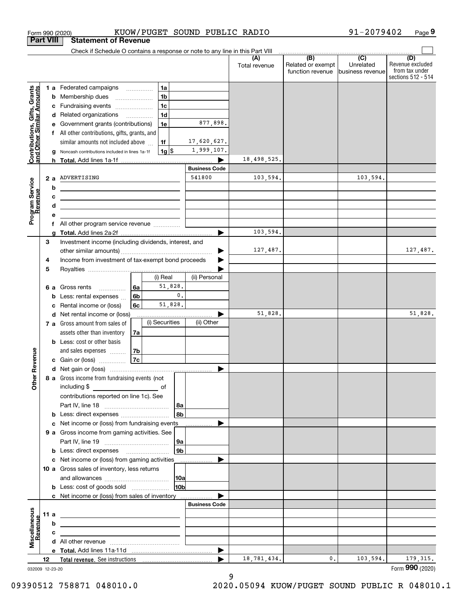|                                                           |      |        |                                                                                                                       |                                      |                    | Check if Schedule O contains a response or note to any line in this Part VIII |                      |                                              |                                                 |                                                                 |
|-----------------------------------------------------------|------|--------|-----------------------------------------------------------------------------------------------------------------------|--------------------------------------|--------------------|-------------------------------------------------------------------------------|----------------------|----------------------------------------------|-------------------------------------------------|-----------------------------------------------------------------|
|                                                           |      |        |                                                                                                                       |                                      |                    |                                                                               | (A)<br>Total revenue | (B)<br>Related or exempt<br>function revenue | $\overline{C}$<br>Unrelated<br>business revenue | (D)<br>Revenue excluded<br>from tax under<br>sections 512 - 514 |
|                                                           |      |        | <b>1 a</b> Federated campaigns                                                                                        |                                      | 1a                 |                                                                               |                      |                                              |                                                 |                                                                 |
| Contributions, Gifts, Grants<br>and Other Similar Amounts |      | b      | Membership dues                                                                                                       | $\ldots \ldots \ldots \ldots \ldots$ | 1 <sub>b</sub>     |                                                                               |                      |                                              |                                                 |                                                                 |
|                                                           |      | c      | Fundraising events                                                                                                    |                                      | 1 <sub>c</sub>     |                                                                               |                      |                                              |                                                 |                                                                 |
|                                                           |      |        | d Related organizations                                                                                               |                                      | 1 <sub>d</sub>     |                                                                               |                      |                                              |                                                 |                                                                 |
|                                                           |      | е      | Government grants (contributions)                                                                                     |                                      | 1e                 | 877,898.                                                                      |                      |                                              |                                                 |                                                                 |
|                                                           |      | f      | All other contributions, gifts, grants, and                                                                           |                                      |                    |                                                                               |                      |                                              |                                                 |                                                                 |
|                                                           |      |        | similar amounts not included above                                                                                    |                                      | 1f                 | 17,620,627.                                                                   |                      |                                              |                                                 |                                                                 |
|                                                           |      |        | Noncash contributions included in lines 1a-1f                                                                         |                                      | $1g$ $\frac{1}{3}$ | 1,999,107.                                                                    |                      |                                              |                                                 |                                                                 |
|                                                           |      |        |                                                                                                                       |                                      |                    |                                                                               | 18,498,525.          |                                              |                                                 |                                                                 |
|                                                           |      |        |                                                                                                                       |                                      |                    | <b>Business Code</b>                                                          |                      |                                              |                                                 |                                                                 |
|                                                           |      | 2a     | ADVERTISING                                                                                                           |                                      |                    | 541800                                                                        | 103,594.             |                                              | 103,594.                                        |                                                                 |
| Program Service<br>Revenue                                |      | b      | <u> 1989 - Johann Harry Barn, mars ar breist fan de Fryske kommunent (</u>                                            |                                      |                    |                                                                               |                      |                                              |                                                 |                                                                 |
|                                                           |      | c      | <u> 1989 - Johann Stein, marwolaethau a bhann an t-Amhainn an t-Amhainn an t-Amhainn an t-Amhainn an t-Amhainn an</u> |                                      |                    |                                                                               |                      |                                              |                                                 |                                                                 |
|                                                           |      | d<br>е | the control of the control of the control of the control of the control of                                            |                                      |                    |                                                                               |                      |                                              |                                                 |                                                                 |
|                                                           |      | f      |                                                                                                                       |                                      |                    |                                                                               |                      |                                              |                                                 |                                                                 |
|                                                           |      | a      |                                                                                                                       |                                      |                    | ▶                                                                             | 103,594.             |                                              |                                                 |                                                                 |
|                                                           | 3    |        | Investment income (including dividends, interest, and                                                                 |                                      |                    |                                                                               |                      |                                              |                                                 |                                                                 |
|                                                           |      |        |                                                                                                                       |                                      |                    |                                                                               | 127,487.             |                                              |                                                 | 127,487.                                                        |
|                                                           | 4    |        | Income from investment of tax-exempt bond proceeds                                                                    |                                      |                    |                                                                               |                      |                                              |                                                 |                                                                 |
|                                                           | 5    |        |                                                                                                                       |                                      |                    |                                                                               |                      |                                              |                                                 |                                                                 |
|                                                           |      |        |                                                                                                                       |                                      | (i) Real           | (ii) Personal                                                                 |                      |                                              |                                                 |                                                                 |
|                                                           |      | 6а     | Gross rents<br>.                                                                                                      | 6a                                   | 51,828.            |                                                                               |                      |                                              |                                                 |                                                                 |
|                                                           |      | b      | Less: rental expenses                                                                                                 | 6 <sub>b</sub>                       | $\mathfrak o$ .    |                                                                               |                      |                                              |                                                 |                                                                 |
|                                                           |      | с      | Rental income or (loss)                                                                                               | 6c                                   | 51,828.            |                                                                               |                      |                                              |                                                 |                                                                 |
|                                                           |      |        | d Net rental income or (loss)                                                                                         |                                      | (i) Securities     | (ii) Other                                                                    | 51,828.              |                                              |                                                 | 51,828.                                                         |
|                                                           |      |        | 7 a Gross amount from sales of<br>assets other than inventory                                                         | 7a                                   |                    |                                                                               |                      |                                              |                                                 |                                                                 |
|                                                           |      |        | <b>b</b> Less: cost or other basis                                                                                    |                                      |                    |                                                                               |                      |                                              |                                                 |                                                                 |
|                                                           |      |        | and sales expenses                                                                                                    | 7b                                   |                    |                                                                               |                      |                                              |                                                 |                                                                 |
|                                                           |      |        | c Gain or (loss)                                                                                                      | 7c                                   |                    |                                                                               |                      |                                              |                                                 |                                                                 |
| Revenue                                                   |      |        |                                                                                                                       |                                      |                    | ▶                                                                             |                      |                                              |                                                 |                                                                 |
|                                                           |      |        | 8 a Gross income from fundraising events (not                                                                         |                                      |                    |                                                                               |                      |                                              |                                                 |                                                                 |
| Othe                                                      |      |        | including \$                                                                                                          |                                      |                    |                                                                               |                      |                                              |                                                 |                                                                 |
|                                                           |      |        | contributions reported on line 1c). See                                                                               |                                      |                    |                                                                               |                      |                                              |                                                 |                                                                 |
|                                                           |      |        |                                                                                                                       |                                      | 8a                 |                                                                               |                      |                                              |                                                 |                                                                 |
|                                                           |      |        |                                                                                                                       |                                      | 8b                 |                                                                               |                      |                                              |                                                 |                                                                 |
|                                                           |      |        | c Net income or (loss) from fundraising events                                                                        |                                      |                    |                                                                               |                      |                                              |                                                 |                                                                 |
|                                                           |      |        | 9 a Gross income from gaming activities. See                                                                          |                                      |                    |                                                                               |                      |                                              |                                                 |                                                                 |
|                                                           |      |        |                                                                                                                       |                                      | 9a<br>9b           |                                                                               |                      |                                              |                                                 |                                                                 |
|                                                           |      |        | <b>b</b> Less: direct expenses <b>manually</b><br>c Net income or (loss) from gaming activities                       |                                      |                    |                                                                               |                      |                                              |                                                 |                                                                 |
|                                                           |      |        | 10 a Gross sales of inventory, less returns                                                                           |                                      |                    |                                                                               |                      |                                              |                                                 |                                                                 |
|                                                           |      |        |                                                                                                                       |                                      | 10a                |                                                                               |                      |                                              |                                                 |                                                                 |
|                                                           |      |        | <b>b</b> Less: cost of goods sold                                                                                     |                                      | 10b                |                                                                               |                      |                                              |                                                 |                                                                 |
|                                                           |      |        | c Net income or (loss) from sales of inventory                                                                        |                                      |                    |                                                                               |                      |                                              |                                                 |                                                                 |
|                                                           |      |        |                                                                                                                       |                                      |                    | <b>Business Code</b>                                                          |                      |                                              |                                                 |                                                                 |
|                                                           | 11 a |        | <u> 1989 - Johann Barbara, martxa al III-lea (h. 1989).</u>                                                           |                                      |                    |                                                                               |                      |                                              |                                                 |                                                                 |
| Miscellaneous<br>Revenue                                  |      | b      |                                                                                                                       |                                      |                    |                                                                               |                      |                                              |                                                 |                                                                 |
|                                                           |      | с      |                                                                                                                       |                                      |                    |                                                                               |                      |                                              |                                                 |                                                                 |
|                                                           |      |        |                                                                                                                       |                                      |                    |                                                                               |                      |                                              |                                                 |                                                                 |
|                                                           |      |        |                                                                                                                       |                                      |                    | ▶                                                                             |                      |                                              |                                                 |                                                                 |
|                                                           | 12   |        |                                                                                                                       |                                      |                    |                                                                               | 18,781,434.          | 0.                                           | 103,594.                                        | 179, 315.<br>Form 990 (2020)                                    |

Form 990 (2020) Page KUOW/PUGET SOUND PUBLIC RADIO

**9**

91-2079402

<sup>032009 12-23-20</sup>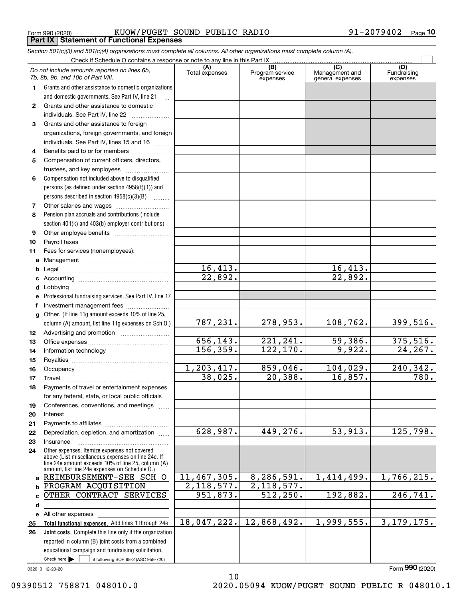Form 990 (2020) KUOW/PUGET SOUND PUBLIC RADIO 91-2079402 <sub>Page</sub> **Part IX Statement of Functional Expenses**

|              | Section 501(c)(3) and 501(c)(4) organizations must complete all columns. All other organizations must complete column (A).                                                                                 |                          |                                    |                                                      |                                |
|--------------|------------------------------------------------------------------------------------------------------------------------------------------------------------------------------------------------------------|--------------------------|------------------------------------|------------------------------------------------------|--------------------------------|
|              | Check if Schedule O contains a response or note to any line in this Part IX                                                                                                                                |                          |                                    |                                                      |                                |
|              | Do not include amounts reported on lines 6b,<br>7b, 8b, 9b, and 10b of Part VIII.                                                                                                                          | (A)<br>Total expenses    | (B)<br>Program service<br>expenses | $\overline{C}$<br>Management and<br>general expenses | (D)<br>Fundraising<br>expenses |
| 1.           | Grants and other assistance to domestic organizations                                                                                                                                                      |                          |                                    |                                                      |                                |
|              | and domestic governments. See Part IV, line 21                                                                                                                                                             |                          |                                    |                                                      |                                |
| $\mathbf{2}$ | Grants and other assistance to domestic                                                                                                                                                                    |                          |                                    |                                                      |                                |
|              | individuals. See Part IV, line 22                                                                                                                                                                          |                          |                                    |                                                      |                                |
| 3            | Grants and other assistance to foreign                                                                                                                                                                     |                          |                                    |                                                      |                                |
|              | organizations, foreign governments, and foreign                                                                                                                                                            |                          |                                    |                                                      |                                |
|              | individuals. See Part IV, lines 15 and 16                                                                                                                                                                  |                          |                                    |                                                      |                                |
| 4            | Benefits paid to or for members                                                                                                                                                                            |                          |                                    |                                                      |                                |
| 5            | Compensation of current officers, directors,                                                                                                                                                               |                          |                                    |                                                      |                                |
|              |                                                                                                                                                                                                            |                          |                                    |                                                      |                                |
| 6            | Compensation not included above to disqualified                                                                                                                                                            |                          |                                    |                                                      |                                |
|              | persons (as defined under section 4958(f)(1)) and                                                                                                                                                          |                          |                                    |                                                      |                                |
|              | persons described in section 4958(c)(3)(B)                                                                                                                                                                 |                          |                                    |                                                      |                                |
| 7            |                                                                                                                                                                                                            |                          |                                    |                                                      |                                |
| 8            | Pension plan accruals and contributions (include                                                                                                                                                           |                          |                                    |                                                      |                                |
|              | section 401(k) and 403(b) employer contributions)                                                                                                                                                          |                          |                                    |                                                      |                                |
| 9            |                                                                                                                                                                                                            |                          |                                    |                                                      |                                |
| 10           |                                                                                                                                                                                                            |                          |                                    |                                                      |                                |
| 11           | Fees for services (nonemployees):                                                                                                                                                                          |                          |                                    |                                                      |                                |
| а            |                                                                                                                                                                                                            |                          |                                    |                                                      |                                |
| b            |                                                                                                                                                                                                            | $\overline{16, 413}$ .   |                                    | 16,413.                                              |                                |
| c            |                                                                                                                                                                                                            | $\overline{22,892}$ .    |                                    | 22,892.                                              |                                |
| d            |                                                                                                                                                                                                            |                          |                                    |                                                      |                                |
|              | Professional fundraising services. See Part IV, line 17                                                                                                                                                    |                          |                                    |                                                      |                                |
| f            | Investment management fees                                                                                                                                                                                 |                          |                                    |                                                      |                                |
| g            | Other. (If line 11g amount exceeds 10% of line 25,                                                                                                                                                         |                          |                                    |                                                      |                                |
|              | column (A) amount, list line 11g expenses on Sch O.)                                                                                                                                                       | 787,231.                 | 278,953.                           | 108,762.                                             | 399,516.                       |
| 12           |                                                                                                                                                                                                            |                          |                                    |                                                      |                                |
| 13           |                                                                                                                                                                                                            | 656, 143.                | 221, 241.                          | 59,386.                                              | 375,516.                       |
| 14           |                                                                                                                                                                                                            | 156, 359.                | 122, 170.                          | 9,922.                                               | 24, 267.                       |
| 15           |                                                                                                                                                                                                            |                          |                                    |                                                      |                                |
| 16           |                                                                                                                                                                                                            | 1,203,417.               | 859,046.                           | 104,029.                                             | 240,342.                       |
| 17           |                                                                                                                                                                                                            | 38,025.                  | 20,388.                            | 16,857.                                              | 780.                           |
|              | Payments of travel or entertainment expenses                                                                                                                                                               |                          |                                    |                                                      |                                |
|              | for any federal, state, or local public officials                                                                                                                                                          |                          |                                    |                                                      |                                |
| 19           | Conferences, conventions, and meetings                                                                                                                                                                     |                          |                                    |                                                      |                                |
| 20           | Interest                                                                                                                                                                                                   |                          |                                    |                                                      |                                |
| 21           |                                                                                                                                                                                                            |                          |                                    |                                                      |                                |
| 22           | Depreciation, depletion, and amortization                                                                                                                                                                  | 628,987.                 | 449,276.                           | 53,913.                                              | 125,798.                       |
| 23           | Insurance                                                                                                                                                                                                  |                          |                                    |                                                      |                                |
| 24           | Other expenses. Itemize expenses not covered<br>above (List miscellaneous expenses on line 24e. If<br>line 24e amount exceeds 10% of line 25, column (A)<br>amount, list line 24e expenses on Schedule O.) |                          |                                    |                                                      |                                |
|              | a REIMBURSEMENT-SEE SCH O                                                                                                                                                                                  | 11,467,305.              | 8,286,591.                         | 1,414,499.                                           | 1,766,215.                     |
| b            | PROGRAM ACQUISITION                                                                                                                                                                                        | $\overline{2,118,577}$ . | 2, 118, 577.                       |                                                      |                                |
| c            | OTHER CONTRACT SERVICES                                                                                                                                                                                    | $\overline{951,873}$ .   | 512, 250.                          | 192,882.                                             | 246, 741.                      |
| d            |                                                                                                                                                                                                            |                          |                                    |                                                      |                                |
|              | e All other expenses                                                                                                                                                                                       |                          |                                    |                                                      |                                |
| 25           | Total functional expenses. Add lines 1 through 24e                                                                                                                                                         | 18,047,222.              | 12,868,492.                        | 1,999,555.                                           | 3, 179, 175.                   |
| 26           | Joint costs. Complete this line only if the organization                                                                                                                                                   |                          |                                    |                                                      |                                |
|              | reported in column (B) joint costs from a combined                                                                                                                                                         |                          |                                    |                                                      |                                |
|              | educational campaign and fundraising solicitation.                                                                                                                                                         |                          |                                    |                                                      |                                |
|              | Check here $\blacktriangleright$  <br>if following SOP 98-2 (ASC 958-720)                                                                                                                                  |                          |                                    |                                                      |                                |

10

032010 12-23-20

09390512 758871 048010.0 2020.05094 KUOW/PUGET SOUND PUBLIC R 048010.1

Form (2020) **990**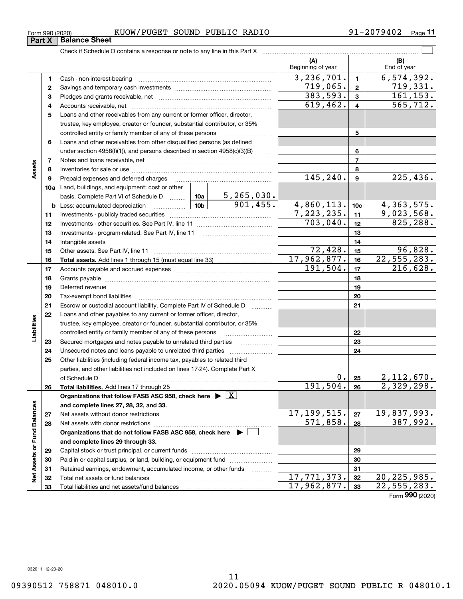# Form 990 (2020) KUOW/PUGET SOUND PUBLIC RADIO 91-2079402 <sub>Page</sub>

**11**

|                             |    |                                                                                                                                                                                                                                |           |             | (A)<br>Beginning of year |                         | (B)<br>End of year     |
|-----------------------------|----|--------------------------------------------------------------------------------------------------------------------------------------------------------------------------------------------------------------------------------|-----------|-------------|--------------------------|-------------------------|------------------------|
|                             | 1. |                                                                                                                                                                                                                                |           |             | 3, 236, 701.             | $\blacksquare$          | 6, 574, 392.           |
|                             | 2  |                                                                                                                                                                                                                                |           |             | 719,065.                 | $\mathbf{2}$            | 719,331.               |
|                             | 3  |                                                                                                                                                                                                                                |           |             | 383,593.                 | $\mathbf{3}$            | 161, 153.              |
|                             | 4  |                                                                                                                                                                                                                                |           |             | 619,462.                 | $\overline{\mathbf{4}}$ | $\overline{565, 712.}$ |
|                             | 5  | Loans and other receivables from any current or former officer, director,                                                                                                                                                      |           |             |                          |                         |                        |
|                             |    | trustee, key employee, creator or founder, substantial contributor, or 35%                                                                                                                                                     |           |             |                          |                         |                        |
|                             |    | controlled entity or family member of any of these persons                                                                                                                                                                     |           |             |                          | 5                       |                        |
|                             | 6  | Loans and other receivables from other disqualified persons (as defined                                                                                                                                                        |           |             |                          |                         |                        |
|                             |    | under section 4958(f)(1)), and persons described in section 4958(c)(3)(B)                                                                                                                                                      |           | $\ldots$    |                          | 6                       |                        |
|                             | 7  |                                                                                                                                                                                                                                |           |             |                          | $\overline{7}$          |                        |
| Assets                      | 8  |                                                                                                                                                                                                                                |           |             |                          | 8                       |                        |
|                             | 9  | Prepaid expenses and deferred charges                                                                                                                                                                                          | 145, 240. | 9           | 225,436.                 |                         |                        |
|                             |    | <b>10a</b> Land, buildings, and equipment: cost or other                                                                                                                                                                       |           |             |                          |                         |                        |
|                             |    | basis. Complete Part VI of Schedule D  10a   5, 265, 030.                                                                                                                                                                      |           |             |                          |                         |                        |
|                             |    |                                                                                                                                                                                                                                |           | 901,455.    | 4,860,113.               | 10 <sub>c</sub>         | 4,363,575.             |
|                             | 11 |                                                                                                                                                                                                                                |           | 7,223,235.  | 11                       | 9,023,568.              |                        |
|                             | 12 |                                                                                                                                                                                                                                | 703,040.  | 12          | 825,288.                 |                         |                        |
|                             | 13 |                                                                                                                                                                                                                                |           | 13          |                          |                         |                        |
|                             | 14 |                                                                                                                                                                                                                                |           |             |                          | 14                      |                        |
|                             | 15 |                                                                                                                                                                                                                                |           |             | $\overline{72, 428}$ .   | 15                      | 96,828.                |
|                             | 16 |                                                                                                                                                                                                                                |           |             | 17,962,877.              | 16                      | 22, 555, 283.          |
|                             | 17 |                                                                                                                                                                                                                                |           |             | 191,504.                 | 17                      | 216,628.               |
|                             | 18 |                                                                                                                                                                                                                                |           |             | 18                       |                         |                        |
|                             | 19 | Deferred revenue manual contracts and contracts are contracted and contract and contract are contracted and contract are contracted and contract are contracted and contract are contracted and contract are contracted and co |           | 19          |                          |                         |                        |
|                             | 20 |                                                                                                                                                                                                                                |           |             |                          | 20                      |                        |
|                             | 21 | Escrow or custodial account liability. Complete Part IV of Schedule D                                                                                                                                                          |           |             |                          | 21                      |                        |
|                             | 22 | Loans and other payables to any current or former officer, director,                                                                                                                                                           |           |             |                          |                         |                        |
| Liabilities                 |    | trustee, key employee, creator or founder, substantial contributor, or 35%                                                                                                                                                     |           |             |                          |                         |                        |
|                             |    | controlled entity or family member of any of these persons                                                                                                                                                                     |           |             |                          | 22                      |                        |
|                             | 23 | Secured mortgages and notes payable to unrelated third parties                                                                                                                                                                 |           |             |                          | 23                      |                        |
|                             | 24 |                                                                                                                                                                                                                                |           |             |                          | 24                      |                        |
|                             | 25 | Other liabilities (including federal income tax, payables to related third                                                                                                                                                     |           |             |                          |                         |                        |
|                             |    | parties, and other liabilities not included on lines 17-24). Complete Part X                                                                                                                                                   |           |             |                          |                         |                        |
|                             |    | of Schedule D <b>contract the contract of Schedule D</b>                                                                                                                                                                       |           |             | 0.1                      | 25                      | 2,112,670.             |
|                             | 26 |                                                                                                                                                                                                                                |           |             | 191, 504.                | 26                      | 2,329,298.             |
|                             |    | Organizations that follow FASB ASC 958, check here $\triangleright \lfloor X \rfloor$                                                                                                                                          |           |             |                          |                         |                        |
|                             |    | and complete lines 27, 28, 32, and 33.                                                                                                                                                                                         |           |             |                          |                         |                        |
|                             | 27 |                                                                                                                                                                                                                                |           |             | 17,199,515.              | 27                      | 19,837,993.            |
|                             | 28 |                                                                                                                                                                                                                                |           |             | $\overline{571}$ , 858.  | 28                      | 387,992.               |
|                             |    | Organizations that do not follow FASB ASC 958, check here ▶ □                                                                                                                                                                  |           |             |                          |                         |                        |
|                             |    | and complete lines 29 through 33.                                                                                                                                                                                              |           |             |                          |                         |                        |
|                             | 29 |                                                                                                                                                                                                                                |           |             |                          | 29                      |                        |
| Net Assets or Fund Balances | 30 | Paid-in or capital surplus, or land, building, or equipment fund                                                                                                                                                               |           |             |                          | 30                      |                        |
|                             | 31 | Retained earnings, endowment, accumulated income, or other funds                                                                                                                                                               |           |             |                          | 31                      |                        |
|                             | 32 |                                                                                                                                                                                                                                |           |             | 17,771,373.              | 32                      | 20, 225, 985.          |
|                             | 33 |                                                                                                                                                                                                                                |           | 17,962,877. | 33                       | 22,555,283.             |                        |

Form (2020) **990**

**Part X Balance Sheet**<br>**Part X Balance Sheet**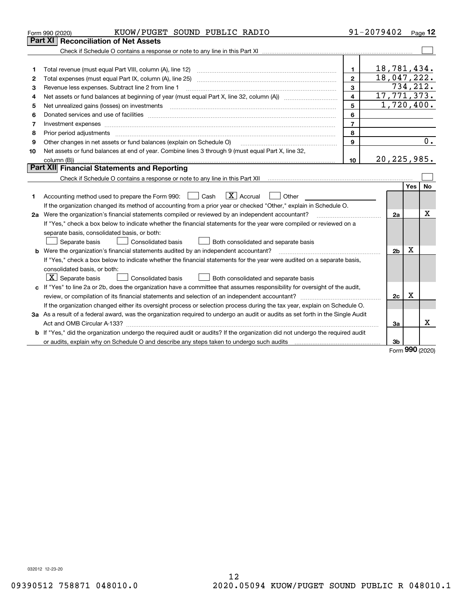| Part XI<br>18,781,434.<br>1<br>1<br>18,047,222.<br>$\mathbf{2}$<br>2<br>734,212.<br>3<br>Revenue less expenses. Subtract line 2 from line 1<br>з<br>$\overline{17,771,373}$ .<br>4<br>4<br>1,720,400.<br>5<br>5<br>Net unrealized gains (losses) on investments<br>6<br>6<br>$\overline{7}$<br>Investment expenses www.communication.com/www.communication.com/www.communication.com/www.communication.com<br>7<br>8<br>8<br>Prior period adjustments www.communication.communication.com/news/communication.com/news/communication.com/new<br>0.<br>9<br>Other changes in net assets or fund balances (explain on Schedule O)<br>9<br>Net assets or fund balances at end of year. Combine lines 3 through 9 (must equal Part X, line 32,<br>10<br>20, 225, 985.<br>10<br>Part XII Financial Statements and Reporting<br>Yes<br><b>No</b><br>$\boxed{\mathbf{X}}$ Accrual<br>Accounting method used to prepare the Form 990: <u>[</u> Cash<br>Other<br>1.<br>If the organization changed its method of accounting from a prior year or checked "Other," explain in Schedule O.<br>Х<br>2a Were the organization's financial statements compiled or reviewed by an independent accountant?<br>2a<br>If "Yes," check a box below to indicate whether the financial statements for the year were compiled or reviewed on a<br>separate basis, consolidated basis, or both:<br>Separate basis<br>Consolidated basis<br>Both consolidated and separate basis<br>х<br>b Were the organization's financial statements audited by an independent accountant?<br>2 <sub>b</sub><br>If "Yes," check a box below to indicate whether the financial statements for the year were audited on a separate basis,<br>consolidated basis, or both:<br>$\lfloor x \rfloor$ Separate basis<br>Consolidated basis<br>Both consolidated and separate basis<br>c If "Yes" to line 2a or 2b, does the organization have a committee that assumes responsibility for oversight of the audit,<br>х<br>2c<br>If the organization changed either its oversight process or selection process during the tax year, explain on Schedule O.<br>3a As a result of a federal award, was the organization required to undergo an audit or audits as set forth in the Single Audit<br>x<br>За<br>b If "Yes," did the organization undergo the required audit or audits? If the organization did not undergo the required audit<br>3b | KUOW/PUGET SOUND PUBLIC RADIO<br>Form 990 (2020) |  | 91-2079402 |  |      | Page 12 |  |  |
|---------------------------------------------------------------------------------------------------------------------------------------------------------------------------------------------------------------------------------------------------------------------------------------------------------------------------------------------------------------------------------------------------------------------------------------------------------------------------------------------------------------------------------------------------------------------------------------------------------------------------------------------------------------------------------------------------------------------------------------------------------------------------------------------------------------------------------------------------------------------------------------------------------------------------------------------------------------------------------------------------------------------------------------------------------------------------------------------------------------------------------------------------------------------------------------------------------------------------------------------------------------------------------------------------------------------------------------------------------------------------------------------------------------------------------------------------------------------------------------------------------------------------------------------------------------------------------------------------------------------------------------------------------------------------------------------------------------------------------------------------------------------------------------------------------------------------------------------------------------------------------------------------------------------------------------------------------------------------------------------------------------------------------------------------------------------------------------------------------------------------------------------------------------------------------------------------------------------------------------------------------------------------------------------------------------------------------------------------------------------------------------------------|--------------------------------------------------|--|------------|--|------|---------|--|--|
|                                                                                                                                                                                                                                                                                                                                                                                                                                                                                                                                                                                                                                                                                                                                                                                                                                                                                                                                                                                                                                                                                                                                                                                                                                                                                                                                                                                                                                                                                                                                                                                                                                                                                                                                                                                                                                                                                                                                                                                                                                                                                                                                                                                                                                                                                                                                                                                                   | <b>Reconciliation of Net Assets</b>              |  |            |  |      |         |  |  |
|                                                                                                                                                                                                                                                                                                                                                                                                                                                                                                                                                                                                                                                                                                                                                                                                                                                                                                                                                                                                                                                                                                                                                                                                                                                                                                                                                                                                                                                                                                                                                                                                                                                                                                                                                                                                                                                                                                                                                                                                                                                                                                                                                                                                                                                                                                                                                                                                   |                                                  |  |            |  |      |         |  |  |
|                                                                                                                                                                                                                                                                                                                                                                                                                                                                                                                                                                                                                                                                                                                                                                                                                                                                                                                                                                                                                                                                                                                                                                                                                                                                                                                                                                                                                                                                                                                                                                                                                                                                                                                                                                                                                                                                                                                                                                                                                                                                                                                                                                                                                                                                                                                                                                                                   |                                                  |  |            |  |      |         |  |  |
|                                                                                                                                                                                                                                                                                                                                                                                                                                                                                                                                                                                                                                                                                                                                                                                                                                                                                                                                                                                                                                                                                                                                                                                                                                                                                                                                                                                                                                                                                                                                                                                                                                                                                                                                                                                                                                                                                                                                                                                                                                                                                                                                                                                                                                                                                                                                                                                                   |                                                  |  |            |  |      |         |  |  |
|                                                                                                                                                                                                                                                                                                                                                                                                                                                                                                                                                                                                                                                                                                                                                                                                                                                                                                                                                                                                                                                                                                                                                                                                                                                                                                                                                                                                                                                                                                                                                                                                                                                                                                                                                                                                                                                                                                                                                                                                                                                                                                                                                                                                                                                                                                                                                                                                   |                                                  |  |            |  |      |         |  |  |
|                                                                                                                                                                                                                                                                                                                                                                                                                                                                                                                                                                                                                                                                                                                                                                                                                                                                                                                                                                                                                                                                                                                                                                                                                                                                                                                                                                                                                                                                                                                                                                                                                                                                                                                                                                                                                                                                                                                                                                                                                                                                                                                                                                                                                                                                                                                                                                                                   |                                                  |  |            |  |      |         |  |  |
|                                                                                                                                                                                                                                                                                                                                                                                                                                                                                                                                                                                                                                                                                                                                                                                                                                                                                                                                                                                                                                                                                                                                                                                                                                                                                                                                                                                                                                                                                                                                                                                                                                                                                                                                                                                                                                                                                                                                                                                                                                                                                                                                                                                                                                                                                                                                                                                                   |                                                  |  |            |  |      |         |  |  |
|                                                                                                                                                                                                                                                                                                                                                                                                                                                                                                                                                                                                                                                                                                                                                                                                                                                                                                                                                                                                                                                                                                                                                                                                                                                                                                                                                                                                                                                                                                                                                                                                                                                                                                                                                                                                                                                                                                                                                                                                                                                                                                                                                                                                                                                                                                                                                                                                   |                                                  |  |            |  |      |         |  |  |
|                                                                                                                                                                                                                                                                                                                                                                                                                                                                                                                                                                                                                                                                                                                                                                                                                                                                                                                                                                                                                                                                                                                                                                                                                                                                                                                                                                                                                                                                                                                                                                                                                                                                                                                                                                                                                                                                                                                                                                                                                                                                                                                                                                                                                                                                                                                                                                                                   |                                                  |  |            |  |      |         |  |  |
|                                                                                                                                                                                                                                                                                                                                                                                                                                                                                                                                                                                                                                                                                                                                                                                                                                                                                                                                                                                                                                                                                                                                                                                                                                                                                                                                                                                                                                                                                                                                                                                                                                                                                                                                                                                                                                                                                                                                                                                                                                                                                                                                                                                                                                                                                                                                                                                                   |                                                  |  |            |  |      |         |  |  |
|                                                                                                                                                                                                                                                                                                                                                                                                                                                                                                                                                                                                                                                                                                                                                                                                                                                                                                                                                                                                                                                                                                                                                                                                                                                                                                                                                                                                                                                                                                                                                                                                                                                                                                                                                                                                                                                                                                                                                                                                                                                                                                                                                                                                                                                                                                                                                                                                   |                                                  |  |            |  |      |         |  |  |
|                                                                                                                                                                                                                                                                                                                                                                                                                                                                                                                                                                                                                                                                                                                                                                                                                                                                                                                                                                                                                                                                                                                                                                                                                                                                                                                                                                                                                                                                                                                                                                                                                                                                                                                                                                                                                                                                                                                                                                                                                                                                                                                                                                                                                                                                                                                                                                                                   |                                                  |  |            |  |      |         |  |  |
|                                                                                                                                                                                                                                                                                                                                                                                                                                                                                                                                                                                                                                                                                                                                                                                                                                                                                                                                                                                                                                                                                                                                                                                                                                                                                                                                                                                                                                                                                                                                                                                                                                                                                                                                                                                                                                                                                                                                                                                                                                                                                                                                                                                                                                                                                                                                                                                                   |                                                  |  |            |  |      |         |  |  |
|                                                                                                                                                                                                                                                                                                                                                                                                                                                                                                                                                                                                                                                                                                                                                                                                                                                                                                                                                                                                                                                                                                                                                                                                                                                                                                                                                                                                                                                                                                                                                                                                                                                                                                                                                                                                                                                                                                                                                                                                                                                                                                                                                                                                                                                                                                                                                                                                   |                                                  |  |            |  |      |         |  |  |
|                                                                                                                                                                                                                                                                                                                                                                                                                                                                                                                                                                                                                                                                                                                                                                                                                                                                                                                                                                                                                                                                                                                                                                                                                                                                                                                                                                                                                                                                                                                                                                                                                                                                                                                                                                                                                                                                                                                                                                                                                                                                                                                                                                                                                                                                                                                                                                                                   |                                                  |  |            |  |      |         |  |  |
|                                                                                                                                                                                                                                                                                                                                                                                                                                                                                                                                                                                                                                                                                                                                                                                                                                                                                                                                                                                                                                                                                                                                                                                                                                                                                                                                                                                                                                                                                                                                                                                                                                                                                                                                                                                                                                                                                                                                                                                                                                                                                                                                                                                                                                                                                                                                                                                                   |                                                  |  |            |  |      |         |  |  |
|                                                                                                                                                                                                                                                                                                                                                                                                                                                                                                                                                                                                                                                                                                                                                                                                                                                                                                                                                                                                                                                                                                                                                                                                                                                                                                                                                                                                                                                                                                                                                                                                                                                                                                                                                                                                                                                                                                                                                                                                                                                                                                                                                                                                                                                                                                                                                                                                   |                                                  |  |            |  |      |         |  |  |
|                                                                                                                                                                                                                                                                                                                                                                                                                                                                                                                                                                                                                                                                                                                                                                                                                                                                                                                                                                                                                                                                                                                                                                                                                                                                                                                                                                                                                                                                                                                                                                                                                                                                                                                                                                                                                                                                                                                                                                                                                                                                                                                                                                                                                                                                                                                                                                                                   |                                                  |  |            |  |      |         |  |  |
|                                                                                                                                                                                                                                                                                                                                                                                                                                                                                                                                                                                                                                                                                                                                                                                                                                                                                                                                                                                                                                                                                                                                                                                                                                                                                                                                                                                                                                                                                                                                                                                                                                                                                                                                                                                                                                                                                                                                                                                                                                                                                                                                                                                                                                                                                                                                                                                                   |                                                  |  |            |  |      |         |  |  |
|                                                                                                                                                                                                                                                                                                                                                                                                                                                                                                                                                                                                                                                                                                                                                                                                                                                                                                                                                                                                                                                                                                                                                                                                                                                                                                                                                                                                                                                                                                                                                                                                                                                                                                                                                                                                                                                                                                                                                                                                                                                                                                                                                                                                                                                                                                                                                                                                   |                                                  |  |            |  |      |         |  |  |
|                                                                                                                                                                                                                                                                                                                                                                                                                                                                                                                                                                                                                                                                                                                                                                                                                                                                                                                                                                                                                                                                                                                                                                                                                                                                                                                                                                                                                                                                                                                                                                                                                                                                                                                                                                                                                                                                                                                                                                                                                                                                                                                                                                                                                                                                                                                                                                                                   |                                                  |  |            |  |      |         |  |  |
|                                                                                                                                                                                                                                                                                                                                                                                                                                                                                                                                                                                                                                                                                                                                                                                                                                                                                                                                                                                                                                                                                                                                                                                                                                                                                                                                                                                                                                                                                                                                                                                                                                                                                                                                                                                                                                                                                                                                                                                                                                                                                                                                                                                                                                                                                                                                                                                                   |                                                  |  |            |  |      |         |  |  |
|                                                                                                                                                                                                                                                                                                                                                                                                                                                                                                                                                                                                                                                                                                                                                                                                                                                                                                                                                                                                                                                                                                                                                                                                                                                                                                                                                                                                                                                                                                                                                                                                                                                                                                                                                                                                                                                                                                                                                                                                                                                                                                                                                                                                                                                                                                                                                                                                   |                                                  |  |            |  |      |         |  |  |
|                                                                                                                                                                                                                                                                                                                                                                                                                                                                                                                                                                                                                                                                                                                                                                                                                                                                                                                                                                                                                                                                                                                                                                                                                                                                                                                                                                                                                                                                                                                                                                                                                                                                                                                                                                                                                                                                                                                                                                                                                                                                                                                                                                                                                                                                                                                                                                                                   |                                                  |  |            |  |      |         |  |  |
|                                                                                                                                                                                                                                                                                                                                                                                                                                                                                                                                                                                                                                                                                                                                                                                                                                                                                                                                                                                                                                                                                                                                                                                                                                                                                                                                                                                                                                                                                                                                                                                                                                                                                                                                                                                                                                                                                                                                                                                                                                                                                                                                                                                                                                                                                                                                                                                                   |                                                  |  |            |  |      |         |  |  |
|                                                                                                                                                                                                                                                                                                                                                                                                                                                                                                                                                                                                                                                                                                                                                                                                                                                                                                                                                                                                                                                                                                                                                                                                                                                                                                                                                                                                                                                                                                                                                                                                                                                                                                                                                                                                                                                                                                                                                                                                                                                                                                                                                                                                                                                                                                                                                                                                   |                                                  |  |            |  |      |         |  |  |
|                                                                                                                                                                                                                                                                                                                                                                                                                                                                                                                                                                                                                                                                                                                                                                                                                                                                                                                                                                                                                                                                                                                                                                                                                                                                                                                                                                                                                                                                                                                                                                                                                                                                                                                                                                                                                                                                                                                                                                                                                                                                                                                                                                                                                                                                                                                                                                                                   |                                                  |  |            |  |      |         |  |  |
|                                                                                                                                                                                                                                                                                                                                                                                                                                                                                                                                                                                                                                                                                                                                                                                                                                                                                                                                                                                                                                                                                                                                                                                                                                                                                                                                                                                                                                                                                                                                                                                                                                                                                                                                                                                                                                                                                                                                                                                                                                                                                                                                                                                                                                                                                                                                                                                                   |                                                  |  |            |  |      |         |  |  |
|                                                                                                                                                                                                                                                                                                                                                                                                                                                                                                                                                                                                                                                                                                                                                                                                                                                                                                                                                                                                                                                                                                                                                                                                                                                                                                                                                                                                                                                                                                                                                                                                                                                                                                                                                                                                                                                                                                                                                                                                                                                                                                                                                                                                                                                                                                                                                                                                   |                                                  |  |            |  |      |         |  |  |
|                                                                                                                                                                                                                                                                                                                                                                                                                                                                                                                                                                                                                                                                                                                                                                                                                                                                                                                                                                                                                                                                                                                                                                                                                                                                                                                                                                                                                                                                                                                                                                                                                                                                                                                                                                                                                                                                                                                                                                                                                                                                                                                                                                                                                                                                                                                                                                                                   |                                                  |  |            |  |      |         |  |  |
|                                                                                                                                                                                                                                                                                                                                                                                                                                                                                                                                                                                                                                                                                                                                                                                                                                                                                                                                                                                                                                                                                                                                                                                                                                                                                                                                                                                                                                                                                                                                                                                                                                                                                                                                                                                                                                                                                                                                                                                                                                                                                                                                                                                                                                                                                                                                                                                                   |                                                  |  |            |  |      |         |  |  |
|                                                                                                                                                                                                                                                                                                                                                                                                                                                                                                                                                                                                                                                                                                                                                                                                                                                                                                                                                                                                                                                                                                                                                                                                                                                                                                                                                                                                                                                                                                                                                                                                                                                                                                                                                                                                                                                                                                                                                                                                                                                                                                                                                                                                                                                                                                                                                                                                   |                                                  |  |            |  |      |         |  |  |
|                                                                                                                                                                                                                                                                                                                                                                                                                                                                                                                                                                                                                                                                                                                                                                                                                                                                                                                                                                                                                                                                                                                                                                                                                                                                                                                                                                                                                                                                                                                                                                                                                                                                                                                                                                                                                                                                                                                                                                                                                                                                                                                                                                                                                                                                                                                                                                                                   |                                                  |  |            |  |      |         |  |  |
|                                                                                                                                                                                                                                                                                                                                                                                                                                                                                                                                                                                                                                                                                                                                                                                                                                                                                                                                                                                                                                                                                                                                                                                                                                                                                                                                                                                                                                                                                                                                                                                                                                                                                                                                                                                                                                                                                                                                                                                                                                                                                                                                                                                                                                                                                                                                                                                                   |                                                  |  |            |  | nnn. |         |  |  |

Form (2020) **990**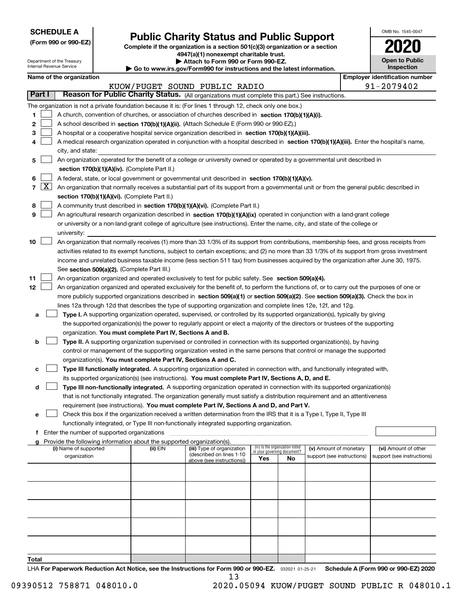| <b>SCHEDULE A</b> |
|-------------------|
|-------------------|

Department of the Treasury Internal Revenue Service

**(Form 990 or 990-EZ)**

# **Public Charity Status and Public Support**

**Complete if the organization is a section 501(c)(3) organization or a section 4947(a)(1) nonexempt charitable trust.**

| Attach to Form 990 or Form 990-EZ. |  |  |  |
|------------------------------------|--|--|--|
|                                    |  |  |  |

**| Go to www.irs.gov/Form990 for instructions and the latest information.**

| OMB No. 1545-0047                   |
|-------------------------------------|
| 2020                                |
| <b>Open to Public</b><br>Inspection |

|        | Name of the organization<br><b>Employer identification number</b> |                                                                                                                                                                                                                                  |          |                                                       |                                                                |     |                            |  |                            |
|--------|-------------------------------------------------------------------|----------------------------------------------------------------------------------------------------------------------------------------------------------------------------------------------------------------------------------|----------|-------------------------------------------------------|----------------------------------------------------------------|-----|----------------------------|--|----------------------------|
|        |                                                                   |                                                                                                                                                                                                                                  |          | KUOW/PUGET SOUND PUBLIC RADIO                         |                                                                |     |                            |  | 91-2079402                 |
| Part I |                                                                   | Reason for Public Charity Status. (All organizations must complete this part.) See instructions.                                                                                                                                 |          |                                                       |                                                                |     |                            |  |                            |
|        |                                                                   | The organization is not a private foundation because it is: (For lines 1 through 12, check only one box.)                                                                                                                        |          |                                                       |                                                                |     |                            |  |                            |
| 1      |                                                                   | A church, convention of churches, or association of churches described in section 170(b)(1)(A)(i).                                                                                                                               |          |                                                       |                                                                |     |                            |  |                            |
| 2      |                                                                   | A school described in section 170(b)(1)(A)(ii). (Attach Schedule E (Form 990 or 990-EZ).)                                                                                                                                        |          |                                                       |                                                                |     |                            |  |                            |
| з      |                                                                   | A hospital or a cooperative hospital service organization described in section $170(b)(1)(A)(iii)$ .                                                                                                                             |          |                                                       |                                                                |     |                            |  |                            |
| 4      |                                                                   | A medical research organization operated in conjunction with a hospital described in section 170(b)(1)(A)(iii). Enter the hospital's name,                                                                                       |          |                                                       |                                                                |     |                            |  |                            |
|        |                                                                   | city, and state:                                                                                                                                                                                                                 |          |                                                       |                                                                |     |                            |  |                            |
| 5      |                                                                   | An organization operated for the benefit of a college or university owned or operated by a governmental unit described in                                                                                                        |          |                                                       |                                                                |     |                            |  |                            |
|        |                                                                   | section 170(b)(1)(A)(iv). (Complete Part II.)                                                                                                                                                                                    |          |                                                       |                                                                |     |                            |  |                            |
| 6      |                                                                   | A federal, state, or local government or governmental unit described in section 170(b)(1)(A)(v).                                                                                                                                 |          |                                                       |                                                                |     |                            |  |                            |
|        | $7 \times$                                                        | An organization that normally receives a substantial part of its support from a governmental unit or from the general public described in                                                                                        |          |                                                       |                                                                |     |                            |  |                            |
|        |                                                                   | section 170(b)(1)(A)(vi). (Complete Part II.)                                                                                                                                                                                    |          |                                                       |                                                                |     |                            |  |                            |
| 8      |                                                                   | A community trust described in section 170(b)(1)(A)(vi). (Complete Part II.)                                                                                                                                                     |          |                                                       |                                                                |     |                            |  |                            |
| 9      |                                                                   | An agricultural research organization described in section 170(b)(1)(A)(ix) operated in conjunction with a land-grant college                                                                                                    |          |                                                       |                                                                |     |                            |  |                            |
|        |                                                                   | or university or a non-land-grant college of agriculture (see instructions). Enter the name, city, and state of the college or                                                                                                   |          |                                                       |                                                                |     |                            |  |                            |
|        |                                                                   | university:                                                                                                                                                                                                                      |          |                                                       |                                                                |     |                            |  |                            |
| 10     |                                                                   | An organization that normally receives (1) more than 33 1/3% of its support from contributions, membership fees, and gross receipts from                                                                                         |          |                                                       |                                                                |     |                            |  |                            |
|        |                                                                   | activities related to its exempt functions, subject to certain exceptions; and (2) no more than 33 1/3% of its support from gross investment                                                                                     |          |                                                       |                                                                |     |                            |  |                            |
|        |                                                                   | income and unrelated business taxable income (less section 511 tax) from businesses acquired by the organization after June 30, 1975.                                                                                            |          |                                                       |                                                                |     |                            |  |                            |
|        |                                                                   | See section 509(a)(2). (Complete Part III.)                                                                                                                                                                                      |          |                                                       |                                                                |     |                            |  |                            |
| 11     |                                                                   | An organization organized and operated exclusively to test for public safety. See section 509(a)(4).                                                                                                                             |          |                                                       |                                                                |     |                            |  |                            |
| 12     |                                                                   | An organization organized and operated exclusively for the benefit of, to perform the functions of, or to carry out the purposes of one or                                                                                       |          |                                                       |                                                                |     |                            |  |                            |
|        |                                                                   | more publicly supported organizations described in section 509(a)(1) or section 509(a)(2). See section 509(a)(3). Check the box in                                                                                               |          |                                                       |                                                                |     |                            |  |                            |
|        |                                                                   | lines 12a through 12d that describes the type of supporting organization and complete lines 12e, 12f, and 12g.                                                                                                                   |          |                                                       |                                                                |     |                            |  |                            |
| a      |                                                                   | Type I. A supporting organization operated, supervised, or controlled by its supported organization(s), typically by giving                                                                                                      |          |                                                       |                                                                |     |                            |  |                            |
|        |                                                                   | the supported organization(s) the power to regularly appoint or elect a majority of the directors or trustees of the supporting                                                                                                  |          |                                                       |                                                                |     |                            |  |                            |
|        |                                                                   | organization. You must complete Part IV, Sections A and B.                                                                                                                                                                       |          |                                                       |                                                                |     |                            |  |                            |
| b      |                                                                   | Type II. A supporting organization supervised or controlled in connection with its supported organization(s), by having                                                                                                          |          |                                                       |                                                                |     |                            |  |                            |
|        |                                                                   | control or management of the supporting organization vested in the same persons that control or manage the supported                                                                                                             |          |                                                       |                                                                |     |                            |  |                            |
|        |                                                                   | organization(s). You must complete Part IV, Sections A and C.                                                                                                                                                                    |          |                                                       |                                                                |     |                            |  |                            |
| с      |                                                                   | Type III functionally integrated. A supporting organization operated in connection with, and functionally integrated with,<br>its supported organization(s) (see instructions). You must complete Part IV, Sections A, D, and E. |          |                                                       |                                                                |     |                            |  |                            |
| d      |                                                                   | Type III non-functionally integrated. A supporting organization operated in connection with its supported organization(s)                                                                                                        |          |                                                       |                                                                |     |                            |  |                            |
|        |                                                                   | that is not functionally integrated. The organization generally must satisfy a distribution requirement and an attentiveness                                                                                                     |          |                                                       |                                                                |     |                            |  |                            |
|        |                                                                   | requirement (see instructions). You must complete Part IV, Sections A and D, and Part V.                                                                                                                                         |          |                                                       |                                                                |     |                            |  |                            |
| е      |                                                                   | Check this box if the organization received a written determination from the IRS that it is a Type I, Type II, Type III                                                                                                          |          |                                                       |                                                                |     |                            |  |                            |
|        |                                                                   | functionally integrated, or Type III non-functionally integrated supporting organization.                                                                                                                                        |          |                                                       |                                                                |     |                            |  |                            |
| f      |                                                                   | Enter the number of supported organizations                                                                                                                                                                                      |          |                                                       |                                                                |     |                            |  |                            |
|        |                                                                   | Provide the following information about the supported organization(s).                                                                                                                                                           |          |                                                       |                                                                |     |                            |  |                            |
|        |                                                                   | (i) Name of supported                                                                                                                                                                                                            | (ii) EIN | (iii) Type of organization                            | (iv) Is the organization listed<br>in your governing document? |     | (v) Amount of monetary     |  | (vi) Amount of other       |
|        |                                                                   | organization                                                                                                                                                                                                                     |          | (described on lines 1-10<br>above (see instructions)) | Yes                                                            | No. | support (see instructions) |  | support (see instructions) |
|        |                                                                   |                                                                                                                                                                                                                                  |          |                                                       |                                                                |     |                            |  |                            |
|        |                                                                   |                                                                                                                                                                                                                                  |          |                                                       |                                                                |     |                            |  |                            |
|        |                                                                   |                                                                                                                                                                                                                                  |          |                                                       |                                                                |     |                            |  |                            |
|        |                                                                   |                                                                                                                                                                                                                                  |          |                                                       |                                                                |     |                            |  |                            |
|        |                                                                   |                                                                                                                                                                                                                                  |          |                                                       |                                                                |     |                            |  |                            |
|        |                                                                   |                                                                                                                                                                                                                                  |          |                                                       |                                                                |     |                            |  |                            |
|        |                                                                   |                                                                                                                                                                                                                                  |          |                                                       |                                                                |     |                            |  |                            |
|        |                                                                   |                                                                                                                                                                                                                                  |          |                                                       |                                                                |     |                            |  |                            |
|        |                                                                   |                                                                                                                                                                                                                                  |          |                                                       |                                                                |     |                            |  |                            |
| Total  |                                                                   |                                                                                                                                                                                                                                  |          |                                                       |                                                                |     |                            |  |                            |
|        |                                                                   |                                                                                                                                                                                                                                  |          |                                                       |                                                                |     |                            |  |                            |

LHA For Paperwork Reduction Act Notice, see the Instructions for Form 990 or 990-EZ. <sub>032021</sub> o1-25-21 Schedule A (Form 990 or 990-EZ) 2020 13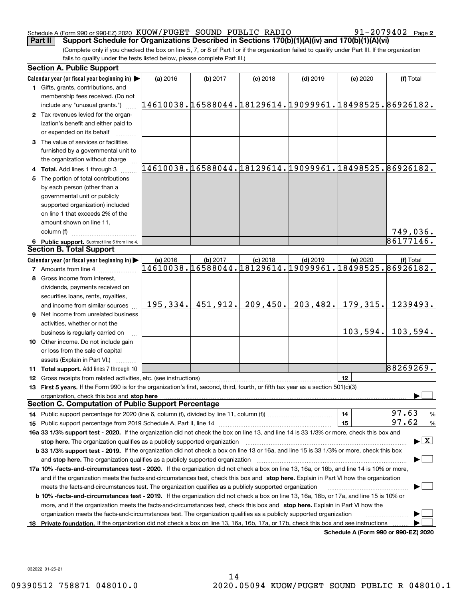### Schedule A (Form 990 or 990-EZ) 2020 Page KUOW/PUGET SOUND PUBLIC RADIO 91-2079402 **Part II Support Schedule for Organizations Described in Sections 170(b)(1)(A)(iv) and 170(b)(1)(A)(vi)**

**2**

(Complete only if you checked the box on line 5, 7, or 8 of Part I or if the organization failed to qualify under Part III. If the organization fails to qualify under the tests listed below, please complete Part III.)

|    | <b>Section A. Public Support</b>                                                                                                               |                                                        |          |            |                                                        |          |                                                        |
|----|------------------------------------------------------------------------------------------------------------------------------------------------|--------------------------------------------------------|----------|------------|--------------------------------------------------------|----------|--------------------------------------------------------|
|    | Calendar year (or fiscal year beginning in)                                                                                                    | (a) 2016                                               | (b) 2017 | $(c)$ 2018 | $(d)$ 2019                                             | (e) 2020 | (f) Total                                              |
|    | 1 Gifts, grants, contributions, and                                                                                                            |                                                        |          |            |                                                        |          |                                                        |
|    | membership fees received. (Do not                                                                                                              |                                                        |          |            |                                                        |          |                                                        |
|    | include any "unusual grants.")                                                                                                                 | 14610038.16588044.18129614.19099961.18498525.86926182. |          |            |                                                        |          |                                                        |
|    | 2 Tax revenues levied for the organ-                                                                                                           |                                                        |          |            |                                                        |          |                                                        |
|    | ization's benefit and either paid to                                                                                                           |                                                        |          |            |                                                        |          |                                                        |
|    | or expended on its behalf                                                                                                                      |                                                        |          |            |                                                        |          |                                                        |
|    | 3 The value of services or facilities                                                                                                          |                                                        |          |            |                                                        |          |                                                        |
|    | furnished by a governmental unit to                                                                                                            |                                                        |          |            |                                                        |          |                                                        |
|    | the organization without charge                                                                                                                |                                                        |          |            |                                                        |          | 14610038.16588044.18129614.19099961.18498525.86926182. |
|    | 4 Total. Add lines 1 through 3                                                                                                                 |                                                        |          |            |                                                        |          |                                                        |
|    | 5 The portion of total contributions                                                                                                           |                                                        |          |            |                                                        |          |                                                        |
|    | by each person (other than a                                                                                                                   |                                                        |          |            |                                                        |          |                                                        |
|    | governmental unit or publicly                                                                                                                  |                                                        |          |            |                                                        |          |                                                        |
|    | supported organization) included<br>on line 1 that exceeds 2% of the                                                                           |                                                        |          |            |                                                        |          |                                                        |
|    | amount shown on line 11,                                                                                                                       |                                                        |          |            |                                                        |          |                                                        |
|    | column (f)                                                                                                                                     |                                                        |          |            |                                                        |          | <u>749,036.</u>                                        |
|    | 6 Public support. Subtract line 5 from line 4.                                                                                                 |                                                        |          |            |                                                        |          | 86177146.                                              |
|    | <b>Section B. Total Support</b>                                                                                                                |                                                        |          |            |                                                        |          |                                                        |
|    | Calendar year (or fiscal year beginning in)                                                                                                    | (a) 2016                                               | (b) 2017 | $(c)$ 2018 | $(d)$ 2019                                             | (e) 2020 | (f) Total                                              |
|    | <b>7</b> Amounts from line 4                                                                                                                   |                                                        |          |            | 14610038.16588044.18129614.19099961.18498525.86926182. |          |                                                        |
|    | 8 Gross income from interest,                                                                                                                  |                                                        |          |            |                                                        |          |                                                        |
|    | dividends, payments received on                                                                                                                |                                                        |          |            |                                                        |          |                                                        |
|    | securities loans, rents, royalties,                                                                                                            |                                                        |          |            |                                                        |          |                                                        |
|    | and income from similar sources                                                                                                                | 195, 334.                                              | 451,912. | 209,450.   | 203, 482.                                              | 179,315. | 1239493.                                               |
|    | <b>9</b> Net income from unrelated business                                                                                                    |                                                        |          |            |                                                        |          |                                                        |
|    | activities, whether or not the                                                                                                                 |                                                        |          |            |                                                        |          |                                                        |
|    | business is regularly carried on                                                                                                               |                                                        |          |            |                                                        | 103,594. | 103,594.                                               |
|    | 10 Other income. Do not include gain                                                                                                           |                                                        |          |            |                                                        |          |                                                        |
|    | or loss from the sale of capital                                                                                                               |                                                        |          |            |                                                        |          |                                                        |
|    | assets (Explain in Part VI.)                                                                                                                   |                                                        |          |            |                                                        |          |                                                        |
|    | <b>11 Total support.</b> Add lines 7 through 10                                                                                                |                                                        |          |            |                                                        |          | 88269269.                                              |
|    | 12 Gross receipts from related activities, etc. (see instructions)                                                                             |                                                        |          |            |                                                        | 12       |                                                        |
|    | 13 First 5 years. If the Form 990 is for the organization's first, second, third, fourth, or fifth tax year as a section 501(c)(3)             |                                                        |          |            |                                                        |          |                                                        |
|    | organization, check this box and stop here                                                                                                     |                                                        |          |            |                                                        |          |                                                        |
|    | <b>Section C. Computation of Public Support Percentage</b>                                                                                     |                                                        |          |            |                                                        |          |                                                        |
|    |                                                                                                                                                |                                                        |          |            |                                                        | 14       | 97.63<br>$\frac{9}{6}$                                 |
|    |                                                                                                                                                |                                                        |          |            |                                                        | 15       | 97.62<br>%                                             |
|    | 16a 33 1/3% support test - 2020. If the organization did not check the box on line 13, and line 14 is 33 1/3% or more, check this box and      |                                                        |          |            |                                                        |          |                                                        |
|    | stop here. The organization qualifies as a publicly supported organization                                                                     |                                                        |          |            |                                                        |          | $\blacktriangleright$ $\vert$ X                        |
|    | b 33 1/3% support test - 2019. If the organization did not check a box on line 13 or 16a, and line 15 is 33 1/3% or more, check this box       |                                                        |          |            |                                                        |          |                                                        |
|    | and stop here. The organization qualifies as a publicly supported organization                                                                 |                                                        |          |            |                                                        |          |                                                        |
|    | 17a 10% -facts-and-circumstances test - 2020. If the organization did not check a box on line 13, 16a, or 16b, and line 14 is 10% or more,     |                                                        |          |            |                                                        |          |                                                        |
|    | and if the organization meets the facts-and-circumstances test, check this box and stop here. Explain in Part VI how the organization          |                                                        |          |            |                                                        |          |                                                        |
|    | meets the facts-and-circumstances test. The organization qualifies as a publicly supported organization                                        |                                                        |          |            |                                                        |          |                                                        |
|    | <b>b 10% -facts-and-circumstances test - 2019.</b> If the organization did not check a box on line 13, 16a, 16b, or 17a, and line 15 is 10% or |                                                        |          |            |                                                        |          |                                                        |
|    | more, and if the organization meets the facts-and-circumstances test, check this box and stop here. Explain in Part VI how the                 |                                                        |          |            |                                                        |          |                                                        |
|    | organization meets the facts-and-circumstances test. The organization qualifies as a publicly supported organization                           |                                                        |          |            |                                                        |          |                                                        |
| 18 | Private foundation. If the organization did not check a box on line 13, 16a, 16b, 17a, or 17b, check this box and see instructions             |                                                        |          |            |                                                        |          | Schedule A (Form 990 or 990-EZ) 2020                   |

**Schedule A (Form 990 or 990-EZ) 2020**

032022 01-25-21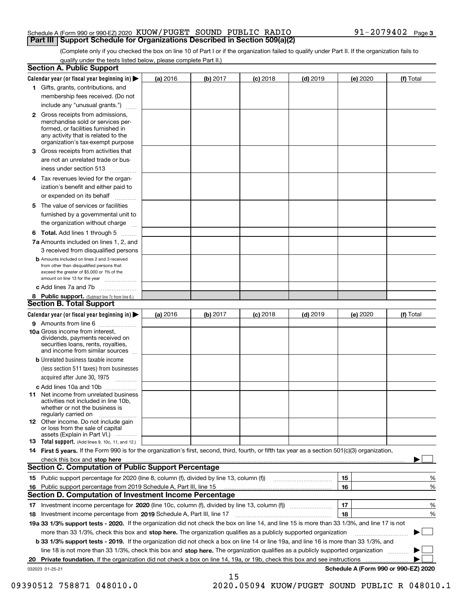### Schedule A (Form 990 or 990-EZ) 2020 Page KUOW/PUGET SOUND PUBLIC RADIO 91-2079402 **Part III Support Schedule for Organizations Described in Section 509(a)(2)**

(Complete only if you checked the box on line 10 of Part I or if the organization failed to qualify under Part II. If the organization fails to qualify under the tests listed below, please complete Part II.)

|     | <b>Section A. Public Support</b>                                                                                                                                                                |          |          |            |            |          |                                      |
|-----|-------------------------------------------------------------------------------------------------------------------------------------------------------------------------------------------------|----------|----------|------------|------------|----------|--------------------------------------|
|     | Calendar year (or fiscal year beginning in) $\blacktriangleright$                                                                                                                               | (a) 2016 | (b) 2017 | $(c)$ 2018 | $(d)$ 2019 | (e) 2020 | (f) Total                            |
|     | 1 Gifts, grants, contributions, and                                                                                                                                                             |          |          |            |            |          |                                      |
|     | membership fees received. (Do not                                                                                                                                                               |          |          |            |            |          |                                      |
|     | include any "unusual grants.")                                                                                                                                                                  |          |          |            |            |          |                                      |
|     | <b>2</b> Gross receipts from admissions,<br>merchandise sold or services per-<br>formed, or facilities furnished in<br>any activity that is related to the<br>organization's tax-exempt purpose |          |          |            |            |          |                                      |
|     | 3 Gross receipts from activities that<br>are not an unrelated trade or bus-                                                                                                                     |          |          |            |            |          |                                      |
|     | iness under section 513                                                                                                                                                                         |          |          |            |            |          |                                      |
|     | 4 Tax revenues levied for the organ-<br>ization's benefit and either paid to                                                                                                                    |          |          |            |            |          |                                      |
|     | or expended on its behalf                                                                                                                                                                       |          |          |            |            |          |                                      |
|     | 5 The value of services or facilities<br>furnished by a governmental unit to                                                                                                                    |          |          |            |            |          |                                      |
|     | the organization without charge                                                                                                                                                                 |          |          |            |            |          |                                      |
|     | <b>6 Total.</b> Add lines 1 through 5                                                                                                                                                           |          |          |            |            |          |                                      |
|     | 7a Amounts included on lines 1, 2, and<br>3 received from disqualified persons                                                                                                                  |          |          |            |            |          |                                      |
|     | <b>b</b> Amounts included on lines 2 and 3 received<br>from other than disqualified persons that<br>exceed the greater of \$5,000 or 1% of the<br>amount on line 13 for the year                |          |          |            |            |          |                                      |
|     | c Add lines 7a and 7b                                                                                                                                                                           |          |          |            |            |          |                                      |
|     | 8 Public support. (Subtract line 7c from line 6.)<br><b>Section B. Total Support</b>                                                                                                            |          |          |            |            |          |                                      |
|     | Calendar year (or fiscal year beginning in)                                                                                                                                                     | (a) 2016 | (b) 2017 | $(c)$ 2018 | $(d)$ 2019 | (e) 2020 | (f) Total                            |
|     | 9 Amounts from line 6                                                                                                                                                                           |          |          |            |            |          |                                      |
|     | <b>10a</b> Gross income from interest,<br>dividends, payments received on<br>securities loans, rents, royalties,<br>and income from similar sources                                             |          |          |            |            |          |                                      |
|     | <b>b</b> Unrelated business taxable income<br>(less section 511 taxes) from businesses                                                                                                          |          |          |            |            |          |                                      |
|     | acquired after June 30, 1975                                                                                                                                                                    |          |          |            |            |          |                                      |
|     | c Add lines 10a and 10b                                                                                                                                                                         |          |          |            |            |          |                                      |
|     | 11 Net income from unrelated business<br>activities not included in line 10b,<br>whether or not the business is<br>regularly carried on                                                         |          |          |            |            |          |                                      |
|     | 12 Other income. Do not include gain<br>or loss from the sale of capital<br>assets (Explain in Part VI.)                                                                                        |          |          |            |            |          |                                      |
|     | 13 Total support. (Add lines 9, 10c, 11, and 12.)                                                                                                                                               |          |          |            |            |          |                                      |
|     | 14 First 5 years. If the Form 990 is for the organization's first, second, third, fourth, or fifth tax year as a section 501(c)(3) organization,                                                |          |          |            |            |          |                                      |
|     |                                                                                                                                                                                                 |          |          |            |            |          |                                      |
|     | <b>Section C. Computation of Public Support Percentage</b>                                                                                                                                      |          |          |            |            |          |                                      |
|     |                                                                                                                                                                                                 |          |          |            |            | 15       | %                                    |
| 16. | Public support percentage from 2019 Schedule A, Part III, line 15                                                                                                                               |          |          |            |            | 16       | %                                    |
|     | Section D. Computation of Investment Income Percentage                                                                                                                                          |          |          |            |            |          |                                      |
|     | 17 Investment income percentage for 2020 (line 10c, column (f), divided by line 13, column (f))<br>18 Investment income percentage from 2019 Schedule A, Part III, line 17                      |          |          |            |            | 17<br>18 | %<br>%                               |
|     | 19a 33 1/3% support tests - 2020. If the organization did not check the box on line 14, and line 15 is more than 33 1/3%, and line 17 is not                                                    |          |          |            |            |          |                                      |
|     | more than 33 1/3%, check this box and stop here. The organization qualifies as a publicly supported organization                                                                                |          |          |            |            |          |                                      |
|     | b 33 1/3% support tests - 2019. If the organization did not check a box on line 14 or line 19a, and line 16 is more than 33 1/3%, and                                                           |          |          |            |            |          |                                      |
|     | line 18 is not more than 33 1/3%, check this box and stop here. The organization qualifies as a publicly supported organization                                                                 |          |          |            |            |          |                                      |
| 20  | <b>Private foundation.</b> If the organization did not check a box on line 14, 19a, or 19b, check this box and see instructions                                                                 |          |          |            |            |          | .                                    |
|     | 032023 01-25-21                                                                                                                                                                                 |          |          |            |            |          | Schedule A (Form 990 or 990-EZ) 2020 |
|     |                                                                                                                                                                                                 |          | 15       |            |            |          |                                      |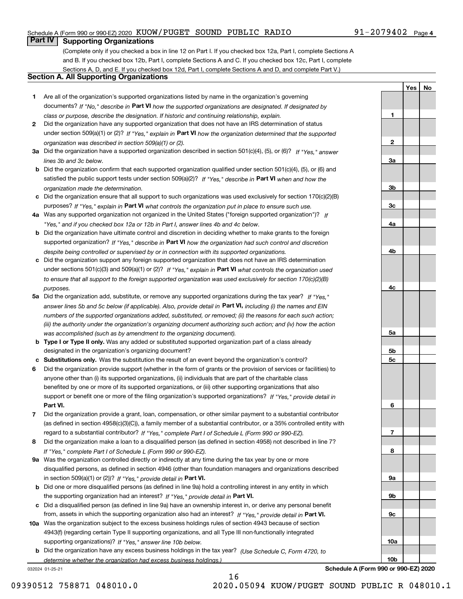### Schedule A (Form 990 or 990-EZ) 2020 Page KUOW/PUGET SOUND PUBLIC RADIO 91-2079402

## **Part IV Supporting Organizations**

(Complete only if you checked a box in line 12 on Part I. If you checked box 12a, Part I, complete Sections A and B. If you checked box 12b, Part I, complete Sections A and C. If you checked box 12c, Part I, complete Sections A, D, and E. If you checked box 12d, Part I, complete Sections A and D, and complete Part V.)

### **Section A. All Supporting Organizations**

- **1** Are all of the organization's supported organizations listed by name in the organization's governing documents? If "No," describe in **Part VI** how the supported organizations are designated. If designated by *class or purpose, describe the designation. If historic and continuing relationship, explain.*
- **2** Did the organization have any supported organization that does not have an IRS determination of status under section 509(a)(1) or (2)? If "Yes," explain in Part VI how the organization determined that the supported *organization was described in section 509(a)(1) or (2).*
- **3a** Did the organization have a supported organization described in section 501(c)(4), (5), or (6)? If "Yes," answer *lines 3b and 3c below.*
- **b** Did the organization confirm that each supported organization qualified under section 501(c)(4), (5), or (6) and satisfied the public support tests under section 509(a)(2)? If "Yes," describe in **Part VI** when and how the *organization made the determination.*
- **c**Did the organization ensure that all support to such organizations was used exclusively for section 170(c)(2)(B) purposes? If "Yes," explain in **Part VI** what controls the organization put in place to ensure such use.
- **4a***If* Was any supported organization not organized in the United States ("foreign supported organization")? *"Yes," and if you checked box 12a or 12b in Part I, answer lines 4b and 4c below.*
- **b** Did the organization have ultimate control and discretion in deciding whether to make grants to the foreign supported organization? If "Yes," describe in **Part VI** how the organization had such control and discretion *despite being controlled or supervised by or in connection with its supported organizations.*
- **c** Did the organization support any foreign supported organization that does not have an IRS determination under sections 501(c)(3) and 509(a)(1) or (2)? If "Yes," explain in **Part VI** what controls the organization used *to ensure that all support to the foreign supported organization was used exclusively for section 170(c)(2)(B) purposes.*
- **5a** Did the organization add, substitute, or remove any supported organizations during the tax year? If "Yes," answer lines 5b and 5c below (if applicable). Also, provide detail in **Part VI,** including (i) the names and EIN *numbers of the supported organizations added, substituted, or removed; (ii) the reasons for each such action; (iii) the authority under the organization's organizing document authorizing such action; and (iv) how the action was accomplished (such as by amendment to the organizing document).*
- **b** Type I or Type II only. Was any added or substituted supported organization part of a class already designated in the organization's organizing document?
- **cSubstitutions only.**  Was the substitution the result of an event beyond the organization's control?
- **6** Did the organization provide support (whether in the form of grants or the provision of services or facilities) to **Part VI.** *If "Yes," provide detail in* support or benefit one or more of the filing organization's supported organizations? anyone other than (i) its supported organizations, (ii) individuals that are part of the charitable class benefited by one or more of its supported organizations, or (iii) other supporting organizations that also
- **7**Did the organization provide a grant, loan, compensation, or other similar payment to a substantial contributor *If "Yes," complete Part I of Schedule L (Form 990 or 990-EZ).* regard to a substantial contributor? (as defined in section 4958(c)(3)(C)), a family member of a substantial contributor, or a 35% controlled entity with
- **8** Did the organization make a loan to a disqualified person (as defined in section 4958) not described in line 7? *If "Yes," complete Part I of Schedule L (Form 990 or 990-EZ).*
- **9a** Was the organization controlled directly or indirectly at any time during the tax year by one or more in section 509(a)(1) or (2))? If "Yes," *provide detail in* <code>Part VI.</code> disqualified persons, as defined in section 4946 (other than foundation managers and organizations described
- **b** Did one or more disqualified persons (as defined in line 9a) hold a controlling interest in any entity in which the supporting organization had an interest? If "Yes," provide detail in P**art VI**.
- **c**Did a disqualified person (as defined in line 9a) have an ownership interest in, or derive any personal benefit from, assets in which the supporting organization also had an interest? If "Yes," provide detail in P**art VI.**
- **10a** Was the organization subject to the excess business holdings rules of section 4943 because of section supporting organizations)? If "Yes," answer line 10b below. 4943(f) (regarding certain Type II supporting organizations, and all Type III non-functionally integrated
- **b** Did the organization have any excess business holdings in the tax year? (Use Schedule C, Form 4720, to *determine whether the organization had excess business holdings.)*

16

032024 01-25-21

**3a3b3c4a4b4c5a 5b5c6789a 9b9c**

**Schedule A (Form 990 or 990-EZ) 2020**

**10a**

**10b**

**1**

**2**

**YesNo**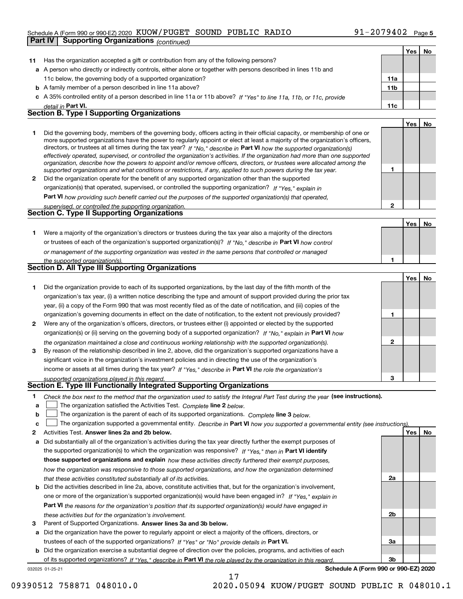### Schedule A (Form 990 or 990-EZ) 2020 Page KUOW/PUGET SOUND PUBLIC RADIO 91-2079402

|    | Part IV<br><b>Supporting Organizations (continued)</b>                                                                                                                                                                                                    |                |     |    |
|----|-----------------------------------------------------------------------------------------------------------------------------------------------------------------------------------------------------------------------------------------------------------|----------------|-----|----|
|    |                                                                                                                                                                                                                                                           |                | Yes | No |
| 11 | Has the organization accepted a gift or contribution from any of the following persons?                                                                                                                                                                   |                |     |    |
|    | a A person who directly or indirectly controls, either alone or together with persons described in lines 11b and                                                                                                                                          |                |     |    |
|    | 11c below, the governing body of a supported organization?                                                                                                                                                                                                | 11a            |     |    |
|    | <b>b</b> A family member of a person described in line 11a above?                                                                                                                                                                                         | 11b            |     |    |
|    | c A 35% controlled entity of a person described in line 11a or 11b above? If "Yes" to line 11a, 11b, or 11c, provide                                                                                                                                      |                |     |    |
|    | detail in Part VI.                                                                                                                                                                                                                                        | 11c            |     |    |
|    | <b>Section B. Type I Supporting Organizations</b>                                                                                                                                                                                                         |                |     |    |
|    |                                                                                                                                                                                                                                                           |                | Yes | No |
| 1  | Did the governing body, members of the governing body, officers acting in their official capacity, or membership of one or                                                                                                                                |                |     |    |
|    | more supported organizations have the power to regularly appoint or elect at least a majority of the organization's officers,                                                                                                                             |                |     |    |
|    | directors, or trustees at all times during the tax year? If "No," describe in Part VI how the supported organization(s)<br>effectively operated, supervised, or controlled the organization's activities. If the organization had more than one supported |                |     |    |
|    | organization, describe how the powers to appoint and/or remove officers, directors, or trustees were allocated among the                                                                                                                                  |                |     |    |
|    | supported organizations and what conditions or restrictions, if any, applied to such powers during the tax year.                                                                                                                                          | 1              |     |    |
| 2  | Did the organization operate for the benefit of any supported organization other than the supported                                                                                                                                                       |                |     |    |
|    | organization(s) that operated, supervised, or controlled the supporting organization? If "Yes," explain in                                                                                                                                                |                |     |    |
|    | Part VI how providing such benefit carried out the purposes of the supported organization(s) that operated,                                                                                                                                               |                |     |    |
|    | supervised, or controlled the supporting organization.                                                                                                                                                                                                    | $\overline{2}$ |     |    |
|    | <b>Section C. Type II Supporting Organizations</b>                                                                                                                                                                                                        |                |     |    |
|    |                                                                                                                                                                                                                                                           |                | Yes | No |
| 1. | Were a majority of the organization's directors or trustees during the tax year also a majority of the directors                                                                                                                                          |                |     |    |
|    | or trustees of each of the organization's supported organization(s)? If "No." describe in Part VI how control                                                                                                                                             |                |     |    |
|    | or management of the supporting organization was vested in the same persons that controlled or managed                                                                                                                                                    |                |     |    |
|    | the supported organization(s).<br>Section D. All Type III Supporting Organizations                                                                                                                                                                        | 1              |     |    |
|    |                                                                                                                                                                                                                                                           |                |     |    |
|    |                                                                                                                                                                                                                                                           |                | Yes | No |
| 1. | Did the organization provide to each of its supported organizations, by the last day of the fifth month of the                                                                                                                                            |                |     |    |
|    | organization's tax year, (i) a written notice describing the type and amount of support provided during the prior tax                                                                                                                                     |                |     |    |
|    | year, (ii) a copy of the Form 990 that was most recently filed as of the date of notification, and (iii) copies of the                                                                                                                                    |                |     |    |
|    | organization's governing documents in effect on the date of notification, to the extent not previously provided?                                                                                                                                          | 1              |     |    |
| 2  | Were any of the organization's officers, directors, or trustees either (i) appointed or elected by the supported                                                                                                                                          |                |     |    |
|    | organization(s) or (ii) serving on the governing body of a supported organization? If "No," explain in Part VI how                                                                                                                                        |                |     |    |
| 3  | the organization maintained a close and continuous working relationship with the supported organization(s).<br>By reason of the relationship described in line 2, above, did the organization's supported organizations have a                            | 2              |     |    |
|    | significant voice in the organization's investment policies and in directing the use of the organization's                                                                                                                                                |                |     |    |
|    | income or assets at all times during the tax year? If "Yes," describe in Part VI the role the organization's                                                                                                                                              |                |     |    |
|    |                                                                                                                                                                                                                                                           | 3              |     |    |
|    | supported organizations played in this regard.<br>Section E. Type III Functionally Integrated Supporting Organizations                                                                                                                                    |                |     |    |
| 1  | Check the box next to the method that the organization used to satisfy the Integral Part Test during the year (see instructions).                                                                                                                         |                |     |    |
| а  | The organization satisfied the Activities Test. Complete line 2 below.                                                                                                                                                                                    |                |     |    |
| b  | The organization is the parent of each of its supported organizations. Complete line 3 below.                                                                                                                                                             |                |     |    |
| c  | The organization supported a governmental entity. Describe in Part VI how you supported a governmental entity (see instructions).                                                                                                                         |                |     |    |
| 2  | Activities Test. Answer lines 2a and 2b below.                                                                                                                                                                                                            |                | Yes | No |
| а  | Did substantially all of the organization's activities during the tax year directly further the exempt purposes of                                                                                                                                        |                |     |    |
|    | the supported organization(s) to which the organization was responsive? If "Yes," then in Part VI identify                                                                                                                                                |                |     |    |
|    |                                                                                                                                                                                                                                                           |                |     |    |
|    |                                                                                                                                                                                                                                                           |                |     |    |
|    | those supported organizations and explain how these activities directly furthered their exempt purposes,                                                                                                                                                  |                |     |    |
|    | how the organization was responsive to those supported organizations, and how the organization determined<br>that these activities constituted substantially all of its activities.                                                                       | 2a             |     |    |

- **Part VI**  *the reasons for the organization's position that its supported organization(s) would have engaged in* one or more of the organization's supported organization(s) would have been engaged in? If "Yes," e*xplain in these activities but for the organization's involvement.*
- **3** Parent of Supported Organizations. Answer lines 3a and 3b below.

**a** Did the organization have the power to regularly appoint or elect a majority of the officers, directors, or trustees of each of the supported organizations? If "Yes" or "No" provide details in **Part VI.** 

032025 01-25-21 **b** Did the organization exercise a substantial degree of direction over the policies, programs, and activities of each of its supported organizations? If "Yes," describe in Part VI the role played by the organization in this regard.

17

**Schedule A (Form 990 or 990-EZ) 2020**

**2b**

**3a**

**3b**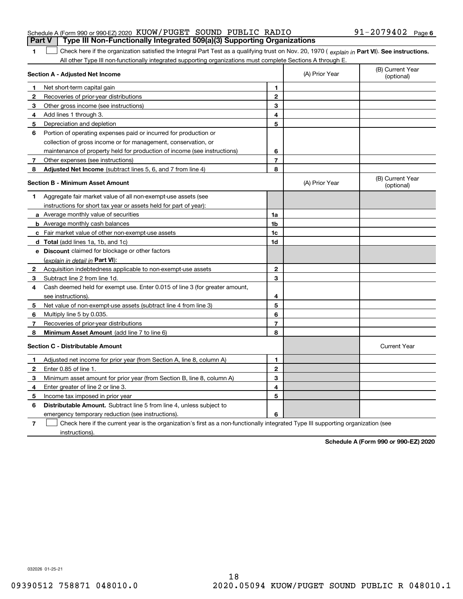### Schedule A (Form 990 or 990-EZ) 2020 Page KUOW/PUGET SOUND PUBLIC RADIO 91-2079402 **Part V Type III Non-Functionally Integrated 509(a)(3) Supporting Organizations**

### 1 Check here if the organization satisfied the Integral Part Test as a qualifying trust on Nov. 20, 1970 (explain in Part VI). See instructions. All other Type III non-functionally integrated supporting organizations must complete Sections A through E.

|    | Section A - Adjusted Net Income                                                                                                   |                | (A) Prior Year | (B) Current Year<br>(optional) |
|----|-----------------------------------------------------------------------------------------------------------------------------------|----------------|----------------|--------------------------------|
| 1. | Net short-term capital gain                                                                                                       | 1              |                |                                |
| 2  | Recoveries of prior-year distributions                                                                                            | $\overline{2}$ |                |                                |
| 3  | Other gross income (see instructions)                                                                                             | 3              |                |                                |
| 4  | Add lines 1 through 3.                                                                                                            | 4              |                |                                |
| 5  | Depreciation and depletion                                                                                                        | 5              |                |                                |
| 6  | Portion of operating expenses paid or incurred for production or                                                                  |                |                |                                |
|    | collection of gross income or for management, conservation, or                                                                    |                |                |                                |
|    | maintenance of property held for production of income (see instructions)                                                          | 6              |                |                                |
| 7  | Other expenses (see instructions)                                                                                                 | $\overline{7}$ |                |                                |
| 8  | Adjusted Net Income (subtract lines 5, 6, and 7 from line 4)                                                                      | 8              |                |                                |
|    | <b>Section B - Minimum Asset Amount</b>                                                                                           |                | (A) Prior Year | (B) Current Year<br>(optional) |
| 1  | Aggregate fair market value of all non-exempt-use assets (see                                                                     |                |                |                                |
|    | instructions for short tax year or assets held for part of year):                                                                 |                |                |                                |
|    | <b>a</b> Average monthly value of securities                                                                                      | 1a             |                |                                |
|    | <b>b</b> Average monthly cash balances                                                                                            | 1 <sub>b</sub> |                |                                |
|    | c Fair market value of other non-exempt-use assets                                                                                | 1c             |                |                                |
|    | <b>d</b> Total (add lines 1a, 1b, and 1c)                                                                                         | 1d             |                |                                |
|    | e Discount claimed for blockage or other factors                                                                                  |                |                |                                |
|    | (explain in detail in Part VI):                                                                                                   |                |                |                                |
| 2  | Acquisition indebtedness applicable to non-exempt-use assets                                                                      | $\mathbf{2}$   |                |                                |
| 3  | Subtract line 2 from line 1d.                                                                                                     | 3              |                |                                |
| 4  | Cash deemed held for exempt use. Enter 0.015 of line 3 (for greater amount,                                                       |                |                |                                |
|    | see instructions)                                                                                                                 | 4              |                |                                |
| 5  | Net value of non-exempt-use assets (subtract line 4 from line 3)                                                                  | 5              |                |                                |
| 6  | Multiply line 5 by 0.035.                                                                                                         | 6              |                |                                |
| 7  | Recoveries of prior-year distributions                                                                                            | 7              |                |                                |
| 8  | Minimum Asset Amount (add line 7 to line 6)                                                                                       | 8              |                |                                |
|    | <b>Section C - Distributable Amount</b>                                                                                           |                |                | <b>Current Year</b>            |
| 1  | Adjusted net income for prior year (from Section A, line 8, column A)                                                             | 1              |                |                                |
| 2  | Enter 0.85 of line 1.                                                                                                             | $\mathbf{2}$   |                |                                |
| 3  | Minimum asset amount for prior year (from Section B, line 8, column A)                                                            | 3              |                |                                |
| 4  | Enter greater of line 2 or line 3.                                                                                                | 4              |                |                                |
| 5  | Income tax imposed in prior year                                                                                                  | 5              |                |                                |
| 6  | <b>Distributable Amount.</b> Subtract line 5 from line 4, unless subject to                                                       |                |                |                                |
|    | emergency temporary reduction (see instructions).                                                                                 | 6              |                |                                |
| 7  | Check here if the current year is the organization's first as a non-functionally integrated Type III supporting organization (see |                |                |                                |

instructions).

**1**

**Schedule A (Form 990 or 990-EZ) 2020**

032026 01-25-21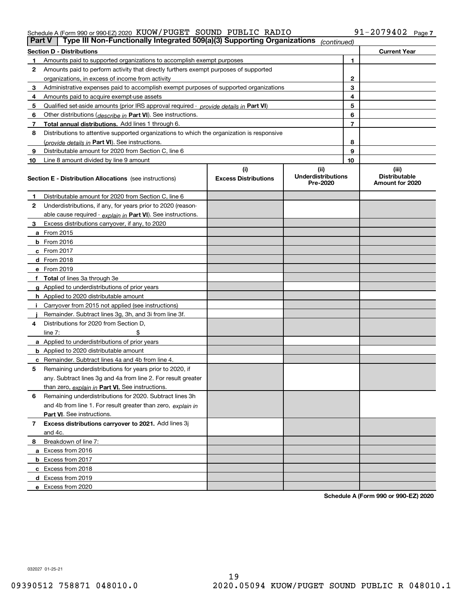### Schedule A (Form 990 or 990-EZ) 2020 Page KUOW/PUGET SOUND PUBLIC RADIO 91-2079402

|    | Type III Non-Functionally Integrated 509(a)(3) Supporting Organizations<br>Part V          |                             | (continued)                           |    |                                         |
|----|--------------------------------------------------------------------------------------------|-----------------------------|---------------------------------------|----|-----------------------------------------|
|    | <b>Section D - Distributions</b>                                                           |                             |                                       |    | <b>Current Year</b>                     |
|    | Amounts paid to supported organizations to accomplish exempt purposes                      |                             |                                       | 1  |                                         |
| 2  | Amounts paid to perform activity that directly furthers exempt purposes of supported       |                             |                                       |    |                                         |
|    | organizations, in excess of income from activity                                           |                             |                                       | 2  |                                         |
| 3  | Administrative expenses paid to accomplish exempt purposes of supported organizations      |                             |                                       | 3  |                                         |
| 4  | Amounts paid to acquire exempt-use assets                                                  |                             |                                       | 4  |                                         |
| 5  | Qualified set aside amounts (prior IRS approval required - provide details in Part VI)     |                             |                                       | 5  |                                         |
| 6  | Other distributions ( <i>describe in</i> Part VI). See instructions.                       |                             |                                       | 6  |                                         |
| 7  | Total annual distributions. Add lines 1 through 6.                                         |                             |                                       | 7  |                                         |
| 8  | Distributions to attentive supported organizations to which the organization is responsive |                             |                                       |    |                                         |
|    | (provide details in Part VI). See instructions.                                            |                             |                                       | 8  |                                         |
| 9  | Distributable amount for 2020 from Section C, line 6                                       |                             |                                       | 9  |                                         |
| 10 | Line 8 amount divided by line 9 amount                                                     |                             |                                       | 10 |                                         |
|    |                                                                                            | (i)                         | (ii)                                  |    | (iii)                                   |
|    | <b>Section E - Distribution Allocations</b> (see instructions)                             | <b>Excess Distributions</b> | <b>Underdistributions</b><br>Pre-2020 |    | <b>Distributable</b><br>Amount for 2020 |
| 1  | Distributable amount for 2020 from Section C, line 6                                       |                             |                                       |    |                                         |
| 2  | Underdistributions, if any, for years prior to 2020 (reason-                               |                             |                                       |    |                                         |
|    | able cause required - explain in Part VI). See instructions.                               |                             |                                       |    |                                         |
| 3  | Excess distributions carryover, if any, to 2020                                            |                             |                                       |    |                                         |
|    | a From 2015                                                                                |                             |                                       |    |                                         |
|    | $b$ From 2016                                                                              |                             |                                       |    |                                         |
|    | $c$ From 2017                                                                              |                             |                                       |    |                                         |
|    | <b>d</b> From 2018                                                                         |                             |                                       |    |                                         |
|    | e From 2019                                                                                |                             |                                       |    |                                         |
|    | f Total of lines 3a through 3e                                                             |                             |                                       |    |                                         |
|    | g Applied to underdistributions of prior years                                             |                             |                                       |    |                                         |
|    | <b>h</b> Applied to 2020 distributable amount                                              |                             |                                       |    |                                         |
|    | Carryover from 2015 not applied (see instructions)                                         |                             |                                       |    |                                         |
|    | Remainder. Subtract lines 3g, 3h, and 3i from line 3f.                                     |                             |                                       |    |                                         |
| 4  | Distributions for 2020 from Section D.                                                     |                             |                                       |    |                                         |
|    | line $7:$                                                                                  |                             |                                       |    |                                         |
|    | a Applied to underdistributions of prior years                                             |                             |                                       |    |                                         |
|    | <b>b</b> Applied to 2020 distributable amount                                              |                             |                                       |    |                                         |
|    | <b>c</b> Remainder. Subtract lines 4a and 4b from line 4.                                  |                             |                                       |    |                                         |
| 5  | Remaining underdistributions for years prior to 2020, if                                   |                             |                                       |    |                                         |
|    | any. Subtract lines 3g and 4a from line 2. For result greater                              |                             |                                       |    |                                         |
|    | than zero, explain in Part VI. See instructions.                                           |                             |                                       |    |                                         |
| 6  | Remaining underdistributions for 2020. Subtract lines 3h                                   |                             |                                       |    |                                         |
|    | and 4b from line 1. For result greater than zero, explain in                               |                             |                                       |    |                                         |
|    | <b>Part VI.</b> See instructions.                                                          |                             |                                       |    |                                         |
| 7  | Excess distributions carryover to 2021. Add lines 3j                                       |                             |                                       |    |                                         |
|    | and 4c.                                                                                    |                             |                                       |    |                                         |
| 8  | Breakdown of line 7:                                                                       |                             |                                       |    |                                         |
|    | a Excess from 2016                                                                         |                             |                                       |    |                                         |
|    | <b>b</b> Excess from 2017                                                                  |                             |                                       |    |                                         |
|    | c Excess from 2018                                                                         |                             |                                       |    |                                         |
|    | d Excess from 2019                                                                         |                             |                                       |    |                                         |
|    | e Excess from 2020                                                                         |                             |                                       |    |                                         |

**Schedule A (Form 990 or 990-EZ) 2020**

032027 01-25-21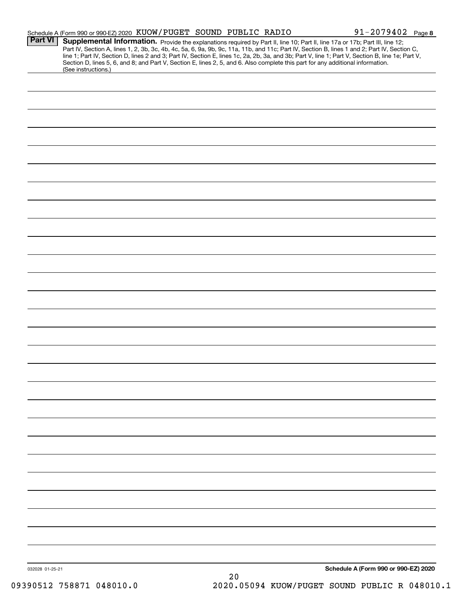|                 | Schedule A (Form 990 or 990-EZ) 2020 KUOW / PUGET SOUND PUBLIC RADIO                                                                                                                                                                                                                                                                                                                                                              |    | $91 - 2079402$ Page 8                |  |
|-----------------|-----------------------------------------------------------------------------------------------------------------------------------------------------------------------------------------------------------------------------------------------------------------------------------------------------------------------------------------------------------------------------------------------------------------------------------|----|--------------------------------------|--|
| <b>Part VI</b>  | Supplemental Information. Provide the explanations required by Part II, line 10; Part II, line 17a or 17b; Part III, line 12;<br>Part IV, Section A, lines 1, 2, 3b, 3c, 4b, 4c, 5a, 6, 9a, 9b, 9c, 11a, 11b, and 11c; Part IV, Section B, lines 1 and 2; Part IV, Section C,<br>line 1; Part IV, Section D, lines 2 and 3; Part IV, Section E, lines 1c, 2a, 2b, 3a, and 3b; Part V, line 1; Part V, Section B, line 1e; Part V, |    |                                      |  |
|                 | Section D, lines 5, 6, and 8; and Part V, Section E, lines 2, 5, and 6. Also complete this part for any additional information.<br>(See instructions.)                                                                                                                                                                                                                                                                            |    |                                      |  |
|                 |                                                                                                                                                                                                                                                                                                                                                                                                                                   |    |                                      |  |
|                 |                                                                                                                                                                                                                                                                                                                                                                                                                                   |    |                                      |  |
|                 |                                                                                                                                                                                                                                                                                                                                                                                                                                   |    |                                      |  |
|                 |                                                                                                                                                                                                                                                                                                                                                                                                                                   |    |                                      |  |
|                 |                                                                                                                                                                                                                                                                                                                                                                                                                                   |    |                                      |  |
|                 |                                                                                                                                                                                                                                                                                                                                                                                                                                   |    |                                      |  |
|                 |                                                                                                                                                                                                                                                                                                                                                                                                                                   |    |                                      |  |
|                 |                                                                                                                                                                                                                                                                                                                                                                                                                                   |    |                                      |  |
|                 |                                                                                                                                                                                                                                                                                                                                                                                                                                   |    |                                      |  |
|                 |                                                                                                                                                                                                                                                                                                                                                                                                                                   |    |                                      |  |
|                 |                                                                                                                                                                                                                                                                                                                                                                                                                                   |    |                                      |  |
|                 |                                                                                                                                                                                                                                                                                                                                                                                                                                   |    |                                      |  |
|                 |                                                                                                                                                                                                                                                                                                                                                                                                                                   |    |                                      |  |
|                 |                                                                                                                                                                                                                                                                                                                                                                                                                                   |    |                                      |  |
|                 |                                                                                                                                                                                                                                                                                                                                                                                                                                   |    |                                      |  |
|                 |                                                                                                                                                                                                                                                                                                                                                                                                                                   |    |                                      |  |
|                 |                                                                                                                                                                                                                                                                                                                                                                                                                                   |    |                                      |  |
|                 |                                                                                                                                                                                                                                                                                                                                                                                                                                   |    |                                      |  |
|                 |                                                                                                                                                                                                                                                                                                                                                                                                                                   |    |                                      |  |
|                 |                                                                                                                                                                                                                                                                                                                                                                                                                                   |    |                                      |  |
|                 |                                                                                                                                                                                                                                                                                                                                                                                                                                   |    |                                      |  |
|                 |                                                                                                                                                                                                                                                                                                                                                                                                                                   |    |                                      |  |
|                 |                                                                                                                                                                                                                                                                                                                                                                                                                                   |    |                                      |  |
|                 |                                                                                                                                                                                                                                                                                                                                                                                                                                   |    |                                      |  |
|                 |                                                                                                                                                                                                                                                                                                                                                                                                                                   |    |                                      |  |
|                 |                                                                                                                                                                                                                                                                                                                                                                                                                                   |    |                                      |  |
|                 |                                                                                                                                                                                                                                                                                                                                                                                                                                   |    |                                      |  |
|                 |                                                                                                                                                                                                                                                                                                                                                                                                                                   |    |                                      |  |
|                 |                                                                                                                                                                                                                                                                                                                                                                                                                                   |    |                                      |  |
|                 |                                                                                                                                                                                                                                                                                                                                                                                                                                   |    |                                      |  |
|                 |                                                                                                                                                                                                                                                                                                                                                                                                                                   |    |                                      |  |
|                 |                                                                                                                                                                                                                                                                                                                                                                                                                                   |    |                                      |  |
|                 |                                                                                                                                                                                                                                                                                                                                                                                                                                   |    |                                      |  |
|                 |                                                                                                                                                                                                                                                                                                                                                                                                                                   |    |                                      |  |
|                 |                                                                                                                                                                                                                                                                                                                                                                                                                                   |    |                                      |  |
|                 |                                                                                                                                                                                                                                                                                                                                                                                                                                   |    |                                      |  |
|                 |                                                                                                                                                                                                                                                                                                                                                                                                                                   |    |                                      |  |
| 032028 01-25-21 |                                                                                                                                                                                                                                                                                                                                                                                                                                   | 20 | Schedule A (Form 990 or 990-EZ) 2020 |  |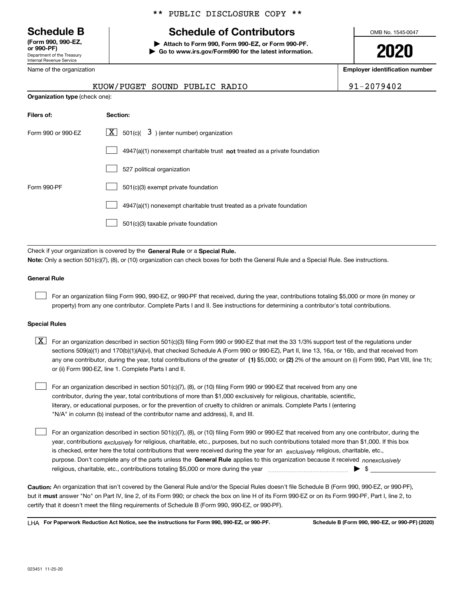Department of the Treasury Internal Revenue Service **(Form 990, 990-EZ, or 990-PF)**

Name of the organization

\*\* PUBLIC DISCLOSURE COPY \*\*

## **Schedule B Schedule of Contributors**

**| Attach to Form 990, Form 990-EZ, or Form 990-PF. | Go to www.irs.gov/Form990 for the latest information.** OMB No. 1545-0047

**2020**

**Employer identification number**

| $\frac{1}{2}$ |      |
|---------------|------|
|               |      |
|               |      |
|               | ---- |

**Organization type** (check one):

| KUOW/PUGET SOUND PUBLIC RADIO |  |  |
|-------------------------------|--|--|
|                               |  |  |

91-2079402

| Filers of:         | Section:                                                                    |
|--------------------|-----------------------------------------------------------------------------|
| Form 990 or 990-FZ | $\lfloor x \rfloor$ 501(c)( 3) (enter number) organization                  |
|                    | $4947(a)(1)$ nonexempt charitable trust not treated as a private foundation |
|                    | 527 political organization                                                  |
| Form 990-PF        | 501(c)(3) exempt private foundation                                         |
|                    | 4947(a)(1) nonexempt charitable trust treated as a private foundation       |
|                    | 501(c)(3) taxable private foundation                                        |

Check if your organization is covered by the **General Rule** or a **Special Rule. Note:**  Only a section 501(c)(7), (8), or (10) organization can check boxes for both the General Rule and a Special Rule. See instructions.

### **General Rule**

 $\mathcal{L}^{\text{max}}$ 

For an organization filing Form 990, 990-EZ, or 990-PF that received, during the year, contributions totaling \$5,000 or more (in money or property) from any one contributor. Complete Parts I and II. See instructions for determining a contributor's total contributions.

### **Special Rules**

any one contributor, during the year, total contributions of the greater of  $\,$  (1) \$5,000; or **(2)** 2% of the amount on (i) Form 990, Part VIII, line 1h;  $\boxed{\textbf{X}}$  For an organization described in section 501(c)(3) filing Form 990 or 990-EZ that met the 33 1/3% support test of the regulations under sections 509(a)(1) and 170(b)(1)(A)(vi), that checked Schedule A (Form 990 or 990-EZ), Part II, line 13, 16a, or 16b, and that received from or (ii) Form 990-EZ, line 1. Complete Parts I and II.

For an organization described in section 501(c)(7), (8), or (10) filing Form 990 or 990-EZ that received from any one contributor, during the year, total contributions of more than \$1,000 exclusively for religious, charitable, scientific, literary, or educational purposes, or for the prevention of cruelty to children or animals. Complete Parts I (entering "N/A" in column (b) instead of the contributor name and address), II, and III.  $\mathcal{L}^{\text{max}}$ 

purpose. Don't complete any of the parts unless the **General Rule** applies to this organization because it received *nonexclusively* year, contributions <sub>exclusively</sub> for religious, charitable, etc., purposes, but no such contributions totaled more than \$1,000. If this box is checked, enter here the total contributions that were received during the year for an  $\;$ exclusively religious, charitable, etc., For an organization described in section 501(c)(7), (8), or (10) filing Form 990 or 990-EZ that received from any one contributor, during the religious, charitable, etc., contributions totaling \$5,000 or more during the year  $\Box$ — $\Box$   $\Box$  $\mathcal{L}^{\text{max}}$ 

**Caution:**  An organization that isn't covered by the General Rule and/or the Special Rules doesn't file Schedule B (Form 990, 990-EZ, or 990-PF),  **must** but it answer "No" on Part IV, line 2, of its Form 990; or check the box on line H of its Form 990-EZ or on its Form 990-PF, Part I, line 2, to certify that it doesn't meet the filing requirements of Schedule B (Form 990, 990-EZ, or 990-PF).

**For Paperwork Reduction Act Notice, see the instructions for Form 990, 990-EZ, or 990-PF. Schedule B (Form 990, 990-EZ, or 990-PF) (2020)** LHA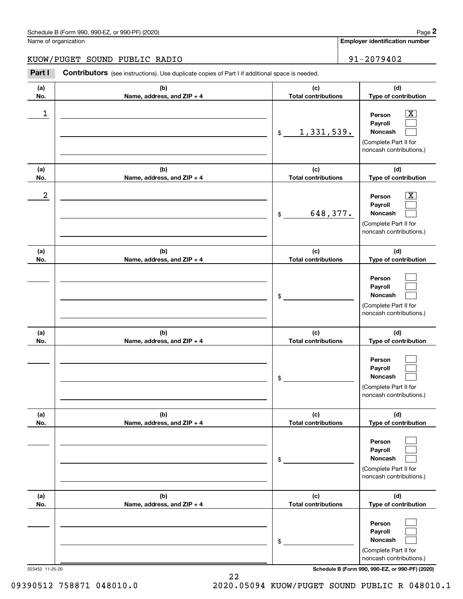**Employer identification number**

**(d) Type of contribution**

 $\boxed{\text{X}}$ 

**Person**

### KUOW/PUGET SOUND PUBLIC RADIO | 91-2079402

**(a) No.(b) Name, address, and ZIP + 4 (c) Total contributions** Chedule B (Form 990, 990-EZ, or 990-PF) (2020)<br>
lame of organization<br> **2013 - 2013 - 2019 Mart I is additional space is needed.**<br> **2014 - 2019 402**<br> **2014 - 2019 402**<br>
Part I **Contributors** (see instructions). Use duplicat \$ $\begin{array}{c|c|c|c|c|c} 1 & \hspace{1.5cm} & \hspace{1.5cm} & \hspace{1.5cm} & \hspace{1.5cm} & \hspace{1.5cm} & \hspace{1.5cm} & \hspace{1.5cm} & \hspace{1.5cm} & \hspace{1.5cm} & \hspace{1.5cm} & \hspace{1.5cm} & \hspace{1.5cm} & \hspace{1.5cm} & \hspace{1.5cm} & \hspace{1.5cm} & \hspace{1.5cm} & \hspace{1.5cm} & \hspace{1.5cm} & \hspace{1.5cm} & \hspace{1.5cm} &$ 1,331,539.

|                  |                                   | 1,331,539.<br>$\frac{1}{2}$       | Payroll<br>Noncash<br>(Complete Part II for                                                                  |
|------------------|-----------------------------------|-----------------------------------|--------------------------------------------------------------------------------------------------------------|
|                  |                                   |                                   | noncash contributions.)                                                                                      |
| (a)<br>No.       | (b)<br>Name, address, and ZIP + 4 | (c)<br><b>Total contributions</b> | (d)<br>Type of contribution                                                                                  |
| $\boldsymbol{2}$ |                                   | 648,377.<br>\$                    | x<br>Person<br>Payroll<br>Noncash<br>(Complete Part II for<br>noncash contributions.)                        |
| (a)<br>No.       | (b)<br>Name, address, and ZIP + 4 | (c)<br><b>Total contributions</b> | (d)<br>Type of contribution                                                                                  |
|                  |                                   | \$                                | Person<br>Payroll<br>Noncash<br>(Complete Part II for<br>noncash contributions.)                             |
| (a)<br>No.       | (b)<br>Name, address, and ZIP + 4 | (c)<br><b>Total contributions</b> | (d)<br>Type of contribution                                                                                  |
|                  |                                   | \$                                | Person<br>Payroll<br>Noncash<br>(Complete Part II for<br>noncash contributions.)                             |
| (a)<br>No.       | (b)<br>Name, address, and ZIP + 4 | (c)<br><b>Total contributions</b> | (d)<br>Type of contribution                                                                                  |
|                  |                                   | \$                                | Person<br>Payroll<br>Noncash<br>$\overline{\phantom{a}}$<br>(Complete Part II for<br>noncash contributions.) |
| (a)<br>No.       | (b)<br>Name, address, and ZIP + 4 | (c)<br><b>Total contributions</b> | (d)<br>Type of contribution                                                                                  |
|                  |                                   | \$                                | Person<br>Payroll<br>Noncash<br>(Complete Part II for<br>noncash contributions.)                             |

023452 11-25-20 **Schedule B (Form 990, 990-EZ, or 990-PF) (2020)**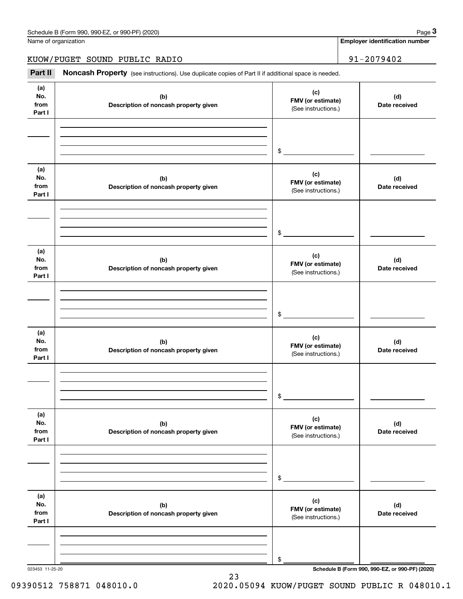| Schedule B (Form 990, 990-EZ, or 990-PF) (2020) | Page |
|-------------------------------------------------|------|
|-------------------------------------------------|------|

Name of organization

**Employer identification number**

KUOW/PUGET SOUND PUBLIC RADIO | 91-2079402

Chedule B (Form 990, 990-EZ, or 990-PF) (2020)<br>
lame of organization<br> **3Part II | Noncash Property** (see instructions). Use duplicate copies of Part II if additional space is needed.<br> **3Part II | Noncash Property** (see ins

| (a)<br>No.<br>from<br>Part I | (b)<br>Description of noncash property given | (c)<br>FMV (or estimate)<br>(See instructions.) | (d)<br>Date received                            |
|------------------------------|----------------------------------------------|-------------------------------------------------|-------------------------------------------------|
|                              |                                              | $\frac{1}{2}$                                   |                                                 |
| (a)<br>No.<br>from<br>Part I | (b)<br>Description of noncash property given | (c)<br>FMV (or estimate)<br>(See instructions.) | (d)<br>Date received                            |
|                              |                                              | $\frac{1}{2}$                                   |                                                 |
| (a)<br>No.<br>from<br>Part I | (b)<br>Description of noncash property given | (c)<br>FMV (or estimate)<br>(See instructions.) | (d)<br>Date received                            |
|                              |                                              | $\frac{1}{2}$                                   |                                                 |
| (a)<br>No.<br>from<br>Part I | (b)<br>Description of noncash property given | (c)<br>FMV (or estimate)<br>(See instructions.) | (d)<br>Date received                            |
|                              |                                              | $\frac{1}{2}$                                   |                                                 |
| (a)<br>No.<br>from<br>Part I | (b)<br>Description of noncash property given | (c)<br>FMV (or estimate)<br>(See instructions.) | (d)<br>Date received                            |
|                              |                                              | \$                                              |                                                 |
| (a)<br>No.<br>from<br>Part I | (b)<br>Description of noncash property given | (c)<br>FMV (or estimate)<br>(See instructions.) | (d)<br>Date received                            |
|                              |                                              | \$                                              |                                                 |
| 023453 11-25-20              |                                              |                                                 | Schedule B (Form 990, 990-EZ, or 990-PF) (2020) |

23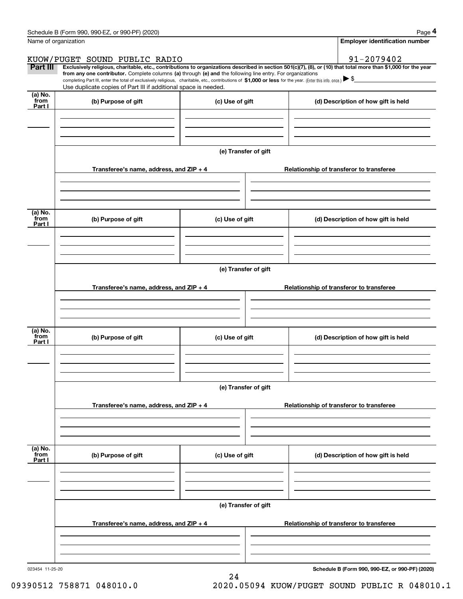|                 | Schedule B (Form 990, 990-EZ, or 990-PF) (2020)                                                                                                                                                                                                      |                      | Page 4                                                                                                                                                         |
|-----------------|------------------------------------------------------------------------------------------------------------------------------------------------------------------------------------------------------------------------------------------------------|----------------------|----------------------------------------------------------------------------------------------------------------------------------------------------------------|
|                 | Name of organization                                                                                                                                                                                                                                 |                      | <b>Employer identification number</b>                                                                                                                          |
|                 | KUOW/PUGET SOUND PUBLIC RADIO                                                                                                                                                                                                                        |                      | 91-2079402                                                                                                                                                     |
| Part III        | from any one contributor. Complete columns (a) through (e) and the following line entry. For organizations                                                                                                                                           |                      | Exclusively religious, charitable, etc., contributions to organizations described in section 501(c)(7), (8), or (10) that total more than \$1,000 for the year |
|                 | completing Part III, enter the total of exclusively religious, charitable, etc., contributions of \$1,000 or less for the year. (Enter this info. once.) $\blacktriangleright$ \$<br>Use duplicate copies of Part III if additional space is needed. |                      |                                                                                                                                                                |
| (a) No.         |                                                                                                                                                                                                                                                      |                      |                                                                                                                                                                |
| from<br>Part I  | (b) Purpose of gift                                                                                                                                                                                                                                  | (c) Use of gift      | (d) Description of how gift is held                                                                                                                            |
|                 |                                                                                                                                                                                                                                                      |                      |                                                                                                                                                                |
|                 |                                                                                                                                                                                                                                                      |                      |                                                                                                                                                                |
|                 |                                                                                                                                                                                                                                                      |                      |                                                                                                                                                                |
|                 |                                                                                                                                                                                                                                                      | (e) Transfer of gift |                                                                                                                                                                |
|                 | Transferee's name, address, and ZIP + 4                                                                                                                                                                                                              |                      | Relationship of transferor to transferee                                                                                                                       |
|                 |                                                                                                                                                                                                                                                      |                      |                                                                                                                                                                |
|                 |                                                                                                                                                                                                                                                      |                      |                                                                                                                                                                |
|                 |                                                                                                                                                                                                                                                      |                      |                                                                                                                                                                |
| (a) No.<br>from | (b) Purpose of gift                                                                                                                                                                                                                                  | (c) Use of gift      | (d) Description of how gift is held                                                                                                                            |
| Part I          |                                                                                                                                                                                                                                                      |                      |                                                                                                                                                                |
|                 |                                                                                                                                                                                                                                                      |                      |                                                                                                                                                                |
|                 |                                                                                                                                                                                                                                                      |                      |                                                                                                                                                                |
|                 |                                                                                                                                                                                                                                                      | (e) Transfer of gift |                                                                                                                                                                |
|                 |                                                                                                                                                                                                                                                      |                      |                                                                                                                                                                |
|                 | Transferee's name, address, and ZIP + 4                                                                                                                                                                                                              |                      | Relationship of transferor to transferee                                                                                                                       |
|                 |                                                                                                                                                                                                                                                      |                      |                                                                                                                                                                |
|                 |                                                                                                                                                                                                                                                      |                      |                                                                                                                                                                |
| (a) No.         |                                                                                                                                                                                                                                                      |                      |                                                                                                                                                                |
| from<br>Part I  | (b) Purpose of gift                                                                                                                                                                                                                                  | (c) Use of gift      | (d) Description of how gift is held                                                                                                                            |
|                 |                                                                                                                                                                                                                                                      |                      |                                                                                                                                                                |
|                 |                                                                                                                                                                                                                                                      |                      |                                                                                                                                                                |
|                 |                                                                                                                                                                                                                                                      |                      |                                                                                                                                                                |
|                 |                                                                                                                                                                                                                                                      | (e) Transfer of gift |                                                                                                                                                                |
|                 | Transferee's name, address, and ZIP + 4                                                                                                                                                                                                              |                      | Relationship of transferor to transferee                                                                                                                       |
|                 |                                                                                                                                                                                                                                                      |                      |                                                                                                                                                                |
|                 |                                                                                                                                                                                                                                                      |                      |                                                                                                                                                                |
|                 |                                                                                                                                                                                                                                                      |                      |                                                                                                                                                                |
| (a) No.<br>from | (b) Purpose of gift                                                                                                                                                                                                                                  | (c) Use of gift      | (d) Description of how gift is held                                                                                                                            |
| Part I          |                                                                                                                                                                                                                                                      |                      |                                                                                                                                                                |
|                 |                                                                                                                                                                                                                                                      |                      |                                                                                                                                                                |
|                 |                                                                                                                                                                                                                                                      |                      |                                                                                                                                                                |
|                 |                                                                                                                                                                                                                                                      | (e) Transfer of gift |                                                                                                                                                                |
|                 |                                                                                                                                                                                                                                                      |                      |                                                                                                                                                                |
|                 | Transferee's name, address, and ZIP + 4                                                                                                                                                                                                              |                      | Relationship of transferor to transferee                                                                                                                       |
|                 |                                                                                                                                                                                                                                                      |                      |                                                                                                                                                                |
|                 |                                                                                                                                                                                                                                                      |                      |                                                                                                                                                                |
|                 |                                                                                                                                                                                                                                                      |                      |                                                                                                                                                                |

24

**Schedule B (Form 990, 990-EZ, or 990-PF) (2020)**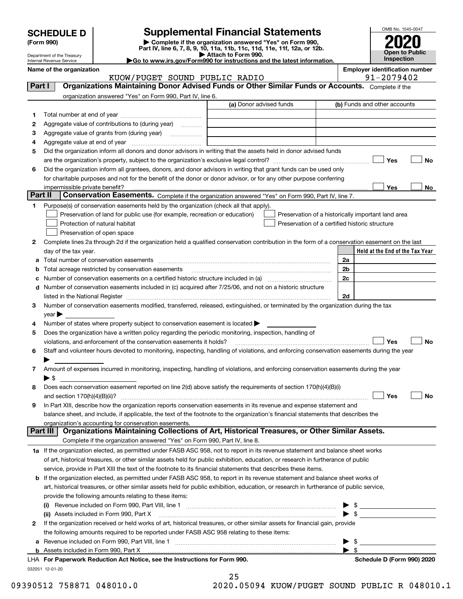| <b>SCHEDULE D</b> |
|-------------------|
|-------------------|

## **Supplemental Financial Statements**

(Form 990)<br>
Pepartment of the Treasury<br>
Department of the Treasury<br>
Department of the Treasury<br>
Department of the Treasury<br> **Co to www.irs.gov/Form990 for instructions and the latest information.**<br> **Co to www.irs.gov/Form9** 



Department of the Treasury Internal Revenue Service

## **Name of the organization Employer identification number**

|          | KUOW/PUGET SOUND PUBLIC RADIO                                                                                                                  |                         |  | 91-2079402                                                                                           |
|----------|------------------------------------------------------------------------------------------------------------------------------------------------|-------------------------|--|------------------------------------------------------------------------------------------------------|
| Part I   | Organizations Maintaining Donor Advised Funds or Other Similar Funds or Accounts. Complete if the                                              |                         |  |                                                                                                      |
|          | organization answered "Yes" on Form 990, Part IV, line 6.                                                                                      |                         |  |                                                                                                      |
|          |                                                                                                                                                | (a) Donor advised funds |  | (b) Funds and other accounts                                                                         |
| 1        |                                                                                                                                                |                         |  |                                                                                                      |
| 2        | Aggregate value of contributions to (during year)                                                                                              |                         |  |                                                                                                      |
| з        | Aggregate value of grants from (during year)                                                                                                   |                         |  |                                                                                                      |
| 4        |                                                                                                                                                |                         |  |                                                                                                      |
| 5        | Did the organization inform all donors and donor advisors in writing that the assets held in donor advised funds                               |                         |  |                                                                                                      |
|          |                                                                                                                                                |                         |  | Yes<br>No                                                                                            |
| 6        | Did the organization inform all grantees, donors, and donor advisors in writing that grant funds can be used only                              |                         |  |                                                                                                      |
|          | for charitable purposes and not for the benefit of the donor or donor advisor, or for any other purpose conferring                             |                         |  |                                                                                                      |
|          | impermissible private benefit?                                                                                                                 |                         |  | Yes<br>No                                                                                            |
| Part II  | Conservation Easements. Complete if the organization answered "Yes" on Form 990, Part IV, line 7.                                              |                         |  |                                                                                                      |
| 1        | Purpose(s) of conservation easements held by the organization (check all that apply).                                                          |                         |  |                                                                                                      |
|          | Preservation of land for public use (for example, recreation or education)                                                                     |                         |  |                                                                                                      |
|          |                                                                                                                                                |                         |  | Preservation of a historically important land area<br>Preservation of a certified historic structure |
|          | Protection of natural habitat                                                                                                                  |                         |  |                                                                                                      |
|          | Preservation of open space                                                                                                                     |                         |  |                                                                                                      |
| 2        | Complete lines 2a through 2d if the organization held a qualified conservation contribution in the form of a conservation easement on the last |                         |  |                                                                                                      |
|          | day of the tax year.                                                                                                                           |                         |  | Held at the End of the Tax Year                                                                      |
|          |                                                                                                                                                |                         |  | 2a                                                                                                   |
|          | <b>b</b> Total acreage restricted by conservation easements                                                                                    |                         |  | 2b                                                                                                   |
|          |                                                                                                                                                |                         |  | 2c                                                                                                   |
|          | d Number of conservation easements included in (c) acquired after 7/25/06, and not on a historic structure                                     |                         |  |                                                                                                      |
|          |                                                                                                                                                |                         |  | 2d                                                                                                   |
| 3        | Number of conservation easements modified, transferred, released, extinguished, or terminated by the organization during the tax               |                         |  |                                                                                                      |
|          | year                                                                                                                                           |                         |  |                                                                                                      |
| 4        | Number of states where property subject to conservation easement is located >                                                                  |                         |  |                                                                                                      |
| 5        | Does the organization have a written policy regarding the periodic monitoring, inspection, handling of                                         |                         |  |                                                                                                      |
|          | Yes<br><b>No</b><br>violations, and enforcement of the conservation easements it holds?                                                        |                         |  |                                                                                                      |
| 6        | Staff and volunteer hours devoted to monitoring, inspecting, handling of violations, and enforcing conservation easements during the year      |                         |  |                                                                                                      |
|          |                                                                                                                                                |                         |  |                                                                                                      |
| 7        | Amount of expenses incurred in monitoring, inspecting, handling of violations, and enforcing conservation easements during the year            |                         |  |                                                                                                      |
|          | ▶ \$                                                                                                                                           |                         |  |                                                                                                      |
| 8        | Does each conservation easement reported on line 2(d) above satisfy the requirements of section 170(h)(4)(B)(i)                                |                         |  |                                                                                                      |
|          |                                                                                                                                                |                         |  | Yes<br>No                                                                                            |
| 9        | In Part XIII, describe how the organization reports conservation easements in its revenue and expense statement and                            |                         |  |                                                                                                      |
|          | balance sheet, and include, if applicable, the text of the footnote to the organization's financial statements that describes the              |                         |  |                                                                                                      |
|          | organization's accounting for conservation easements.                                                                                          |                         |  |                                                                                                      |
| Part III | Organizations Maintaining Collections of Art, Historical Treasures, or Other Similar Assets.                                                   |                         |  |                                                                                                      |
|          | Complete if the organization answered "Yes" on Form 990, Part IV, line 8.                                                                      |                         |  |                                                                                                      |
|          | 1a If the organization elected, as permitted under FASB ASC 958, not to report in its revenue statement and balance sheet works                |                         |  |                                                                                                      |
|          | of art, historical treasures, or other similar assets held for public exhibition, education, or research in furtherance of public              |                         |  |                                                                                                      |
|          | service, provide in Part XIII the text of the footnote to its financial statements that describes these items.                                 |                         |  |                                                                                                      |
|          | b If the organization elected, as permitted under FASB ASC 958, to report in its revenue statement and balance sheet works of                  |                         |  |                                                                                                      |
|          | art, historical treasures, or other similar assets held for public exhibition, education, or research in furtherance of public service,        |                         |  |                                                                                                      |
|          | provide the following amounts relating to these items:                                                                                         |                         |  |                                                                                                      |
|          | (i)                                                                                                                                            |                         |  | $\frac{1}{2}$                                                                                        |
|          | (ii) Assets included in Form 990, Part X                                                                                                       |                         |  | $\triangleright$ \$                                                                                  |
| 2        | If the organization received or held works of art, historical treasures, or other similar assets for financial gain, provide                   |                         |  |                                                                                                      |
|          | the following amounts required to be reported under FASB ASC 958 relating to these items:                                                      |                         |  |                                                                                                      |
| a        |                                                                                                                                                |                         |  |                                                                                                      |
|          |                                                                                                                                                |                         |  | $\blacktriangleright$ \$                                                                             |
|          |                                                                                                                                                |                         |  |                                                                                                      |

032051 12-01-20

| 25 |          |                 |  |
|----|----------|-----------------|--|
|    | 0. 05001 | <b>TZTTへTJT</b> |  |

**For Paperwork Reduction Act Notice, see the Instructions for Form 990. Schedule D (Form 990) 2020** LHA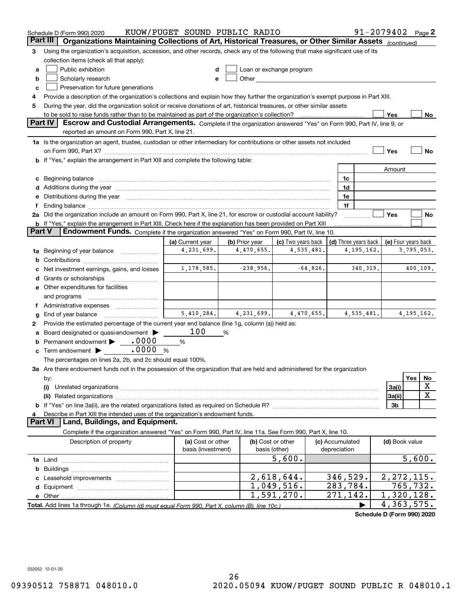|          | Schedule D (Form 990) 2020                                                                                                                                                                                                     | KUOW/PUGET SOUND PUBLIC RADIO |                |                                                                                                                                                                                                                                |            |                      |              | $91 - 2079402$ Page 2      |                                |             |
|----------|--------------------------------------------------------------------------------------------------------------------------------------------------------------------------------------------------------------------------------|-------------------------------|----------------|--------------------------------------------------------------------------------------------------------------------------------------------------------------------------------------------------------------------------------|------------|----------------------|--------------|----------------------------|--------------------------------|-------------|
| Part III | Organizations Maintaining Collections of Art, Historical Treasures, or Other Similar Assets (continued)                                                                                                                        |                               |                |                                                                                                                                                                                                                                |            |                      |              |                            |                                |             |
| З        | Using the organization's acquisition, accession, and other records, check any of the following that make significant use of its                                                                                                |                               |                |                                                                                                                                                                                                                                |            |                      |              |                            |                                |             |
|          | collection items (check all that apply):                                                                                                                                                                                       |                               |                |                                                                                                                                                                                                                                |            |                      |              |                            |                                |             |
| a        | Public exhibition                                                                                                                                                                                                              |                               |                | Loan or exchange program                                                                                                                                                                                                       |            |                      |              |                            |                                |             |
| b        | Scholarly research                                                                                                                                                                                                             |                               |                | Other and the control of the control of the control of the control of the control of the control of the control of the control of the control of the control of the control of the control of the control of the control of th |            |                      |              |                            |                                |             |
| c        | Preservation for future generations                                                                                                                                                                                            |                               |                |                                                                                                                                                                                                                                |            |                      |              |                            |                                |             |
| 4        | Provide a description of the organization's collections and explain how they further the organization's exempt purpose in Part XIII.                                                                                           |                               |                |                                                                                                                                                                                                                                |            |                      |              |                            |                                |             |
| 5        | During the year, did the organization solicit or receive donations of art, historical treasures, or other similar assets                                                                                                       |                               |                |                                                                                                                                                                                                                                |            |                      |              |                            |                                |             |
|          | to be sold to raise funds rather than to be maintained as part of the organization's collection?                                                                                                                               |                               |                |                                                                                                                                                                                                                                |            |                      |              | Yes                        |                                | No.         |
|          | <b>Part IV</b><br>Escrow and Custodial Arrangements. Complete if the organization answered "Yes" on Form 990, Part IV, line 9, or                                                                                              |                               |                |                                                                                                                                                                                                                                |            |                      |              |                            |                                |             |
|          | reported an amount on Form 990, Part X, line 21.                                                                                                                                                                               |                               |                |                                                                                                                                                                                                                                |            |                      |              |                            |                                |             |
|          | 1a Is the organization an agent, trustee, custodian or other intermediary for contributions or other assets not included                                                                                                       |                               |                |                                                                                                                                                                                                                                |            |                      |              |                            |                                |             |
|          |                                                                                                                                                                                                                                |                               |                |                                                                                                                                                                                                                                |            |                      |              | Yes                        |                                | No          |
|          | <b>b</b> If "Yes," explain the arrangement in Part XIII and complete the following table:                                                                                                                                      |                               |                |                                                                                                                                                                                                                                |            |                      |              |                            |                                |             |
|          |                                                                                                                                                                                                                                |                               |                |                                                                                                                                                                                                                                |            |                      |              | Amount                     |                                |             |
|          |                                                                                                                                                                                                                                |                               |                |                                                                                                                                                                                                                                |            | 1c                   |              |                            |                                |             |
|          | Additions during the year manufactured and an annual contract of the year manufactured and all the year manufactured and all the year manufactured and all the year manufactured and all the year manufactured and all the yea |                               |                |                                                                                                                                                                                                                                |            | 1d                   |              |                            |                                |             |
|          | Distributions during the year manufactured and an account of the state of the state of the state of the state o                                                                                                                |                               |                |                                                                                                                                                                                                                                |            | 1e                   |              |                            |                                |             |
|          |                                                                                                                                                                                                                                |                               |                |                                                                                                                                                                                                                                |            | 1f                   |              |                            |                                |             |
|          | 2a Did the organization include an amount on Form 990, Part X, line 21, for escrow or custodial account liability?                                                                                                             |                               |                |                                                                                                                                                                                                                                |            |                      |              | Yes                        |                                | No          |
|          | <b>b</b> If "Yes," explain the arrangement in Part XIII. Check here if the explanation has been provided on Part XIII                                                                                                          |                               |                |                                                                                                                                                                                                                                |            |                      |              |                            |                                |             |
| Part V   | Endowment Funds. Complete if the organization answered "Yes" on Form 990, Part IV, line 10.                                                                                                                                    |                               |                |                                                                                                                                                                                                                                |            |                      |              |                            |                                |             |
|          |                                                                                                                                                                                                                                | (a) Current year              | (b) Prior year | (c) Two years back                                                                                                                                                                                                             |            | (d) Three years back |              | (e) Four years back        |                                |             |
| 1a       | Beginning of year balance                                                                                                                                                                                                      | 4,231,699.                    | 4,470,655.     | 4,535,481.                                                                                                                                                                                                                     |            |                      | 4, 195, 162. |                            | 3,795,053.                     |             |
| b        |                                                                                                                                                                                                                                |                               |                |                                                                                                                                                                                                                                |            |                      |              |                            |                                |             |
|          | Net investment earnings, gains, and losses                                                                                                                                                                                     | 1,178,585.                    | $-238,956.$    |                                                                                                                                                                                                                                | $-64,826.$ |                      | 340, 319.    |                            | 400,109.                       |             |
|          |                                                                                                                                                                                                                                |                               |                |                                                                                                                                                                                                                                |            |                      |              |                            |                                |             |
|          | e Other expenditures for facilities                                                                                                                                                                                            |                               |                |                                                                                                                                                                                                                                |            |                      |              |                            |                                |             |
|          | and programs                                                                                                                                                                                                                   |                               |                |                                                                                                                                                                                                                                |            |                      |              |                            |                                |             |
|          |                                                                                                                                                                                                                                |                               |                |                                                                                                                                                                                                                                |            |                      |              |                            |                                |             |
| g        | End of year balance                                                                                                                                                                                                            | 5,410,284.                    | 4,231,699.     |                                                                                                                                                                                                                                | 4,470,655. |                      | 4,535,481.   |                            | 4, 195, 162.                   |             |
| 2        | Provide the estimated percentage of the current year end balance (line 1g, column (a)) held as:                                                                                                                                |                               |                |                                                                                                                                                                                                                                |            |                      |              |                            |                                |             |
|          | Board designated or quasi-endowment                                                                                                                                                                                            | 100                           | %              |                                                                                                                                                                                                                                |            |                      |              |                            |                                |             |
| b        | Permanent endowment > 0000                                                                                                                                                                                                     | %                             |                |                                                                                                                                                                                                                                |            |                      |              |                            |                                |             |
| c        | .0000<br>Term endowment $\blacktriangleright$                                                                                                                                                                                  | %                             |                |                                                                                                                                                                                                                                |            |                      |              |                            |                                |             |
|          | The percentages on lines 2a, 2b, and 2c should equal 100%.                                                                                                                                                                     |                               |                |                                                                                                                                                                                                                                |            |                      |              |                            |                                |             |
|          | 3a Are there endowment funds not in the possession of the organization that are held and administered for the organization                                                                                                     |                               |                |                                                                                                                                                                                                                                |            |                      |              |                            |                                |             |
|          | by:                                                                                                                                                                                                                            |                               |                |                                                                                                                                                                                                                                |            |                      |              |                            | Yes                            | No          |
|          | (i)                                                                                                                                                                                                                            |                               |                |                                                                                                                                                                                                                                |            |                      |              | 3a(i)                      |                                | X           |
|          |                                                                                                                                                                                                                                |                               |                |                                                                                                                                                                                                                                |            |                      |              | 3a(ii)                     |                                | $\mathbf X$ |
|          |                                                                                                                                                                                                                                |                               |                |                                                                                                                                                                                                                                |            |                      |              | 3b                         |                                |             |
|          | Describe in Part XIII the intended uses of the organization's endowment funds.                                                                                                                                                 |                               |                |                                                                                                                                                                                                                                |            |                      |              |                            |                                |             |
|          | Land, Buildings, and Equipment.<br>Part VI                                                                                                                                                                                     |                               |                |                                                                                                                                                                                                                                |            |                      |              |                            |                                |             |
|          | Complete if the organization answered "Yes" on Form 990, Part IV, line 11a. See Form 990, Part X, line 10.                                                                                                                     |                               |                |                                                                                                                                                                                                                                |            |                      |              |                            |                                |             |
|          | Description of property                                                                                                                                                                                                        | (a) Cost or other             |                | (b) Cost or other                                                                                                                                                                                                              |            | (c) Accumulated      |              | (d) Book value             |                                |             |
|          |                                                                                                                                                                                                                                | basis (investment)            |                | basis (other)                                                                                                                                                                                                                  |            | depreciation         |              |                            |                                |             |
|          |                                                                                                                                                                                                                                |                               |                | 5,600.                                                                                                                                                                                                                         |            |                      |              |                            |                                | 5,600.      |
| b        |                                                                                                                                                                                                                                |                               |                |                                                                                                                                                                                                                                |            |                      |              |                            |                                |             |
|          |                                                                                                                                                                                                                                |                               |                | 2,618,644.                                                                                                                                                                                                                     |            | 346,529.             |              | 2, 272, 115.               |                                |             |
|          |                                                                                                                                                                                                                                |                               |                | 1,049,516.                                                                                                                                                                                                                     |            | 283,784.             |              |                            | $\overline{7}$ 65,7 <u>32.</u> |             |
|          |                                                                                                                                                                                                                                |                               |                | 1,591,270.                                                                                                                                                                                                                     |            | 271,142.             |              | 1,320,128.                 |                                |             |
|          | Total. Add lines 1a through 1e. (Column (d) must equal Form 990. Part X. column (B). line 10c.)                                                                                                                                |                               |                |                                                                                                                                                                                                                                |            |                      |              | 4,363,575.                 |                                |             |
|          |                                                                                                                                                                                                                                |                               |                |                                                                                                                                                                                                                                |            |                      |              | Schedule D (Form 990) 2020 |                                |             |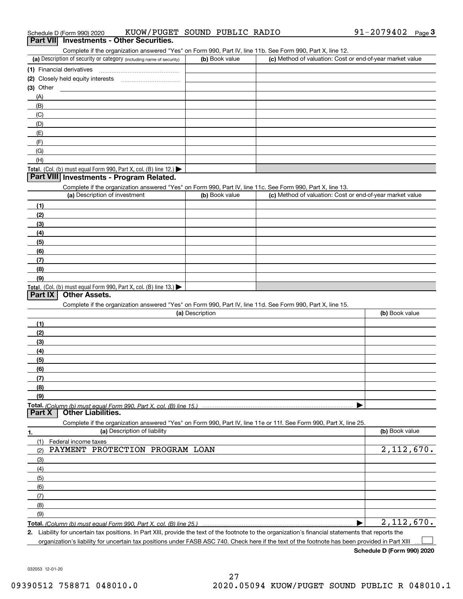| 91-2079402<br>KUOW/PUGET SOUND PUBLIC RADIO<br>Schedule D (Form 990) 2020 | Page |  |
|---------------------------------------------------------------------------|------|--|
|---------------------------------------------------------------------------|------|--|

### **Part VII Investments - Other Securities.**

Complete if the organization answered "Yes" on Form 990, Part IV, line 11b. See Form 990, Part X, line 12.

| (a) Description of security or category (including name of security)                          | (b) Book value | (c) Method of valuation: Cost or end-of-year market value |
|-----------------------------------------------------------------------------------------------|----------------|-----------------------------------------------------------|
| (1) Financial derivatives                                                                     |                |                                                           |
| (2) Closely held equity interests<br>                                                         |                |                                                           |
| $(3)$ Other                                                                                   |                |                                                           |
| (A)                                                                                           |                |                                                           |
| (B)                                                                                           |                |                                                           |
| (C)                                                                                           |                |                                                           |
| (D)                                                                                           |                |                                                           |
| (E)                                                                                           |                |                                                           |
| (F)                                                                                           |                |                                                           |
| (G)                                                                                           |                |                                                           |
| (H)                                                                                           |                |                                                           |
| <b>Total.</b> (Col. (b) must equal Form 990, Part X, col. (B) line 12.) $\blacktriangleright$ |                |                                                           |

### **Part VIII Investments - Program Related.**

Complete if the organization answered "Yes" on Form 990, Part IV, line 11c. See Form 990, Part X, line 13.

| (a) Description of investment                                                          | (b) Book value | (c) Method of valuation: Cost or end-of-year market value |
|----------------------------------------------------------------------------------------|----------------|-----------------------------------------------------------|
| (1)                                                                                    |                |                                                           |
| (2)                                                                                    |                |                                                           |
| $\frac{1}{2}$                                                                          |                |                                                           |
| (4)                                                                                    |                |                                                           |
| (5)                                                                                    |                |                                                           |
| (6)                                                                                    |                |                                                           |
| (7)                                                                                    |                |                                                           |
| (8)                                                                                    |                |                                                           |
| (9)                                                                                    |                |                                                           |
| Total. (Col. (b) must equal Form 990, Part X, col. (B) line 13.) $\blacktriangleright$ |                |                                                           |

### **Part IX Other Assets.**

Complete if the organization answered "Yes" on Form 990, Part IV, line 11d. See Form 990, Part X, line 15.

| (a) Description                                                                                                                       | (b) Book value |
|---------------------------------------------------------------------------------------------------------------------------------------|----------------|
| (1)                                                                                                                                   |                |
| (2)                                                                                                                                   |                |
| (3)                                                                                                                                   |                |
| (4)                                                                                                                                   |                |
| (5)                                                                                                                                   |                |
| (6)                                                                                                                                   |                |
|                                                                                                                                       |                |
| (8)                                                                                                                                   |                |
| (9)                                                                                                                                   |                |
|                                                                                                                                       |                |
| Total. (Column (b) must equal Form 990, Part X, col. (B) line 15.) ………………………………………………………………………………………<br>  Part X   Other Liabilities. |                |

**1.(a)** Description of liability **Book value** Book value Book value Book value Book value **Total.**  *(Column (b) must equal Form 990, Part X, col. (B) line 25.)* Complete if the organization answered "Yes" on Form 990, Part IV, line 11e or 11f. See Form 990, Part X, line 25. (1)(2)(3)(4)(5)(6)(7)(8)(9)Federal income taxes  $\blacktriangleright$ PAYMENT PROTECTION PROGRAM LOAN 2,112,670. 2,112,670.

**2.**Liability for uncertain tax positions. In Part XIII, provide the text of the footnote to the organization's financial statements that reports the

organization's liability for uncertain tax positions under FASB ASC 740. Check here if the text of the footnote has been provided in Part XIII

**Schedule D (Form 990) 2020**

 $\mathcal{L}^{\text{max}}$ 

032053 12-01-20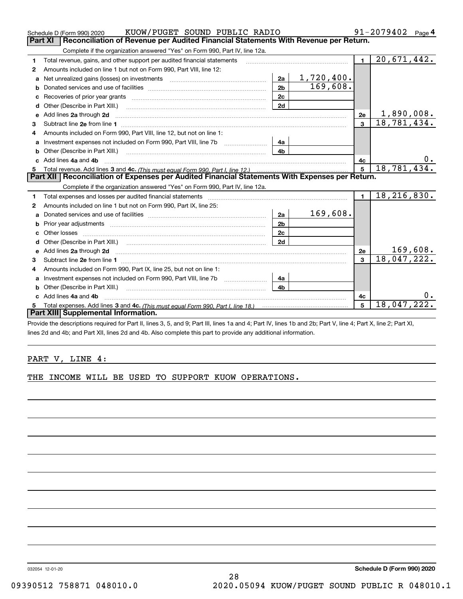|    | 91-2079402<br>KUOW/PUGET SOUND PUBLIC RADIO<br>Schedule D (Form 990) 2020<br>Page $4$                                                                                                                                              |                |            |                |                          |  |
|----|------------------------------------------------------------------------------------------------------------------------------------------------------------------------------------------------------------------------------------|----------------|------------|----------------|--------------------------|--|
|    | Part XI<br>Reconciliation of Revenue per Audited Financial Statements With Revenue per Return.                                                                                                                                     |                |            |                |                          |  |
|    | Complete if the organization answered "Yes" on Form 990, Part IV, line 12a.                                                                                                                                                        |                |            |                |                          |  |
| 1  | Total revenue, gains, and other support per audited financial statements                                                                                                                                                           |                |            | $\blacksquare$ | $\overline{20,671,442.}$ |  |
| 2  | Amounts included on line 1 but not on Form 990, Part VIII, line 12:                                                                                                                                                                |                |            |                |                          |  |
| a  | Net unrealized gains (losses) on investments [11] matter contracts and the unrealized gains (losses) on investments                                                                                                                | 2a             | 1,720,400. |                |                          |  |
| b  |                                                                                                                                                                                                                                    | 2 <sub>b</sub> | 169,608.   |                |                          |  |
|    |                                                                                                                                                                                                                                    | 2c             |            |                |                          |  |
|    |                                                                                                                                                                                                                                    | 2d             |            |                |                          |  |
| e  | Add lines 2a through 2d                                                                                                                                                                                                            |                |            | 2e             | 1,890,008.               |  |
| 3  |                                                                                                                                                                                                                                    |                |            | $\overline{3}$ | 18,781,434.              |  |
| 4  | Amounts included on Form 990, Part VIII, line 12, but not on line 1:                                                                                                                                                               |                |            |                |                          |  |
| a  |                                                                                                                                                                                                                                    | 4a             |            |                |                          |  |
|    | Other (Describe in Part XIII.) <b>Construction Contract Construction</b> Construction Construction Construction Const                                                                                                              | 4b             |            |                |                          |  |
|    | Add lines 4a and 4b                                                                                                                                                                                                                |                |            | 4c             | 0.                       |  |
| 5  |                                                                                                                                                                                                                                    |                |            |                | 18,781,434.              |  |
|    | Part XII   Reconciliation of Expenses per Audited Financial Statements With Expenses per Return.                                                                                                                                   |                |            |                |                          |  |
|    | Complete if the organization answered "Yes" on Form 990, Part IV, line 12a.                                                                                                                                                        |                |            |                |                          |  |
| 1. | Total expenses and losses per audited financial statements [11] [12] manuscription control expenses and losses per audited financial statements [12] [12] manuscription of the statements [12] manuscription of the statements     |                |            | $\blacksquare$ | 18, 216, 830.            |  |
| 2  | Amounts included on line 1 but not on Form 990, Part IX, line 25:                                                                                                                                                                  |                |            |                |                          |  |
| a  | Donated services and use of facilities [111] matter contracts and use of facilities [11] matter contracts and use of facilities [11] matter contracts and use of facilities [11] matter contracts and the Donate Service and D     | 2a             | 169,608.   |                |                          |  |
|    |                                                                                                                                                                                                                                    | 2 <sub>b</sub> |            |                |                          |  |
|    |                                                                                                                                                                                                                                    | 2c             |            |                |                          |  |
|    |                                                                                                                                                                                                                                    | 2d             |            |                |                          |  |
| е  | Add lines 2a through 2d <b>must be a constructed as the constant of the construction</b> and the state of the state of the state of the state of the state of the state of the state of the state of the state of the state of the |                |            | 2e             | 169,608.                 |  |
| 3  |                                                                                                                                                                                                                                    |                |            | 3              | 18,047,222.              |  |
| 4  | Amounts included on Form 990, Part IX, line 25, but not on line 1:                                                                                                                                                                 |                |            |                |                          |  |
| a  | Investment expenses not included on Form 990, Part VIII, line 7b [111] [11] [12]                                                                                                                                                   | 4a             |            |                |                          |  |
|    |                                                                                                                                                                                                                                    | 4 <sub>b</sub> |            |                |                          |  |
|    | c Add lines 4a and 4b                                                                                                                                                                                                              |                |            | 4c             |                          |  |
| 5  |                                                                                                                                                                                                                                    |                |            | 5              | 18,047,222.              |  |
|    | Part XIII Supplemental Information.                                                                                                                                                                                                |                |            |                |                          |  |
|    | Provide the descriptions required for Part II, lines 3, 5, and 9; Part III, lines 1a and 4; Part IV, lines 1b and 2b; Part V, line 4; Part X, line 2; Part XI,                                                                     |                |            |                |                          |  |

riptions required for Part II, lines 3, 5, and 9; Part III, lines 1a and 4; Part IV, lines 1b and 2b; Part V, li lines 2d and 4b; and Part XII, lines 2d and 4b. Also complete this part to provide any additional information.

### PART V, LINE 4:

THE INCOME WILL BE USED TO SUPPORT KUOW OPERATIONS.

032054 12-01-20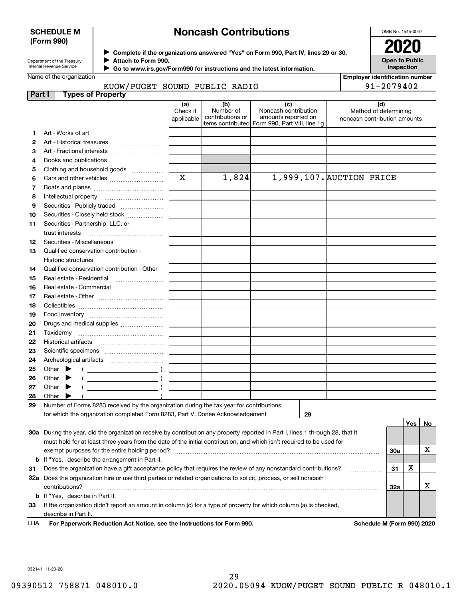### **SCHEDULE M (Form 990)**

## **Noncash Contributions**

OMB No. 1545-0047

**Open to Public Inspection**

| Department of the Treasury |
|----------------------------|
| Internal Revenue Service   |

**Complete if the organizations answered "Yes" on Form 990, Part IV, lines 29 or 30.** <sup>J</sup>**2020 Attach to Form 990.** J

 **Go to www.irs.gov/Form990 for instructions and the latest information.** J

## Name of the organization

### KUOW/PUGET SOUND PUBLIC RADIO

| <b>Employer identification number</b> |  |
|---------------------------------------|--|

| _______________________________ |
|---------------------------------|
| 91-2079402                      |

| Part | <b>Types of Property</b>                                                                                                       |                        |                               |                                                 |                                                       |     |     |    |
|------|--------------------------------------------------------------------------------------------------------------------------------|------------------------|-------------------------------|-------------------------------------------------|-------------------------------------------------------|-----|-----|----|
|      |                                                                                                                                | (a)                    | (b)                           | (c)                                             | (d)                                                   |     |     |    |
|      |                                                                                                                                | Check if<br>applicable | Number of<br>contributions or | Noncash contribution<br>amounts reported on     | Method of determining<br>noncash contribution amounts |     |     |    |
|      |                                                                                                                                |                        |                               | litems contributed Form 990, Part VIII, line 1g |                                                       |     |     |    |
| 1    |                                                                                                                                |                        |                               |                                                 |                                                       |     |     |    |
| 2    | Art - Historical treasures                                                                                                     |                        |                               |                                                 |                                                       |     |     |    |
| З    | Art - Fractional interests                                                                                                     |                        |                               |                                                 |                                                       |     |     |    |
| 4    | Books and publications                                                                                                         |                        |                               |                                                 |                                                       |     |     |    |
| 5    | Clothing and household goods                                                                                                   |                        |                               |                                                 |                                                       |     |     |    |
| 6    |                                                                                                                                | $\mathbf X$            | 1,824                         |                                                 | 1,999,107. AUCTION PRICE                              |     |     |    |
| 7    |                                                                                                                                |                        |                               |                                                 |                                                       |     |     |    |
| 8    | Intellectual property                                                                                                          |                        |                               |                                                 |                                                       |     |     |    |
| 9    | Securities - Publicly traded                                                                                                   |                        |                               |                                                 |                                                       |     |     |    |
| 10   | Securities - Closely held stock                                                                                                |                        |                               |                                                 |                                                       |     |     |    |
| 11   | Securities - Partnership, LLC, or                                                                                              |                        |                               |                                                 |                                                       |     |     |    |
|      | trust interests                                                                                                                |                        |                               |                                                 |                                                       |     |     |    |
| 12   | Securities - Miscellaneous                                                                                                     |                        |                               |                                                 |                                                       |     |     |    |
| 13   | Qualified conservation contribution -                                                                                          |                        |                               |                                                 |                                                       |     |     |    |
|      | Historic structures                                                                                                            |                        |                               |                                                 |                                                       |     |     |    |
| 14   | Qualified conservation contribution - Other                                                                                    |                        |                               |                                                 |                                                       |     |     |    |
| 15   | Real estate - Residential                                                                                                      |                        |                               |                                                 |                                                       |     |     |    |
| 16   | Real estate - Commercial                                                                                                       |                        |                               |                                                 |                                                       |     |     |    |
| 17   |                                                                                                                                |                        |                               |                                                 |                                                       |     |     |    |
| 18   |                                                                                                                                |                        |                               |                                                 |                                                       |     |     |    |
| 19   |                                                                                                                                |                        |                               |                                                 |                                                       |     |     |    |
| 20   | Drugs and medical supplies                                                                                                     |                        |                               |                                                 |                                                       |     |     |    |
| 21   |                                                                                                                                |                        |                               |                                                 |                                                       |     |     |    |
| 22   | Historical artifacts                                                                                                           |                        |                               |                                                 |                                                       |     |     |    |
| 23   |                                                                                                                                |                        |                               |                                                 |                                                       |     |     |    |
| 24   |                                                                                                                                |                        |                               |                                                 |                                                       |     |     |    |
| 25   | Other                                                                                                                          |                        |                               |                                                 |                                                       |     |     |    |
| 26   | Other<br>$\overline{\phantom{a}}$ )                                                                                            |                        |                               |                                                 |                                                       |     |     |    |
| 27   | $\overline{\phantom{a}}$ )<br>Other<br>▶                                                                                       |                        |                               |                                                 |                                                       |     |     |    |
| 28   | Other                                                                                                                          |                        |                               |                                                 |                                                       |     |     |    |
| 29   | Number of Forms 8283 received by the organization during the tax year for contributions                                        |                        |                               |                                                 |                                                       |     |     |    |
|      | for which the organization completed Form 8283, Part V, Donee Acknowledgement                                                  |                        |                               | 29                                              |                                                       |     |     |    |
|      |                                                                                                                                |                        |                               |                                                 |                                                       |     | Yes | No |
|      | 30a During the year, did the organization receive by contribution any property reported in Part I, lines 1 through 28, that it |                        |                               |                                                 |                                                       |     |     |    |
|      | must hold for at least three years from the date of the initial contribution, and which isn't required to be used for          |                        |                               |                                                 |                                                       |     |     |    |
|      | exempt purposes for the entire holding period?                                                                                 |                        |                               |                                                 |                                                       | 30a |     | х  |
|      | <b>b</b> If "Yes," describe the arrangement in Part II.                                                                        |                        |                               |                                                 |                                                       |     |     |    |
| 31   | Does the organization have a gift acceptance policy that requires the review of any nonstandard contributions?                 |                        |                               |                                                 | .                                                     | 31  | х   |    |
|      | 32a Does the organization hire or use third parties or related organizations to solicit, process, or sell noncash              |                        |                               |                                                 |                                                       |     |     |    |
|      | contributions?                                                                                                                 |                        |                               |                                                 |                                                       | 32a |     | х  |
|      | <b>b</b> If "Yes," describe in Part II.                                                                                        |                        |                               |                                                 |                                                       |     |     |    |
| 33   | If the organization didn't report an amount in column (c) for a type of property for which column (a) is checked,              |                        |                               |                                                 |                                                       |     |     |    |
|      | describe in Part II.                                                                                                           |                        |                               |                                                 |                                                       |     |     |    |
| LHA  | For Paperwork Reduction Act Notice, see the Instructions for Form 990.                                                         |                        |                               |                                                 | Schedule M (Form 990) 2020                            |     |     |    |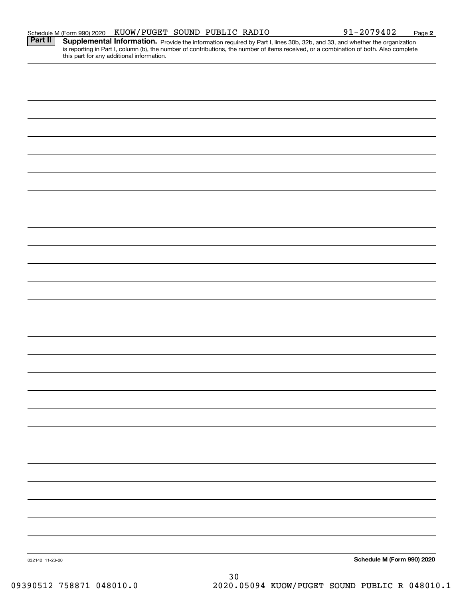| Part II         | <b>Supplemental Information.</b> Provide the information required by Part I, lines 30b, 32b, and 33, and whether the organization is reporting in Part I, column (b), the number of contributions, the number of items received, or |
|-----------------|-------------------------------------------------------------------------------------------------------------------------------------------------------------------------------------------------------------------------------------|
|                 |                                                                                                                                                                                                                                     |
|                 |                                                                                                                                                                                                                                     |
|                 |                                                                                                                                                                                                                                     |
|                 |                                                                                                                                                                                                                                     |
|                 |                                                                                                                                                                                                                                     |
|                 |                                                                                                                                                                                                                                     |
|                 |                                                                                                                                                                                                                                     |
|                 |                                                                                                                                                                                                                                     |
|                 |                                                                                                                                                                                                                                     |
|                 |                                                                                                                                                                                                                                     |
|                 |                                                                                                                                                                                                                                     |
|                 |                                                                                                                                                                                                                                     |
|                 |                                                                                                                                                                                                                                     |
|                 |                                                                                                                                                                                                                                     |
|                 |                                                                                                                                                                                                                                     |
|                 |                                                                                                                                                                                                                                     |
|                 |                                                                                                                                                                                                                                     |
|                 |                                                                                                                                                                                                                                     |
|                 |                                                                                                                                                                                                                                     |
|                 |                                                                                                                                                                                                                                     |
|                 |                                                                                                                                                                                                                                     |
|                 |                                                                                                                                                                                                                                     |
|                 |                                                                                                                                                                                                                                     |
|                 |                                                                                                                                                                                                                                     |
|                 |                                                                                                                                                                                                                                     |
|                 |                                                                                                                                                                                                                                     |
|                 |                                                                                                                                                                                                                                     |
|                 |                                                                                                                                                                                                                                     |
|                 |                                                                                                                                                                                                                                     |
|                 |                                                                                                                                                                                                                                     |
|                 |                                                                                                                                                                                                                                     |
|                 |                                                                                                                                                                                                                                     |
|                 |                                                                                                                                                                                                                                     |
|                 |                                                                                                                                                                                                                                     |
| 032142 11-23-20 | Schedule M (Form 990) 2020                                                                                                                                                                                                          |

Schedule M (Form 990) 2020  ${\rm KUOW/PUGET}$  SOUND PUBLIC RADIO 9 $1\text{--}2079402$  Page

**2**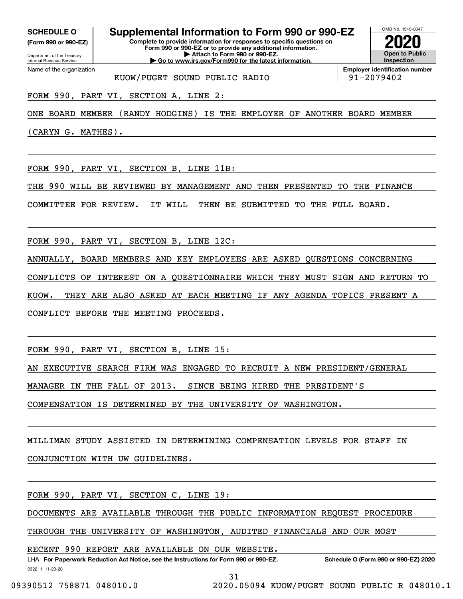**(Form 990 or 990-EZ)**

Department of the Treasury Internal Revenue Service Name of the organization

**Complete to provide information for responses to specific questions on SCHEDULE O Supplemental Information to Form 990 or 990-EZ**

**Form 990 or 990-EZ or to provide any additional information. | Attach to Form 990 or 990-EZ. | Go to www.irs.gov/Form990 for the latest information.**



**Employer identification number**

KUOW/PUGET SOUND PUBLIC RADIO 91-2079402

FORM 990, PART VI, SECTION A, LINE 2:

ONE BOARD MEMBER (RANDY HODGINS) IS THE EMPLOYER OF ANOTHER BOARD MEMBER

(CARYN G. MATHES).

FORM 990, PART VI, SECTION B, LINE 11B:

THE 990 WILL BE REVIEWED BY MANAGEMENT AND THEN PRESENTED TO THE FINANCE

COMMITTEE FOR REVIEW. IT WILL THEN BE SUBMITTED TO THE FULL BOARD.

FORM 990, PART VI, SECTION B, LINE 12C:

ANNUALLY, BOARD MEMBERS AND KEY EMPLOYEES ARE ASKED QUESTIONS CONCERNING

CONFLICTS OF INTEREST ON A QUESTIONNAIRE WHICH THEY MUST SIGN AND RETURN TO

KUOW. THEY ARE ALSO ASKED AT EACH MEETING IF ANY AGENDA TOPICS PRESENT A

CONFLICT BEFORE THE MEETING PROCEEDS.

FORM 990, PART VI, SECTION B, LINE 15:

AN EXECUTIVE SEARCH FIRM WAS ENGAGED TO RECRUIT A NEW PRESIDENT/GENERAL

MANAGER IN THE FALL OF 2013. SINCE BEING HIRED THE PRESIDENT'S

COMPENSATION IS DETERMINED BY THE UNIVERSITY OF WASHINGTON.

MILLIMAN STUDY ASSISTED IN DETERMINING COMPENSATION LEVELS FOR STAFF IN CONJUNCTION WITH UW GUIDELINES.

FORM 990, PART VI, SECTION C, LINE 19:

DOCUMENTS ARE AVAILABLE THROUGH THE PUBLIC INFORMATION REQUEST PROCEDURE

THROUGH THE UNIVERSITY OF WASHINGTON, AUDITED FINANCIALS AND OUR MOST

RECENT 990 REPORT ARE AVAILABLE ON OUR WEBSITE.

032211 11-20-20 LHA For Paperwork Reduction Act Notice, see the Instructions for Form 990 or 990-EZ. Schedule O (Form 990 or 990-EZ) 2020

31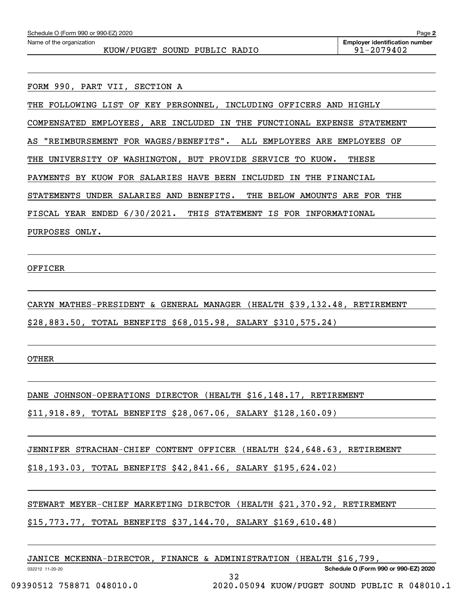| Schedule O (Form 990 or 990-EZ) 2020                                                                                                      | Page 2                                              |
|-------------------------------------------------------------------------------------------------------------------------------------------|-----------------------------------------------------|
| Name of the organization<br>KUOW/PUGET SOUND PUBLIC RADIO                                                                                 | <b>Employer identification number</b><br>91-2079402 |
|                                                                                                                                           |                                                     |
| FORM 990, PART VII, SECTION A                                                                                                             |                                                     |
| FOLLOWING LIST OF KEY PERSONNEL, INCLUDING OFFICERS AND<br>THE                                                                            | HIGHLY                                              |
| COMPENSATED EMPLOYEES, ARE INCLUDED<br>THE FUNCTIONAL EXPENSE STATEMENT<br>IN                                                             |                                                     |
| AS<br>"REIMBURSEMENT FOR WAGES/BENEFITS".<br>ALL EMPLOYEES ARE EMPLOYEES OF                                                               |                                                     |
| THE<br>UNIVERSITY OF WASHINGTON, BUT PROVIDE SERVICE TO KUOW.                                                                             | THESE                                               |
| PAYMENTS BY KUOW FOR SALARIES HAVE BEEN<br>INCLUDED<br>IN                                                                                 | THE FINANCIAL                                       |
| STATEMENTS UNDER SALARIES AND<br>BENEFITS.<br>THE BELOW AMOUNTS ARE FOR THE                                                               |                                                     |
| FISCAL YEAR ENDED 6/30/2021.<br>THIS<br>STATEMENT IS FOR INFORMATIONAL                                                                    |                                                     |
| PURPOSES ONLY.                                                                                                                            |                                                     |
|                                                                                                                                           |                                                     |
| OFFICER                                                                                                                                   |                                                     |
|                                                                                                                                           |                                                     |
| CARYN MATHES-PRESIDENT & GENERAL MANAGER (HEALTH \$39,132.48, RETIREMENT<br>\$28,883.50, TOTAL BENEFITS \$68,015.98, SALARY \$310,575.24) |                                                     |
|                                                                                                                                           |                                                     |
| <b>OTHER</b>                                                                                                                              |                                                     |
|                                                                                                                                           |                                                     |
| DANE JOHNSON-OPERATIONS DIRECTOR (HEALTH \$16,148.17, RETIREMENT                                                                          |                                                     |
| \$11,918.89, TOTAL BENEFITS \$28,067.06, SALARY \$128,160.09)                                                                             |                                                     |
|                                                                                                                                           |                                                     |
| JENNIFER STRACHAN-CHIEF CONTENT OFFICER (HEALTH \$24,648.63, RETIREMENT                                                                   |                                                     |
| \$18,193.03, TOTAL BENEFITS \$42,841.66, SALARY \$195,624.02)                                                                             |                                                     |
|                                                                                                                                           |                                                     |
| STEWART MEYER-CHIEF MARKETING DIRECTOR (HEALTH \$21,370.92, RETIREMENT                                                                    |                                                     |
| \$15,773.77, TOTAL BENEFITS \$37,144.70, SALARY \$169,610.48)                                                                             |                                                     |
|                                                                                                                                           |                                                     |
| JANICE MCKENNA-DIRECTOR, FINANCE & ADMINISTRATION (HEALTH \$16,799,                                                                       | Schedule O (Form 990 or 990-EZ) 2020                |
| 032212 11-20-20<br>32                                                                                                                     |                                                     |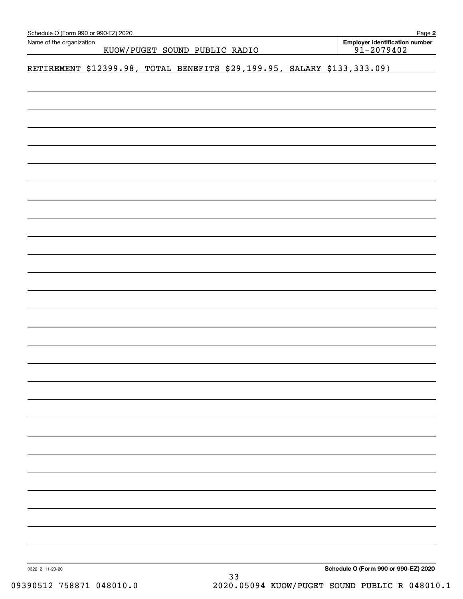| Schedule O (Form 990 or 990-EZ) 2020<br>Name of the organization |  |  |                               |                                                                         |  |  | Page 2<br><b>Employer identification number</b> |  |  |
|------------------------------------------------------------------|--|--|-------------------------------|-------------------------------------------------------------------------|--|--|-------------------------------------------------|--|--|
|                                                                  |  |  | KUOW/PUGET SOUND PUBLIC RADIO |                                                                         |  |  | $91 - 2079402$                                  |  |  |
|                                                                  |  |  |                               | RETIREMENT \$12399.98, TOTAL BENEFITS \$29,199.95, SALARY \$133,333.09) |  |  |                                                 |  |  |
|                                                                  |  |  |                               |                                                                         |  |  |                                                 |  |  |
|                                                                  |  |  |                               |                                                                         |  |  |                                                 |  |  |
|                                                                  |  |  |                               |                                                                         |  |  |                                                 |  |  |
|                                                                  |  |  |                               |                                                                         |  |  |                                                 |  |  |
|                                                                  |  |  |                               |                                                                         |  |  |                                                 |  |  |
|                                                                  |  |  |                               |                                                                         |  |  |                                                 |  |  |
|                                                                  |  |  |                               |                                                                         |  |  |                                                 |  |  |
|                                                                  |  |  |                               |                                                                         |  |  |                                                 |  |  |
|                                                                  |  |  |                               |                                                                         |  |  |                                                 |  |  |
|                                                                  |  |  |                               |                                                                         |  |  |                                                 |  |  |
|                                                                  |  |  |                               |                                                                         |  |  |                                                 |  |  |
|                                                                  |  |  |                               |                                                                         |  |  |                                                 |  |  |
|                                                                  |  |  |                               |                                                                         |  |  |                                                 |  |  |
|                                                                  |  |  |                               |                                                                         |  |  |                                                 |  |  |
|                                                                  |  |  |                               |                                                                         |  |  |                                                 |  |  |
|                                                                  |  |  |                               |                                                                         |  |  |                                                 |  |  |
|                                                                  |  |  |                               |                                                                         |  |  |                                                 |  |  |
|                                                                  |  |  |                               |                                                                         |  |  |                                                 |  |  |
|                                                                  |  |  |                               |                                                                         |  |  |                                                 |  |  |
|                                                                  |  |  |                               |                                                                         |  |  |                                                 |  |  |
|                                                                  |  |  |                               |                                                                         |  |  |                                                 |  |  |
|                                                                  |  |  |                               |                                                                         |  |  |                                                 |  |  |
|                                                                  |  |  |                               |                                                                         |  |  |                                                 |  |  |
|                                                                  |  |  |                               |                                                                         |  |  |                                                 |  |  |
|                                                                  |  |  |                               |                                                                         |  |  |                                                 |  |  |
| 032212 11-20-20                                                  |  |  |                               | २२                                                                      |  |  | Schedule O (Form 990 or 990-EZ) 2020            |  |  |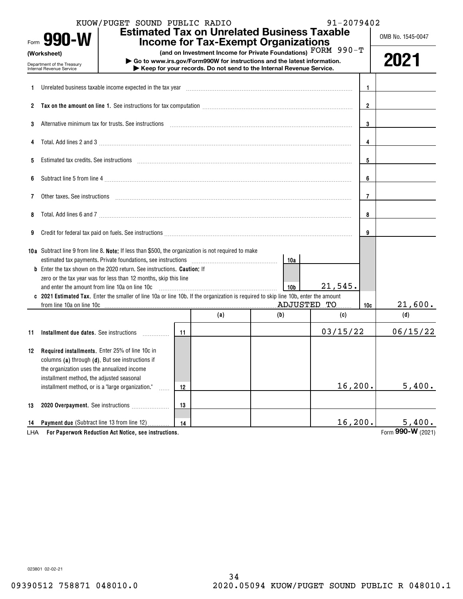|     | Form 990-W                                                            | KUOW/PUGET SOUND PUBLIC RADIO                                                                                                                                                                                                  |     |     | <b>Estimated Tax on Unrelated Business Taxable</b><br><b>Income for Tax-Exempt Organizations</b>                                                                                                                | 91-2079402 |                | OMB No. 1545-0047 |
|-----|-----------------------------------------------------------------------|--------------------------------------------------------------------------------------------------------------------------------------------------------------------------------------------------------------------------------|-----|-----|-----------------------------------------------------------------------------------------------------------------------------------------------------------------------------------------------------------------|------------|----------------|-------------------|
|     | (Worksheet)<br>Department of the Treasury<br>Internal Revenue Service |                                                                                                                                                                                                                                |     |     | (and on Investment Income for Private Foundations) FORM 990-T<br>Go to www.irs.gov/Form990W for instructions and the latest information.<br>Keep for your records. Do not send to the Internal Revenue Service. |            |                | 2021              |
| 1.  |                                                                       | Unrelated business taxable income expected in the tax year manufactured in the tax year manufactured business taxable income expected in the tax year manufactured in the tax wear manufactured business taxable income expect |     |     |                                                                                                                                                                                                                 |            | $\overline{1}$ |                   |
|     |                                                                       |                                                                                                                                                                                                                                |     |     |                                                                                                                                                                                                                 |            | $\overline{2}$ |                   |
| 3   |                                                                       | Alternative minimum tax for trusts. See instructions material content to the content of the content of the state of the state of the state of the state of the state of the state of the state of the state of the state of th |     |     |                                                                                                                                                                                                                 |            | 3              |                   |
|     |                                                                       | Total. Add lines 2 and 3 manufactured and control and control of the 2 and 3 manufactured and control of the control of the control of the control of the control of the control of the control of the control of the control  |     |     |                                                                                                                                                                                                                 |            | 4              |                   |
| 5   |                                                                       | Estimated tax credits. See instructions with an according contract to the internal contract of the instructions                                                                                                                |     |     |                                                                                                                                                                                                                 |            | 5              |                   |
| 6   |                                                                       |                                                                                                                                                                                                                                |     |     |                                                                                                                                                                                                                 |            | 6              |                   |
| 7   |                                                                       | Other taxes. See instructions entertainment and an account of the set of the set of the set of the set of the set of the set of the set of the set of the set of the set of the set of the set of the set of the set of the se |     |     |                                                                                                                                                                                                                 |            | 7              |                   |
| 8   |                                                                       |                                                                                                                                                                                                                                |     |     |                                                                                                                                                                                                                 |            | 8              |                   |
| 9   |                                                                       | Credit for federal tax paid on fuels. See instructions [11] productions [11] production control of federal tax paid on fuels. See instructions [11] productions [11] productions [11] productions [11] productions [11] produc |     |     |                                                                                                                                                                                                                 |            | 9              |                   |
|     |                                                                       | 10a Subtract line 9 from line 8. Note: If less than \$500, the organization is not required to make                                                                                                                            |     |     | 10a                                                                                                                                                                                                             |            |                |                   |
|     |                                                                       | <b>b</b> Enter the tax shown on the 2020 return. See instructions. <b>Caution</b> ; If                                                                                                                                         |     |     |                                                                                                                                                                                                                 |            |                |                   |
|     |                                                                       | zero or the tax year was for less than 12 months, skip this line                                                                                                                                                               |     |     |                                                                                                                                                                                                                 |            |                |                   |
|     | and enter the amount from line 10a on line 10c                        |                                                                                                                                                                                                                                |     |     | 10 <sub>b</sub>                                                                                                                                                                                                 | 21,545.    |                |                   |
|     | from line 10a on line 10c                                             | 2021 Estimated Tax. Enter the smaller of line 10a or line 10b. If the organization is required to skip line 10b, enter the amount                                                                                              |     |     | ADJUSTED TO                                                                                                                                                                                                     |            |                | 21,600.           |
|     |                                                                       |                                                                                                                                                                                                                                |     | (a) | (b)                                                                                                                                                                                                             | (c)        | 10c            | (d)               |
|     |                                                                       |                                                                                                                                                                                                                                |     |     |                                                                                                                                                                                                                 |            |                |                   |
| 11  |                                                                       |                                                                                                                                                                                                                                | -11 |     |                                                                                                                                                                                                                 | 03/15/22   |                | 06/15/22          |
|     | 12 Required installments. Enter 25% of line 10c in                    |                                                                                                                                                                                                                                |     |     |                                                                                                                                                                                                                 |            |                |                   |
|     | columns (a) through (d). But see instructions if                      |                                                                                                                                                                                                                                |     |     |                                                                                                                                                                                                                 |            |                |                   |
|     | the organization uses the annualized income                           |                                                                                                                                                                                                                                |     |     |                                                                                                                                                                                                                 |            |                |                   |
|     | installment method, the adjusted seasonal                             |                                                                                                                                                                                                                                |     |     |                                                                                                                                                                                                                 |            |                |                   |
|     | installment method, or is a "large organization."                     |                                                                                                                                                                                                                                | 12  |     |                                                                                                                                                                                                                 | 16, 200.   |                | 5,400.            |
|     |                                                                       |                                                                                                                                                                                                                                |     |     |                                                                                                                                                                                                                 |            |                |                   |
| 13  |                                                                       | 2020 Overpayment. See instructions                                                                                                                                                                                             | 13  |     |                                                                                                                                                                                                                 |            |                |                   |
| 14  | Payment due (Subtract line 13 from line 12)                           |                                                                                                                                                                                                                                | 14  |     |                                                                                                                                                                                                                 | 16,200.    |                | 5,400.            |
| LHA |                                                                       | For Paperwork Reduction Act Notice, see instructions.                                                                                                                                                                          |     |     |                                                                                                                                                                                                                 |            |                | Form 990-W (2021) |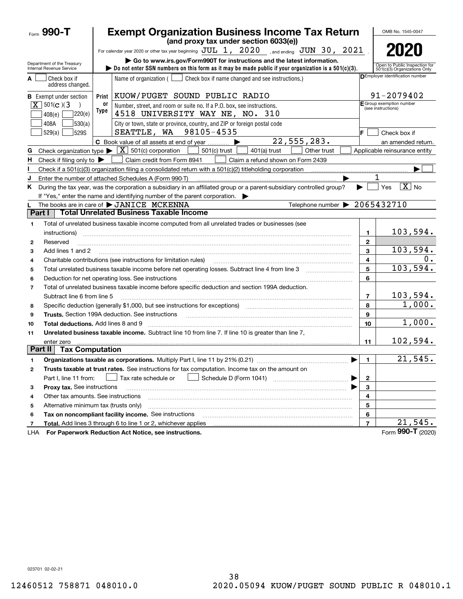| Form 990-T                                             |                        | <b>Exempt Organization Business Income Tax Return</b><br>(and proxy tax under section 6033(e))                        |                          | OMB No. 1545-0047                                             |
|--------------------------------------------------------|------------------------|-----------------------------------------------------------------------------------------------------------------------|--------------------------|---------------------------------------------------------------|
|                                                        |                        | For calendar year 2020 or other tax year beginning $JUL$ 1, $2020$ , and ending $JUN$ 30, $2021$                      |                          | 2020                                                          |
|                                                        |                        | Go to www.irs.gov/Form990T for instructions and the latest information.                                               |                          |                                                               |
| Department of the Treasury<br>Internal Revenue Service |                        | bo not enter SSN numbers on this form as it may be made public if your organization is a $501(c)(3)$ .                |                          | Open to Public Inspection for<br>501(c)(3) Organizations Only |
| Check box if<br>A                                      |                        | Name of organization $($<br>Check box if name changed and see instructions.)                                          |                          | DEmployer identification number                               |
| address changed.                                       |                        |                                                                                                                       |                          |                                                               |
| <b>B</b> Exempt under section                          | Print                  | KUOW/PUGET SOUND PUBLIC RADIO                                                                                         |                          | 91-2079402                                                    |
| $\boxed{\mathbf{X}}$ 501(c)(3<br>408(e)                | 0r<br>Type<br>220(e)   | Number, street, and room or suite no. If a P.O. box, see instructions.<br>4518 UNIVERSITY WAY NE, NO. 310             |                          | E Group exemption number<br>(see instructions)                |
| 408A<br>529(a)                                         | 530(a) <br>529S        | City or town, state or province, country, and ZIP or foreign postal code<br>SEATTLE, WA 98105-4535                    | F.                       | Check box if                                                  |
|                                                        |                        | 22,555,283.<br>C Book value of all assets at end of year                                                              |                          | an amended return.                                            |
| Check organization type $\blacktriangleright$<br>G     |                        | $\mid$ X $\mid$ 501(c) corporation<br>$501(c)$ trust<br>401(a) trust<br>Other trust                                   |                          | Applicable reinsurance entity                                 |
| н.<br>Check if filing only to $\blacktriangleright$    |                        | Claim credit from Form 8941<br>Claim a refund shown on Form 2439                                                      |                          |                                                               |
|                                                        |                        |                                                                                                                       |                          |                                                               |
| J                                                      |                        | Enter the number of attached Schedules A (Form 990-T)                                                                 |                          | 1                                                             |
| Κ                                                      |                        | During the tax year, was the corporation a subsidiary in an affiliated group or a parent-subsidiary controlled group? |                          | $\boxed{\text{X}}$ No<br>Yes                                  |
|                                                        |                        | If "Yes," enter the name and identifying number of the parent corporation.                                            |                          |                                                               |
|                                                        |                        | Telephone number > 2065432710<br>The books are in care of $\blacktriangleright$ JANICE MCKENNA                        |                          |                                                               |
| Part I                                                 |                        | <b>Total Unrelated Business Taxable Income</b>                                                                        |                          |                                                               |
| 1                                                      |                        | Total of unrelated business taxable income computed from all unrelated trades or businesses (see                      |                          |                                                               |
| instructions)                                          |                        |                                                                                                                       | 1.                       | 103,594.                                                      |
| Reserved<br>2                                          |                        |                                                                                                                       | $\mathbf{2}$             |                                                               |
| Add lines 1 and 2<br>3                                 |                        |                                                                                                                       | 3                        | 103,594.                                                      |
| 4                                                      |                        | Charitable contributions (see instructions for limitation rules)                                                      | 4                        | 0.                                                            |
| 5                                                      |                        |                                                                                                                       | 5                        | 103,594.                                                      |
| 6                                                      |                        | Deduction for net operating loss. See instructions                                                                    | 6                        |                                                               |
| 7                                                      |                        | Total of unrelated business taxable income before specific deduction and section 199A deduction.                      |                          |                                                               |
| Subtract line 6 from line 5                            |                        |                                                                                                                       | $\overline{7}$           | 103,594.                                                      |
| 8                                                      |                        | Specific deduction (generally \$1,000, but see instructions for exceptions) manufactured contains an exception of     | 8                        | 1,000.                                                        |
| 9                                                      |                        | <b>Trusts.</b> Section 199A deduction. See instructions                                                               | 9                        |                                                               |
| Total deductions. Add lines 8 and 9<br>10              |                        |                                                                                                                       | 10                       | 1,000.                                                        |
| 11                                                     |                        | Unrelated business taxable income. Subtract line 10 from line 7. If line 10 is greater than line 7,                   |                          |                                                               |
| enter zero                                             |                        |                                                                                                                       | 11                       | 102,594.                                                      |
| Part II                                                | <b>Tax Computation</b> |                                                                                                                       |                          |                                                               |
|                                                        |                        | Organizations taxable as corporations. Multiply Part I, line 11 by 21% (0.21)                                         | 1                        | 21,545.                                                       |
| 2                                                      |                        | Trusts taxable at trust rates. See instructions for tax computation. Income tax on the amount on                      |                          |                                                               |
| Part I, line 11 from:                                  |                        | Schedule D (Form 1041)<br>Tax rate schedule or                                                                        | 2                        |                                                               |
| Proxy tax. See instructions<br>з                       |                        |                                                                                                                       | 3                        |                                                               |
| Other tax amounts. See instructions<br>4               |                        |                                                                                                                       | 4                        |                                                               |
| Alternative minimum tax (trusts only)<br>5             |                        |                                                                                                                       | 5                        |                                                               |
| 6                                                      |                        | Tax on noncompliant facility income. See instructions                                                                 | 6                        |                                                               |
| 7                                                      |                        | Total. Add lines 3 through 6 to line 1 or 2, whichever applies                                                        | $\overline{\phantom{a}}$ | 21,545.                                                       |
| LHA                                                    |                        | For Paperwork Reduction Act Notice, see instructions.                                                                 |                          | Form 990-T (2020)                                             |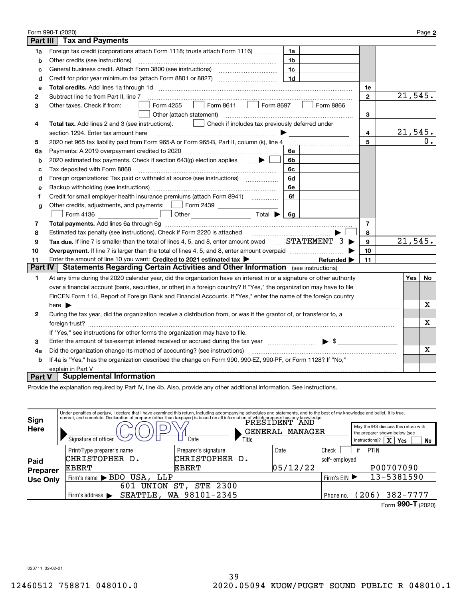|              | Form 990-T (2020)                                                                                                                         |                |         | Page 2 |
|--------------|-------------------------------------------------------------------------------------------------------------------------------------------|----------------|---------|--------|
| Part III     | <b>Tax and Payments</b>                                                                                                                   |                |         |        |
| 1a           | Foreign tax credit (corporations attach Form 1118; trusts attach Form 1116)<br>1a                                                         |                |         |        |
| b            | Other credits (see instructions)<br>1b                                                                                                    |                |         |        |
| c            | General business credit. Attach Form 3800 (see instructions) maturities and the sense of the sense of the sense<br>1c                     |                |         |        |
| d            | 1 <sub>d</sub>                                                                                                                            |                |         |        |
| е            |                                                                                                                                           | 1e             |         |        |
| $\mathbf{2}$ | Subtract line 1e from Part II, line 7                                                                                                     | $\mathbf{2}$   | 21,545. |        |
| 3            | Form 8611   Form 8697<br>Form 4255<br>Form 8866<br>Other taxes. Check if from:                                                            |                |         |        |
|              | Other (attach statement)                                                                                                                  | 3              |         |        |
| 4            | Total tax. Add lines 2 and 3 (see instructions).<br>Check if includes tax previously deferred under                                       |                |         |        |
|              | section 1294. Enter tax amount here                                                                                                       | 4              | 21,545. |        |
| 5            | 2020 net 965 tax liability paid from Form 965-A or Form 965-B, Part II, column (k), line 4                                                | 5              |         | 0.     |
| 6a           | Payments: A 2019 overpayment credited to 2020 [11] [11] maximum materials: A 2019 overpayment credited to 2020<br>6a                      |                |         |        |
| b            | 2020 estimated tax payments. Check if section 643(g) election applies $\qquad \qquad \bullet$<br>6b                                       |                |         |        |
| с            | Tax deposited with Form 8868<br>6с                                                                                                        |                |         |        |
| d            | Foreign organizations: Tax paid or withheld at source (see instructions) [<br>6d                                                          |                |         |        |
| е            | 6e                                                                                                                                        |                |         |        |
| f            | Credit for small employer health insurance premiums (attach Form 8941)<br>6f                                                              |                |         |        |
| g            | Other credits, adjustments, and payments:   Form 2439                                                                                     |                |         |        |
|              | <b>6g</b>                                                                                                                                 |                |         |        |
| 7            |                                                                                                                                           | $\overline{7}$ |         |        |
| 8            |                                                                                                                                           | 8              |         |        |
| 9            |                                                                                                                                           | 9              | 21,545. |        |
| 10           |                                                                                                                                           | 10             |         |        |
| 11           | Enter the amount of line 10 you want: Credited to 2021 estimated tax $\blacktriangleright$<br>Refunded D                                  | 11             |         |        |
| Part IV      | Statements Regarding Certain Activities and Other Information (see instructions)                                                          |                |         |        |
| 1            | At any time during the 2020 calendar year, did the organization have an interest in or a signature or other authority                     |                | Yes     | No     |
|              | over a financial account (bank, securities, or other) in a foreign country? If "Yes," the organization may have to file                   |                |         |        |
|              | FinCEN Form 114, Report of Foreign Bank and Financial Accounts. If "Yes," enter the name of the foreign country                           |                |         |        |
|              | here $\blacktriangleright$                                                                                                                |                |         | x      |
| $\mathbf{2}$ | During the tax year, did the organization receive a distribution from, or was it the grantor of, or transferor to, a                      |                |         |        |
|              |                                                                                                                                           |                |         | х      |
|              | If "Yes," see instructions for other forms the organization may have to file.                                                             |                |         |        |
| 3            | $\blacktriangleright$ \$<br>Enter the amount of tax-exempt interest received or accrued during the tax year [111][11][11][11][11][11][11] |                |         |        |
| 4a           | Did the organization change its method of accounting? (see instructions)                                                                  |                |         | х      |
| b            | If 4a is "Yes," has the organization described the change on Form 990, 990-EZ, 990-PF, or Form 1128? If "No,"                             |                |         |        |
|              | explain in Part V                                                                                                                         |                |         |        |
| Part V       | <b>Supplemental Information</b>                                                                                                           |                |         |        |

Provide the explanation required by Part IV, line 4b. Also, provide any other additional information. See instructions.

| Sign<br>Here     | Under penalties of perjury, I declare that I have examined this return, including accompanying schedules and statements, and to the best of my knowledge and belief, it is true,<br>correct, and complete. Declaration of preparer (other than taxpayer) is based on all information of which preparer has any knowledge.<br>May the IRS discuss this return with<br>GENERAL<br><b>MANAGER</b><br>the preparer shown below (see<br>Signature of officer<br>Date<br>Title<br>$\overline{\text{X}}$<br>instructions)?<br>Yes |                                                        |                   |                        |    |                          |  |
|------------------|----------------------------------------------------------------------------------------------------------------------------------------------------------------------------------------------------------------------------------------------------------------------------------------------------------------------------------------------------------------------------------------------------------------------------------------------------------------------------------------------------------------------------|--------------------------------------------------------|-------------------|------------------------|----|--------------------------|--|
| Paid<br>Preparer | Print/Type preparer's name<br>CHRISTOPHER D.<br><b>EBERT</b>                                                                                                                                                                                                                                                                                                                                                                                                                                                               | Preparer's signature<br>CHRISTOPHER D.<br><b>EBERT</b> | Date<br> 05/12/22 | Check<br>self-employed | if | <b>PTIN</b><br>P00707090 |  |
| <b>Use Only</b>  | Firm's name > BDO USA, LLP                                                                                                                                                                                                                                                                                                                                                                                                                                                                                                 | Firm's $EIN$                                           |                   | 13-5381590             |    |                          |  |
|                  | 601<br>UNION                                                                                                                                                                                                                                                                                                                                                                                                                                                                                                               | <b>STE 2300</b><br>ST,                                 |                   |                        |    |                          |  |
|                  | SEATTLE, WA 98101-2345<br>Firm's address $\blacktriangleright$                                                                                                                                                                                                                                                                                                                                                                                                                                                             | Phone no.                                              |                   | $382 - 7777$<br>(206)  |    |                          |  |
|                  |                                                                                                                                                                                                                                                                                                                                                                                                                                                                                                                            |                                                        |                   |                        |    | Form 990-T (2020)        |  |

023711 02-02-21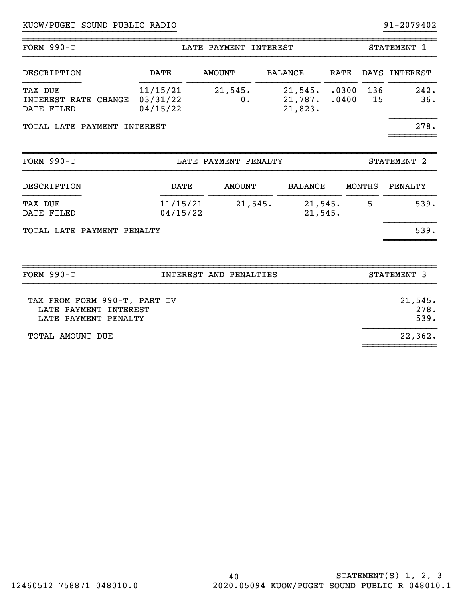| FORM $990-T$                                                                  |                                  | LATE PAYMENT INTEREST  |                               |                    | STATEMENT 1                 |                         |  |  |
|-------------------------------------------------------------------------------|----------------------------------|------------------------|-------------------------------|--------------------|-----------------------------|-------------------------|--|--|
| DESCRIPTION                                                                   | <b>DATE</b>                      | <b>AMOUNT</b>          | <b>BALANCE</b>                | <b>RATE</b>        |                             | DAYS INTEREST           |  |  |
| TAX DUE<br>INTEREST RATE CHANGE<br>DATE FILED                                 | 11/15/21<br>03/31/22<br>04/15/22 | 21,545.<br>0.          | 21,545.<br>21,787.<br>21,823. |                    | .0300<br>136<br>.0400<br>15 | 242.<br>36.             |  |  |
| TOTAL LATE PAYMENT INTEREST                                                   |                                  |                        |                               |                    |                             | 278.                    |  |  |
| FORM $990-T$                                                                  |                                  | LATE PAYMENT PENALTY   |                               |                    |                             | STATEMENT 2             |  |  |
| DESCRIPTION                                                                   | <b>DATE</b>                      | <b>AMOUNT</b>          |                               | <b>BALANCE</b>     | MONTHS                      | PENALTY                 |  |  |
| <b>TAX DUE</b><br>DATE FILED                                                  | 11/15/21<br>04/15/22             | 21,545.                |                               | 21,545.<br>21,545. | 5                           | 539.                    |  |  |
| TOTAL LATE PAYMENT PENALTY                                                    |                                  |                        |                               |                    |                             | 539.                    |  |  |
| <b>FORM 990-T</b>                                                             |                                  | INTEREST AND PENALTIES |                               |                    |                             | STATEMENT 3             |  |  |
| TAX FROM FORM 990-T, PART IV<br>LATE PAYMENT INTEREST<br>LATE PAYMENT PENALTY |                                  |                        |                               |                    |                             | 21,545.<br>278.<br>539. |  |  |

~~~~~~~~~~~~~~

TOTAL AMOUNT DUE 22, 2008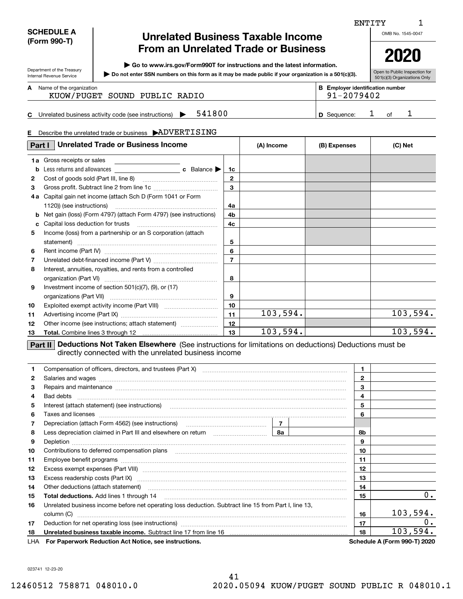| <b>SCHEDULE A</b> |
|-------------------|
| (Form 990-T)      |

Department of the Treasury Internal Revenue Service

## **Unrelated Business Taxable Income From an Unrelated Trade or Business**

**| Go to www.irs.gov/Form990T for instructions and the latest information.**

**Do not enter SSN numbers on this form as it may be made public if your organization is a 501(c)(3). |** 

**2020**

| Open to Public Inspection for |  |  |
|-------------------------------|--|--|
| 501(c)(3) Organizations Only  |  |  |

**A**

Name of the organization **mumber and the organization number B Employer identification number** KUOW/PUGET SOUND PUBLIC RADIO 91-2079402

### **C** Unrelated business activity code (see instructions)  $\rightarrow$  541800  $\rightarrow$  10 Sequence: 1 of **541800 1 1 D** Sequence: 1 of 1

### **E**Describe the unrelated trade or business  $\,$   $\rightarrow$   $\!\! \mathbf{ADVERTISING}$

| Part I       | <b>Unrelated Trade or Business Income</b>                                                                                                                                     | (A) Income     | (B) Expenses | (C) Net |          |  |  |  |
|--------------|-------------------------------------------------------------------------------------------------------------------------------------------------------------------------------|----------------|--------------|---------|----------|--|--|--|
|              | 1a Gross receipts or sales                                                                                                                                                    |                |              |         |          |  |  |  |
| b            |                                                                                                                                                                               | 1c             |              |         |          |  |  |  |
| $\mathbf{2}$ |                                                                                                                                                                               | $\mathbf{2}$   |              |         |          |  |  |  |
| 3            | Gross profit. Subtract line 2 from line 1c                                                                                                                                    | 3              |              |         |          |  |  |  |
| 4 a          | Capital gain net income (attach Sch D (Form 1041 or Form                                                                                                                      |                |              |         |          |  |  |  |
|              | 1120)) (see instructions)                                                                                                                                                     | 4a             |              |         |          |  |  |  |
| b            | Net gain (loss) (Form 4797) (attach Form 4797) (see instructions)                                                                                                             | 4b             |              |         |          |  |  |  |
| c            | Capital loss deduction for trusts                                                                                                                                             | 4c             |              |         |          |  |  |  |
| 5            | Income (loss) from a partnership or an S corporation (attach                                                                                                                  |                |              |         |          |  |  |  |
|              | statement)                                                                                                                                                                    | 5              |              |         |          |  |  |  |
| 6            |                                                                                                                                                                               | 6              |              |         |          |  |  |  |
| 7            |                                                                                                                                                                               | $\overline{7}$ |              |         |          |  |  |  |
| 8            | Interest, annuities, royalties, and rents from a controlled                                                                                                                   |                |              |         |          |  |  |  |
|              |                                                                                                                                                                               | 8              |              |         |          |  |  |  |
| 9            | Investment income of section $501(c)(7)$ , $(9)$ , or $(17)$                                                                                                                  |                |              |         |          |  |  |  |
|              |                                                                                                                                                                               | 9              |              |         |          |  |  |  |
| 10           |                                                                                                                                                                               | 10             |              |         |          |  |  |  |
| 11           |                                                                                                                                                                               | 11             | 103,594.     |         | 103,594. |  |  |  |
| 12           | Other income (see instructions; attach statement)                                                                                                                             | 12             |              |         |          |  |  |  |
| 13           |                                                                                                                                                                               | 13             | 103,594.     |         | 103,594. |  |  |  |
|              | <b>Deductions Not Taken Elsewhere</b> (See instructions for limitations on deductions) Deductions must be<br>Part II<br>directly connected with the unrelated business income |                |              |         |          |  |  |  |

| 1.           |                                                                                                                                                                                                                                | 1            |    |    |                                     |
|--------------|--------------------------------------------------------------------------------------------------------------------------------------------------------------------------------------------------------------------------------|--------------|----|----|-------------------------------------|
| $\mathbf{2}$ | Salaries and wages with the continuum contract of the contract of the contract of the contract of the contract of the contract of the contract of the contract of the contract of the contract of the contract of the contract | $\mathbf{2}$ |    |    |                                     |
| 3            | Repairs and maintenance material continuum contracts and maintenance contracts and maintenance material contracts and maintenance materials and maintenance materials and maintenance materials and materials and materials an | 3            |    |    |                                     |
| 4            |                                                                                                                                                                                                                                |              |    | 4  |                                     |
| 5            | Interest (attach statement) (see instructions) <b>manually constructions</b> and attach statement (see instructions)                                                                                                           |              |    | 5  |                                     |
| 6            |                                                                                                                                                                                                                                |              |    | 6  |                                     |
| 7            |                                                                                                                                                                                                                                |              |    |    |                                     |
| 8            |                                                                                                                                                                                                                                | 8b           |    |    |                                     |
| 9            |                                                                                                                                                                                                                                | 9            |    |    |                                     |
| 10           |                                                                                                                                                                                                                                | 10           |    |    |                                     |
| 11           |                                                                                                                                                                                                                                | 11           |    |    |                                     |
| 12           |                                                                                                                                                                                                                                | 12           |    |    |                                     |
| 13           |                                                                                                                                                                                                                                | 13           |    |    |                                     |
| 14           |                                                                                                                                                                                                                                | 14           |    |    |                                     |
| 15           |                                                                                                                                                                                                                                | 15           | 0. |    |                                     |
| 16           | Unrelated business income before net operating loss deduction. Subtract line 15 from Part I, line 13,                                                                                                                          |              |    |    |                                     |
|              |                                                                                                                                                                                                                                |              |    | 16 | 103,594.                            |
| 17           |                                                                                                                                                                                                                                |              |    |    | $0$ .                               |
| 18           |                                                                                                                                                                                                                                |              |    |    | 103,594.                            |
|              | LHA For Paperwork Reduction Act Notice, see instructions.                                                                                                                                                                      |              |    |    | <b>Schedule A (Form 990-T) 2020</b> |

023741 12-23-20

OMB No. 1545-0047 ENTITY

1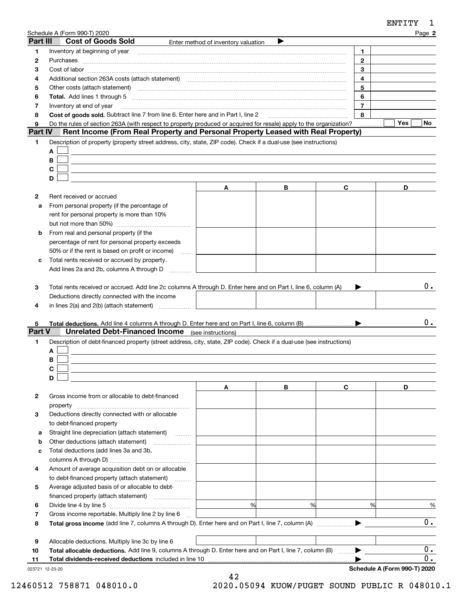|                  |                                                                                                                                                                                                                                |                                     |   |                | ENTITY<br>ı      |
|------------------|--------------------------------------------------------------------------------------------------------------------------------------------------------------------------------------------------------------------------------|-------------------------------------|---|----------------|------------------|
|                  | Schedule A (Form 990-T) 2020                                                                                                                                                                                                   |                                     |   |                | Page 2           |
| Part III         | <b>Cost of Goods Sold</b>                                                                                                                                                                                                      | Enter method of inventory valuation | ▶ |                |                  |
| 1                | Inventory at beginning of year                                                                                                                                                                                                 |                                     |   | 1.             |                  |
| 2                | Purchases                                                                                                                                                                                                                      |                                     |   | $\mathbf{2}$   |                  |
| З                |                                                                                                                                                                                                                                |                                     |   | 3              |                  |
| 4                | Additional section 263A costs (attach statement) material contents and according to the Additional section 263A                                                                                                                |                                     |   | 4              |                  |
| 5                | Other costs (attach statement) manufactured and contract and contract and contract and contract and contract and contract and contract and contract and contract and contract and contract and contract and contract and contr |                                     |   | 5              |                  |
| 6                |                                                                                                                                                                                                                                |                                     |   | 6              |                  |
| 7                | Inventory at end of year                                                                                                                                                                                                       |                                     |   | $\overline{7}$ |                  |
| 8                | Cost of goods sold. Subtract line 7 from line 6. Enter here and in Part I, line 2 [11, 1111 1111 1111 1111 111                                                                                                                 |                                     |   | 8              |                  |
| 9                | Do the rules of section 263A (with respect to property produced or acquired for resale) apply to the organization?                                                                                                             |                                     |   |                | <b>Yes</b><br>No |
| Part IV          | Rent Income (From Real Property and Personal Property Leased with Real Property)                                                                                                                                               |                                     |   |                |                  |
| 1                | Description of property (property street address, city, state, ZIP code). Check if a dual-use (see instructions)                                                                                                               |                                     |   |                |                  |
|                  | A                                                                                                                                                                                                                              |                                     |   |                |                  |
|                  | в                                                                                                                                                                                                                              |                                     |   |                |                  |
|                  | C                                                                                                                                                                                                                              |                                     |   |                |                  |
|                  | D                                                                                                                                                                                                                              |                                     |   |                |                  |
|                  |                                                                                                                                                                                                                                | Α                                   | В | C              | D                |
| 2                | Rent received or accrued                                                                                                                                                                                                       |                                     |   |                |                  |
| a                | From personal property (if the percentage of                                                                                                                                                                                   |                                     |   |                |                  |
|                  | rent for personal property is more than 10%                                                                                                                                                                                    |                                     |   |                |                  |
|                  |                                                                                                                                                                                                                                |                                     |   |                |                  |
| b                | From real and personal property (if the                                                                                                                                                                                        |                                     |   |                |                  |
|                  | percentage of rent for personal property exceeds                                                                                                                                                                               |                                     |   |                |                  |
|                  | 50% or if the rent is based on profit or income)<br>.                                                                                                                                                                          |                                     |   |                |                  |
| c                | Total rents received or accrued by property.                                                                                                                                                                                   |                                     |   |                |                  |
|                  | Add lines 2a and 2b, columns A through D                                                                                                                                                                                       |                                     |   |                |                  |
| 5<br>Part V<br>1 | <b>Unrelated Debt-Financed Income</b> (see instructions)<br>Description of debt-financed property (street address, city, state, ZIP code). Check if a dual-use (see instructions)<br>A                                         |                                     |   |                | $0$ .            |
|                  | В                                                                                                                                                                                                                              |                                     |   |                |                  |
|                  | С                                                                                                                                                                                                                              |                                     |   |                |                  |
|                  | D                                                                                                                                                                                                                              |                                     |   |                |                  |
|                  |                                                                                                                                                                                                                                | A                                   | В | C              | D                |
| 2                | Gross income from or allocable to debt-financed                                                                                                                                                                                |                                     |   |                |                  |
|                  | property                                                                                                                                                                                                                       |                                     |   |                |                  |
| З                | Deductions directly connected with or allocable                                                                                                                                                                                |                                     |   |                |                  |
|                  | to debt-financed property                                                                                                                                                                                                      |                                     |   |                |                  |
| а                | Straight line depreciation (attach statement)<br>.                                                                                                                                                                             |                                     |   |                |                  |
| b                | Other deductions (attach statement)                                                                                                                                                                                            |                                     |   |                |                  |
| c                | Total deductions (add lines 3a and 3b,                                                                                                                                                                                         |                                     |   |                |                  |
| 4                | Amount of average acquisition debt on or allocable                                                                                                                                                                             |                                     |   |                |                  |
|                  | to debt-financed property (attach statement)                                                                                                                                                                                   |                                     |   |                |                  |
| 5                | Average adjusted basis of or allocable to debt-                                                                                                                                                                                |                                     |   |                |                  |
|                  | financed property (attach statement)                                                                                                                                                                                           |                                     |   |                |                  |
| 6                |                                                                                                                                                                                                                                | %                                   | % | %              | %                |
| 7                | Gross income reportable. Multiply line 2 by line 6                                                                                                                                                                             |                                     |   |                | 0.               |
| 8                |                                                                                                                                                                                                                                |                                     |   |                |                  |
| 9                | Allocable deductions. Multiply line 3c by line 6                                                                                                                                                                               |                                     |   |                |                  |
| 10               | Total allocable deductions. Add line 9, columns A through D. Enter here and on Part I, line 7, column (B)                                                                                                                      |                                     |   |                | 0.               |

|--|

023721 12-23-20

0.

 $\blacktriangleright$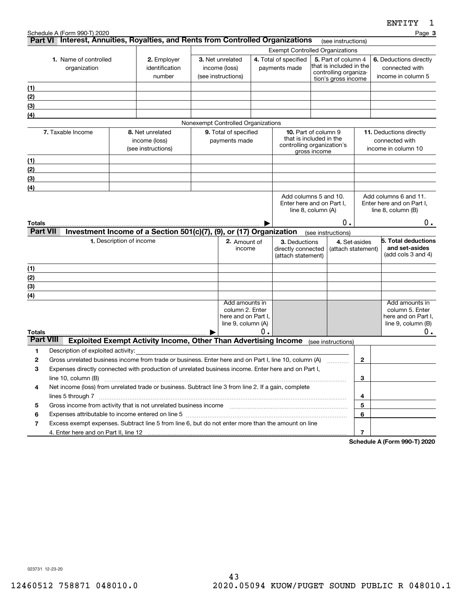|                         | Schedule A (Form 990-T) 2020                                                                                      |                                                                                                       |                       |                                           |                             |                                                       |                    |                                                |                                                    | Page 3                                         |
|-------------------------|-------------------------------------------------------------------------------------------------------------------|-------------------------------------------------------------------------------------------------------|-----------------------|-------------------------------------------|-----------------------------|-------------------------------------------------------|--------------------|------------------------------------------------|----------------------------------------------------|------------------------------------------------|
|                         |                                                                                                                   | Part VI Interest, Annuities, Royalties, and Rents from Controlled Organizations                       |                       |                                           |                             |                                                       |                    | (see instructions)                             |                                                    |                                                |
|                         |                                                                                                                   |                                                                                                       |                       | <b>Exempt Controlled Organizations</b>    |                             |                                                       |                    |                                                |                                                    |                                                |
| 1. Name of controlled   |                                                                                                                   | 2. Employer                                                                                           |                       | 3. Net unrelated                          |                             | 4. Total of specified                                 |                    | 5. Part of column 4<br>that is included in the |                                                    | 6. Deductions directly                         |
|                         | organization                                                                                                      | identification<br>number                                                                              |                       | income (loss)<br>(see instructions)       |                             | payments made                                         |                    | controlling organiza-                          |                                                    | connected with<br>income in column 5           |
|                         |                                                                                                                   |                                                                                                       |                       |                                           |                             |                                                       |                    | tion's gross income                            |                                                    |                                                |
| (1)                     |                                                                                                                   |                                                                                                       |                       |                                           |                             |                                                       |                    |                                                |                                                    |                                                |
| (2)                     |                                                                                                                   |                                                                                                       |                       |                                           |                             |                                                       |                    |                                                |                                                    |                                                |
| (3)<br>$\left(4\right)$ |                                                                                                                   |                                                                                                       |                       |                                           |                             |                                                       |                    |                                                |                                                    |                                                |
|                         |                                                                                                                   |                                                                                                       |                       | Nonexempt Controlled Organizations        |                             |                                                       |                    |                                                |                                                    |                                                |
|                         | 7. Taxable Income                                                                                                 | 8. Net unrelated                                                                                      | 9. Total of specified |                                           | <b>10.</b> Part of column 9 |                                                       |                    | 11. Deductions directly                        |                                                    |                                                |
|                         |                                                                                                                   | income (loss)                                                                                         | payments made         |                                           |                             | that is included in the<br>controlling organization's |                    |                                                |                                                    | connected with                                 |
|                         |                                                                                                                   | (see instructions)                                                                                    |                       |                                           |                             |                                                       | gross income       |                                                |                                                    | income in column 10                            |
| (1)                     |                                                                                                                   |                                                                                                       |                       |                                           |                             |                                                       |                    |                                                |                                                    |                                                |
| (2)                     |                                                                                                                   |                                                                                                       |                       |                                           |                             |                                                       |                    |                                                |                                                    |                                                |
| (3)                     |                                                                                                                   |                                                                                                       |                       |                                           |                             |                                                       |                    |                                                |                                                    |                                                |
| $\left( 4\right)$       |                                                                                                                   |                                                                                                       |                       |                                           |                             |                                                       |                    |                                                |                                                    |                                                |
|                         |                                                                                                                   |                                                                                                       |                       |                                           |                             | Add columns 5 and 10.<br>Enter here and on Part I,    |                    |                                                | Add columns 6 and 11.<br>Enter here and on Part I, |                                                |
|                         |                                                                                                                   |                                                                                                       |                       |                                           |                             | line 8, column (A)                                    |                    |                                                |                                                    | line $8$ , column $(B)$                        |
| Totals                  |                                                                                                                   |                                                                                                       |                       |                                           |                             |                                                       |                    | О.                                             |                                                    | $0$ .                                          |
| <b>Part VII</b>         |                                                                                                                   | Investment Income of a Section 501(c)(7), (9), or (17) Organization                                   |                       |                                           |                             |                                                       |                    | (see instructions)                             |                                                    |                                                |
|                         | 1. Description of income<br>2. Amount of<br>3. Deductions                                                         |                                                                                                       |                       |                                           |                             |                                                       | 4. Set-asides      |                                                | 5. Total deductions                                |                                                |
|                         | income<br>directly connected<br>(attach statement)                                                                |                                                                                                       |                       |                                           |                             |                                                       | (attach statement) |                                                | and set-asides<br>(add cols $3$ and $4$ )          |                                                |
|                         |                                                                                                                   |                                                                                                       |                       |                                           |                             |                                                       |                    |                                                |                                                    |                                                |
| (1)                     |                                                                                                                   |                                                                                                       |                       |                                           |                             |                                                       |                    |                                                |                                                    |                                                |
| (2)                     |                                                                                                                   |                                                                                                       |                       |                                           |                             |                                                       |                    |                                                |                                                    |                                                |
| (3)                     |                                                                                                                   |                                                                                                       |                       |                                           |                             |                                                       |                    |                                                |                                                    |                                                |
| (4)                     |                                                                                                                   |                                                                                                       |                       | Add amounts in                            |                             |                                                       |                    |                                                |                                                    | Add amounts in                                 |
|                         |                                                                                                                   |                                                                                                       |                       | column 2. Enter                           |                             |                                                       |                    |                                                |                                                    | column 5. Enter                                |
|                         |                                                                                                                   |                                                                                                       |                       | here and on Part I,<br>line 9, column (A) |                             |                                                       |                    |                                                |                                                    | here and on Part I,<br>line $9$ , column $(B)$ |
| Totals                  |                                                                                                                   |                                                                                                       |                       |                                           | 0.                          |                                                       |                    |                                                |                                                    | 0.                                             |
| <b>Part VIII</b>        |                                                                                                                   | <b>Exploited Exempt Activity Income, Other Than Advertising Income</b>                                |                       |                                           |                             |                                                       |                    | (see instructions)                             |                                                    |                                                |
| 1                       | Description of exploited activity:                                                                                |                                                                                                       |                       |                                           |                             |                                                       |                    |                                                |                                                    |                                                |
| 2                       |                                                                                                                   | Gross unrelated business income from trade or business. Enter here and on Part I, line 10, column (A) |                       |                                           |                             |                                                       |                    |                                                | 2                                                  |                                                |
| 3                       | Expenses directly connected with production of unrelated business income. Enter here and on Part I,               |                                                                                                       |                       |                                           |                             |                                                       |                    |                                                |                                                    |                                                |
|                         | line 10, column (B)                                                                                               |                                                                                                       |                       |                                           |                             |                                                       |                    | 3                                              |                                                    |                                                |
| 4                       | Net income (loss) from unrelated trade or business. Subtract line 3 from line 2. If a gain, complete              |                                                                                                       |                       |                                           |                             |                                                       |                    |                                                |                                                    |                                                |
|                         |                                                                                                                   |                                                                                                       |                       |                                           |                             |                                                       |                    |                                                | 4                                                  |                                                |
| 5                       | Expenses attributable to income entered on line 5 [111] [12] manufacture attributable to income entered on line 5 |                                                                                                       |                       |                                           |                             |                                                       |                    | 5                                              |                                                    |                                                |
| 6                       |                                                                                                                   |                                                                                                       |                       |                                           |                             |                                                       |                    |                                                | 6                                                  |                                                |
| 7                       |                                                                                                                   | Excess exempt expenses. Subtract line 5 from line 6, but do not enter more than the amount on line    |                       |                                           |                             |                                                       |                    |                                                | $\overline{7}$                                     |                                                |
|                         |                                                                                                                   |                                                                                                       |                       |                                           |                             |                                                       |                    |                                                |                                                    | $(T_{\text{num}}$ 000 T) 0000                  |

**Schedule A (Form 990-T) 2020**

023731 12-23-20